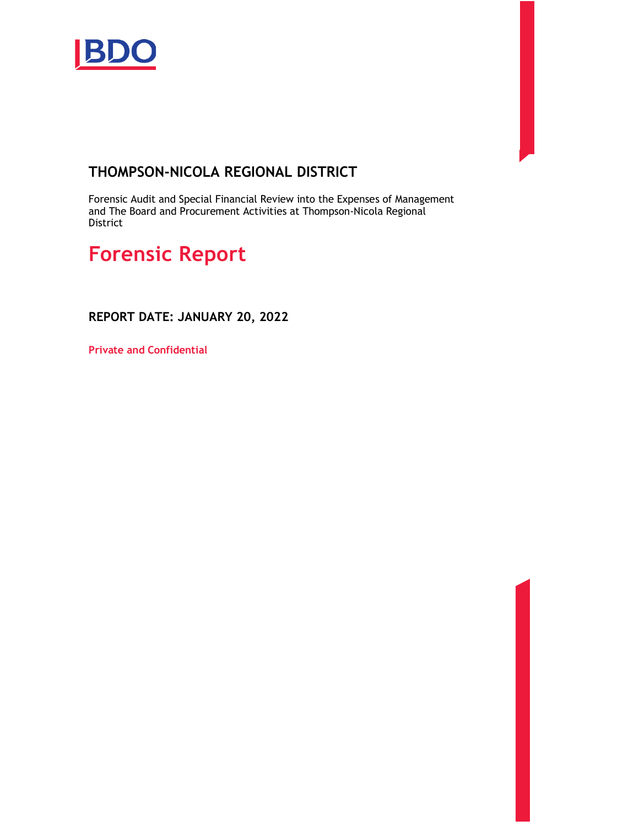

### **THOMPSON-NICOLA REGIONAL DISTRICT**

Forensic Audit and Special Financial Review into the Expenses of Management and The Board and Procurement Activities at Thompson-Nicola Regional District

# **Forensic Report**

**REPORT DATE: JANUARY 20, 2022** 

**Private and Confidential**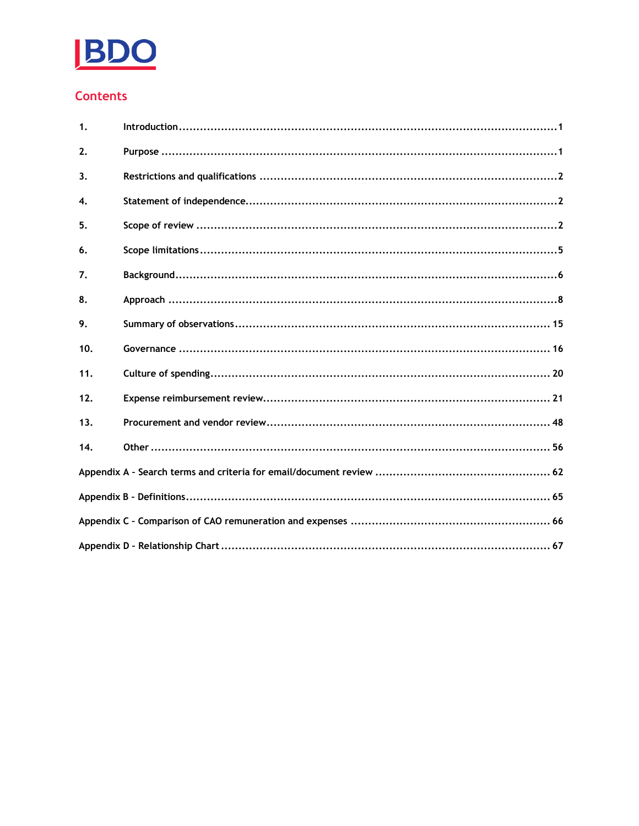

### **Contents**

| $\mathbf{1}$     |  |
|------------------|--|
| 2.               |  |
| 3.               |  |
| $\overline{4}$ . |  |
| 5.               |  |
| 6.               |  |
| 7.               |  |
| 8.               |  |
| 9.               |  |
| 10.              |  |
| 11.              |  |
| 12.              |  |
| 13.              |  |
| 14.              |  |
|                  |  |
|                  |  |
|                  |  |
|                  |  |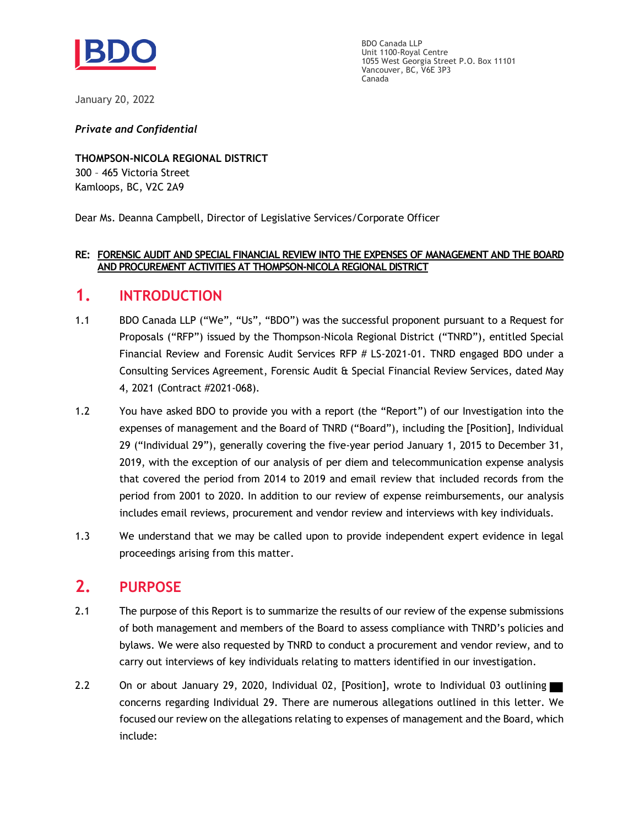

BDO Canada LLP Unit 1100-Royal Centre 1055 West Georgia Street P.O. Box 11101 Vancouver, BC, V6E 3P3 Canada

January 20, 2022

*Private and Confidential*

**THOMPSON-NICOLA REGIONAL DISTRICT** 300 – 465 Victoria Street Kamloops, BC, V2C 2A9

Dear Ms. Deanna Campbell, Director of Legislative Services/Corporate Officer

#### **RE: FORENSIC AUDIT AND SPECIAL FINANCIAL REVIEW INTO THE EXPENSES OF MANAGEMENT AND THE BOARD AND PROCUREMENT ACTIVITIES AT THOMPSON-NICOLA REGIONAL DISTRICT**

### <span id="page-2-0"></span>**1. INTRODUCTION**

- 1.1 BDO Canada LLP ("We", "Us", "BDO") was the successful proponent pursuant to a Request for Proposals ("RFP") issued by the Thompson-Nicola Regional District ("TNRD"), entitled Special Financial Review and Forensic Audit Services RFP # LS-2021-01. TNRD engaged BDO under a Consulting Services Agreement, Forensic Audit & Special Financial Review Services, dated May 4, 2021 (Contract #2021-068).
- 1.2 You have asked BDO to provide you with a report (the "Report") of our Investigation into the expenses of management and the Board of TNRD ("Board"), including the [Position], Individual 29 ("Individual 29"), generally covering the five-year period January 1, 2015 to December 31, 2019, with the exception of our analysis of per diem and telecommunication expense analysis that covered the period from 2014 to 2019 and email review that included records from the period from 2001 to 2020. In addition to our review of expense reimbursements, our analysis includes email reviews, procurement and vendor review and interviews with key individuals.
- 1.3 We understand that we may be called upon to provide independent expert evidence in legal proceedings arising from this matter.

### <span id="page-2-1"></span>**2. PURPOSE**

- 2.1 The purpose of this Report is to summarize the results of our review of the expense submissions of both management and members of the Board to assess compliance with TNRD's policies and bylaws. We were also requested by TNRD to conduct a procurement and vendor review, and to carry out interviews of key individuals relating to matters identified in our investigation.
- 2.2 On or about January 29, 2020, Individual 02, [Position], wrote to Individual 03 outlining concerns regarding Individual 29. There are numerous allegations outlined in this letter. We focused our review on the allegations relating to expenses of management and the Board, which include: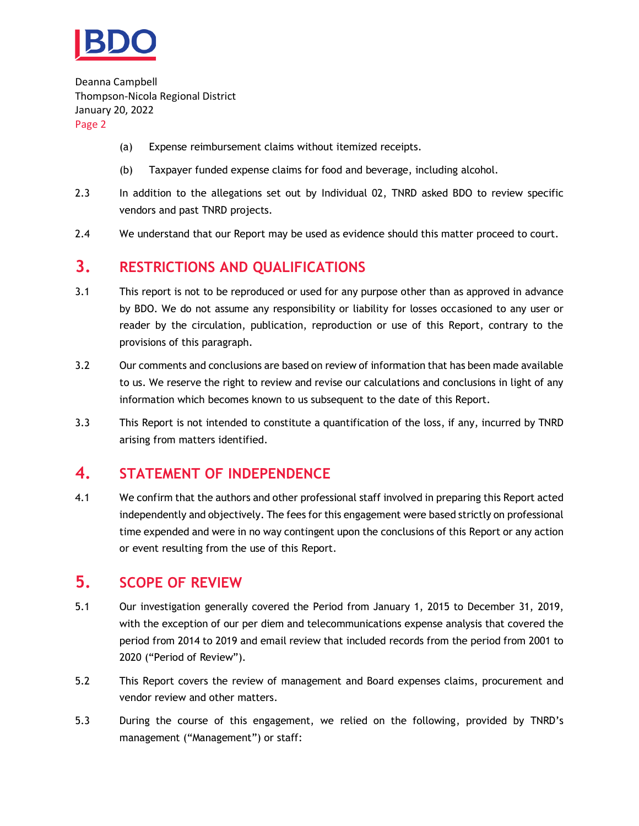

- (a) Expense reimbursement claims without itemized receipts.
- (b) Taxpayer funded expense claims for food and beverage, including alcohol.
- 2.3 In addition to the allegations set out by Individual 02, TNRD asked BDO to review specific vendors and past TNRD projects.
- 2.4 We understand that our Report may be used as evidence should this matter proceed to court.

### <span id="page-3-0"></span>**3. RESTRICTIONS AND QUALIFICATIONS**

- 3.1 This report is not to be reproduced or used for any purpose other than as approved in advance by BDO. We do not assume any responsibility or liability for losses occasioned to any user or reader by the circulation, publication, reproduction or use of this Report, contrary to the provisions of this paragraph.
- 3.2 Our comments and conclusions are based on review of information that has been made available to us. We reserve the right to review and revise our calculations and conclusions in light of any information which becomes known to us subsequent to the date of this Report.
- 3.3 This Report is not intended to constitute a quantification of the loss, if any, incurred by TNRD arising from matters identified.

### <span id="page-3-1"></span>**4. STATEMENT OF INDEPENDENCE**

4.1 We confirm that the authors and other professional staff involved in preparing this Report acted independently and objectively. The fees for this engagement were based strictly on professional time expended and were in no way contingent upon the conclusions of this Report or any action or event resulting from the use of this Report.

### <span id="page-3-2"></span>**5. SCOPE OF REVIEW**

- 5.1 Our investigation generally covered the Period from January 1, 2015 to December 31, 2019, with the exception of our per diem and telecommunications expense analysis that covered the period from 2014 to 2019 and email review that included records from the period from 2001 to 2020 ("Period of Review").
- 5.2 This Report covers the review of management and Board expenses claims, procurement and vendor review and other matters.
- 5.3 During the course of this engagement, we relied on the following, provided by TNRD's management ("Management") or staff: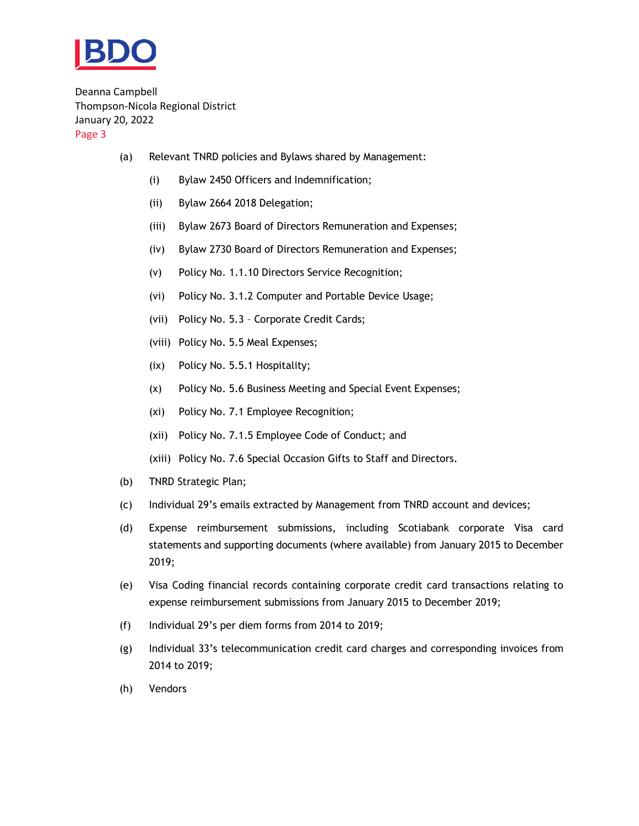

- (a) Relevant TNRD policies and Bylaws shared by Management:
	- (i) Bylaw 2450 Officers and Indemnification;
	- (ii) Bylaw 2664 2018 Delegation;
	- (iii) Bylaw 2673 Board of Directors Remuneration and Expenses;
	- (iv) Bylaw 2730 Board of Directors Remuneration and Expenses;
	- (v) Policy No. 1.1.10 Directors Service Recognition;
	- (vi) Policy No. 3.1.2 Computer and Portable Device Usage;
	- (vii) Policy No. 5.3 Corporate Credit Cards;
	- (viii) Policy No. 5.5 Meal Expenses;
	- (ix) Policy No. 5.5.1 Hospitality;
	- (x) Policy No. 5.6 Business Meeting and Special Event Expenses;
	- (xi) Policy No. 7.1 Employee Recognition;
	- (xii) Policy No. 7.1.5 Employee Code of Conduct; and
	- (xiii) Policy No. 7.6 Special Occasion Gifts to Staff and Directors.
- (b) TNRD Strategic Plan;
- (c) Individual 29's emails extracted by Management from TNRD account and devices;
- (d) Expense reimbursement submissions, including Scotiabank corporate Visa card statements and supporting documents (where available) from January 2015 to December 2019;
- (e) Visa Coding financial records containing corporate credit card transactions relating to expense reimbursement submissions from January 2015 to December 2019;
- (f) Individual 29's per diem forms from 2014 to 2019;
- (g) Individual 33's telecommunication credit card charges and corresponding invoices from 2014 to 2019;
- (h) Vendors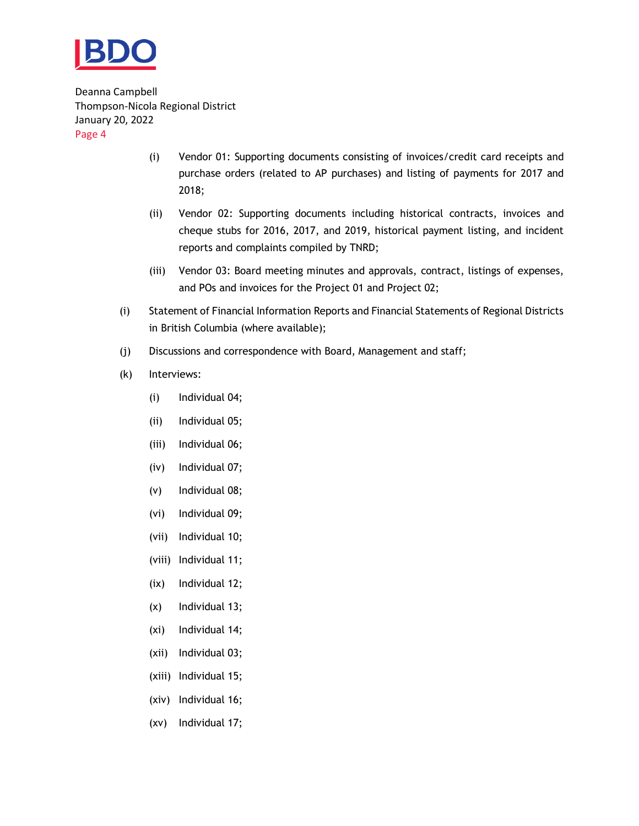

- (i) Vendor 01: Supporting documents consisting of invoices/credit card receipts and purchase orders (related to AP purchases) and listing of payments for 2017 and 2018;
- (ii) Vendor 02: Supporting documents including historical contracts, invoices and cheque stubs for 2016, 2017, and 2019, historical payment listing, and incident reports and complaints compiled by TNRD;
- (iii) Vendor 03: Board meeting minutes and approvals, contract, listings of expenses, and POs and invoices for the Project 01 and Project 02;
- (i) Statement of Financial Information Reports and Financial Statements of Regional Districts in British Columbia (where available);
- (j) Discussions and correspondence with Board, Management and staff;
- (k) Interviews:
	- (i) Individual 04;
	- (ii) Individual 05;
	- (iii) Individual 06;
	- (iv) Individual 07;
	- (v) Individual 08;
	- (vi) Individual 09;
	- (vii) Individual 10;
	- (viii) Individual 11;
	- (ix) Individual 12;
	- (x) Individual 13;
	- (xi) Individual 14;
	- (xii) Individual 03;
	- (xiii) Individual 15;
	- (xiv) Individual 16;
	- (xv) Individual 17;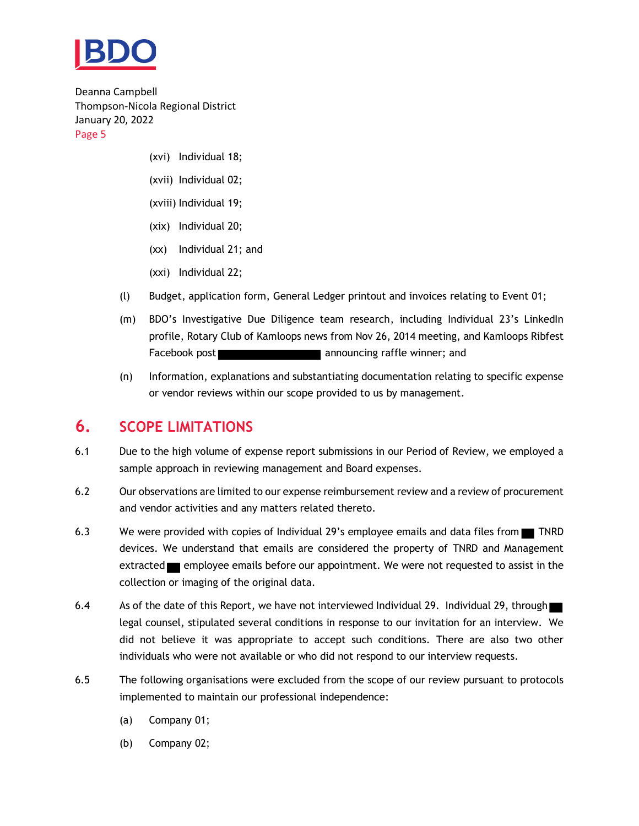

- (xvi) Individual 18;
- (xvii) Individual 02;
- (xviii) Individual 19;
- (xix) Individual 20;
- (xx) Individual 21; and
- (xxi) Individual 22;
- (l) Budget, application form, General Ledger printout and invoices relating to Event 01;
- (m) BDO's Investigative Due Diligence team research, including Individual 23's LinkedIn profile, Rotary Club of Kamloops news from Nov 26, 2014 meeting, and Kamloops Ribfest Facebook post **announcing** announcing raffle winner; and
- (n) Information, explanations and substantiating documentation relating to specific expense or vendor reviews within our scope provided to us by management.

### <span id="page-6-0"></span>**6. SCOPE LIMITATIONS**

- 6.1 Due to the high volume of expense report submissions in our Period of Review, we employed a sample approach in reviewing management and Board expenses.
- 6.2 Our observations are limited to our expense reimbursement review and a review of procurement and vendor activities and any matters related thereto.
- 6.3 We were provided with copies of Individual 29's employee emails and data files from TNRD devices. We understand that emails are considered the property of TNRD and Management extracted employee emails before our appointment. We were not requested to assist in the collection or imaging of the original data.
- 6.4 As of the date of this Report, we have not interviewed Individual 29. Individual 29, through legal counsel, stipulated several conditions in response to our invitation for an interview. We did not believe it was appropriate to accept such conditions. There are also two other individuals who were not available or who did not respond to our interview requests.
- 6.5 The following organisations were excluded from the scope of our review pursuant to protocols implemented to maintain our professional independence:
	- (a) Company 01;
	- (b) Company 02;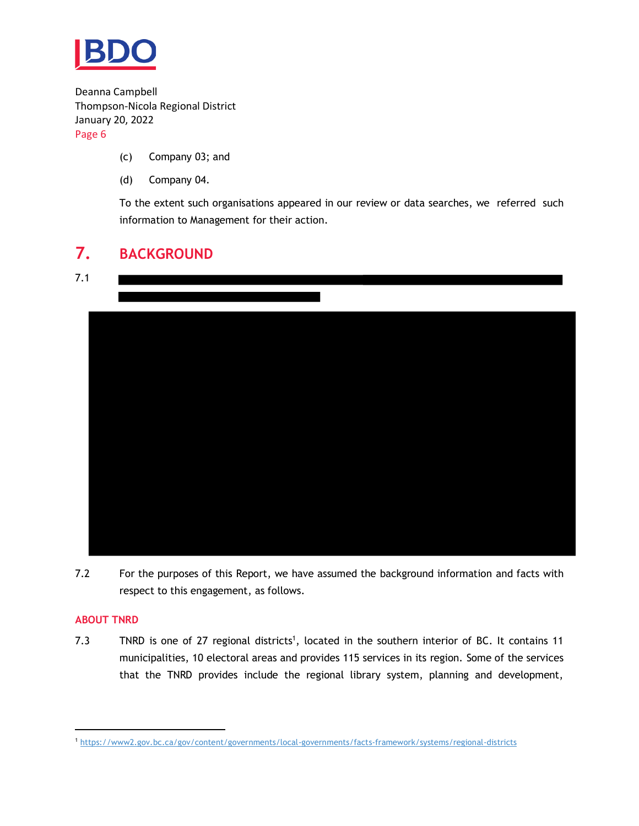

- (c) Company 03; and
- (d) Company 04.

To the extent such organisations appeared in our review or data searches, we referred such information to Management for their action.

## <span id="page-7-0"></span>**7. BACKGROUND**





7.2 For the purposes of this Report, we have assumed the background information and facts with respect to this engagement, as follows.

#### **ABOUT TNRD**

7.3 TNRD is one of 27 regional districts<sup>1</sup>, located in the southern interior of BC. It contains 11 municipalities, 10 electoral areas and provides 115 services in its region. Some of the services that the TNRD provides include the regional library system, planning and development,

<sup>1</sup> <https://www2.gov.bc.ca/gov/content/governments/local-governments/facts-framework/systems/regional-districts>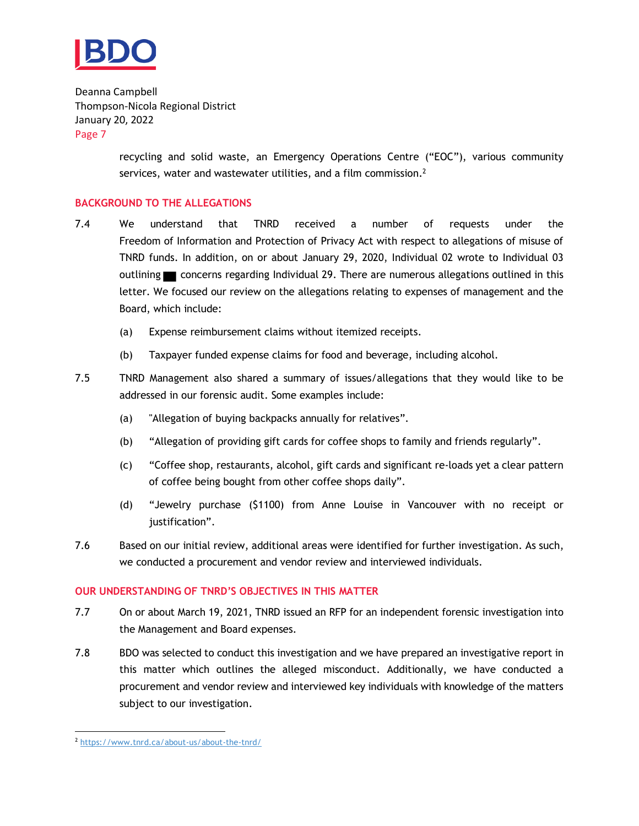

> recycling and solid waste, an Emergency Operations Centre ("EOC"), various community services, water and wastewater utilities, and a film commission.<sup>2</sup>

#### **BACKGROUND TO THE ALLEGATIONS**

- 7.4 We understand that TNRD received a number of requests under the Freedom of Information and Protection of Privacy Act with respect to allegations of misuse of TNRD funds. In addition, on or about January 29, 2020, Individual 02 wrote to Individual 03 outlining concerns regarding Individual 29. There are numerous allegations outlined in this letter. We focused our review on the allegations relating to expenses of management and the Board, which include:
	- (a) Expense reimbursement claims without itemized receipts.
	- (b) Taxpayer funded expense claims for food and beverage, including alcohol.
- 7.5 TNRD Management also shared a summary of issues/allegations that they would like to be addressed in our forensic audit. Some examples include:
	- (a) "Allegation of buying backpacks annually for relatives".
	- (b) "Allegation of providing gift cards for coffee shops to family and friends regularly".
	- (c) "Coffee shop, restaurants, alcohol, gift cards and significant re-loads yet a clear pattern of coffee being bought from other coffee shops daily".
	- (d) "Jewelry purchase (\$1100) from Anne Louise in Vancouver with no receipt or justification".
- 7.6 Based on our initial review, additional areas were identified for further investigation. As such, we conducted a procurement and vendor review and interviewed individuals.

#### **OUR UNDERSTANDING OF TNRD'S OBJECTIVES IN THIS MATTER**

- 7.7 On or about March 19, 2021, TNRD issued an RFP for an independent forensic investigation into the Management and Board expenses.
- 7.8 BDO was selected to conduct this investigation and we have prepared an investigative report in this matter which outlines the alleged misconduct. Additionally, we have conducted a procurement and vendor review and interviewed key individuals with knowledge of the matters subject to our investigation.

<sup>2</sup> <https://www.tnrd.ca/about-us/about-the-tnrd/>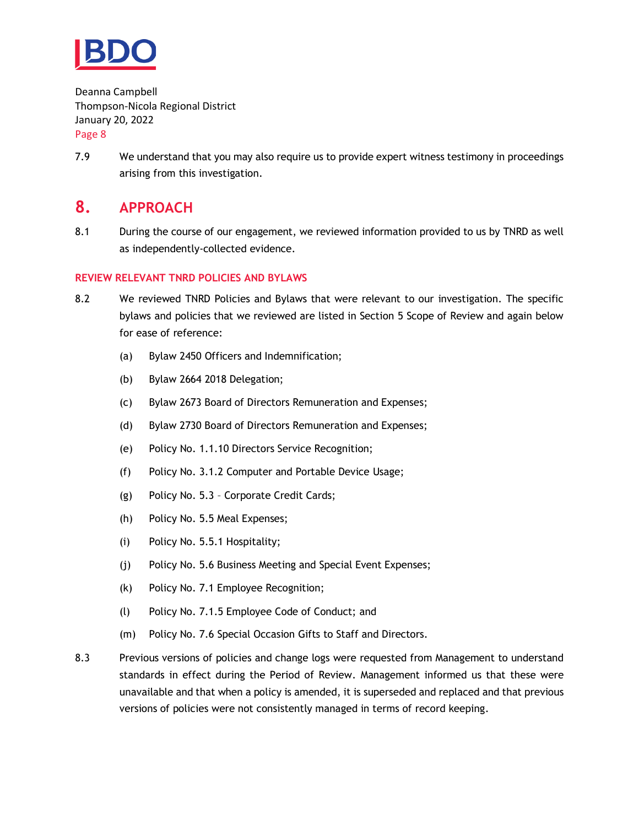

7.9 We understand that you may also require us to provide expert witness testimony in proceedings arising from this investigation.

### <span id="page-9-0"></span>**8. APPROACH**

8.1 During the course of our engagement, we reviewed information provided to us by TNRD as well as independently-collected evidence.

#### **REVIEW RELEVANT TNRD POLICIES AND BYLAWS**

- 8.2 We reviewed TNRD Policies and Bylaws that were relevant to our investigation. The specific bylaws and policies that we reviewed are listed in Section [5](#page-3-2) Scope of Review and again below for ease of reference:
	- (a) Bylaw 2450 Officers and Indemnification;
	- (b) Bylaw 2664 2018 Delegation;
	- (c) Bylaw 2673 Board of Directors Remuneration and Expenses;
	- (d) Bylaw 2730 Board of Directors Remuneration and Expenses;
	- (e) Policy No. 1.1.10 Directors Service Recognition;
	- (f) Policy No. 3.1.2 Computer and Portable Device Usage;
	- (g) Policy No. 5.3 Corporate Credit Cards;
	- (h) Policy No. 5.5 Meal Expenses;
	- (i) Policy No. 5.5.1 Hospitality;
	- (j) Policy No. 5.6 Business Meeting and Special Event Expenses;
	- (k) Policy No. 7.1 Employee Recognition;
	- (l) Policy No. 7.1.5 Employee Code of Conduct; and
	- (m) Policy No. 7.6 Special Occasion Gifts to Staff and Directors.
- 8.3 Previous versions of policies and change logs were requested from Management to understand standards in effect during the Period of Review. Management informed us that these were unavailable and that when a policy is amended, it is superseded and replaced and that previous versions of policies were not consistently managed in terms of record keeping.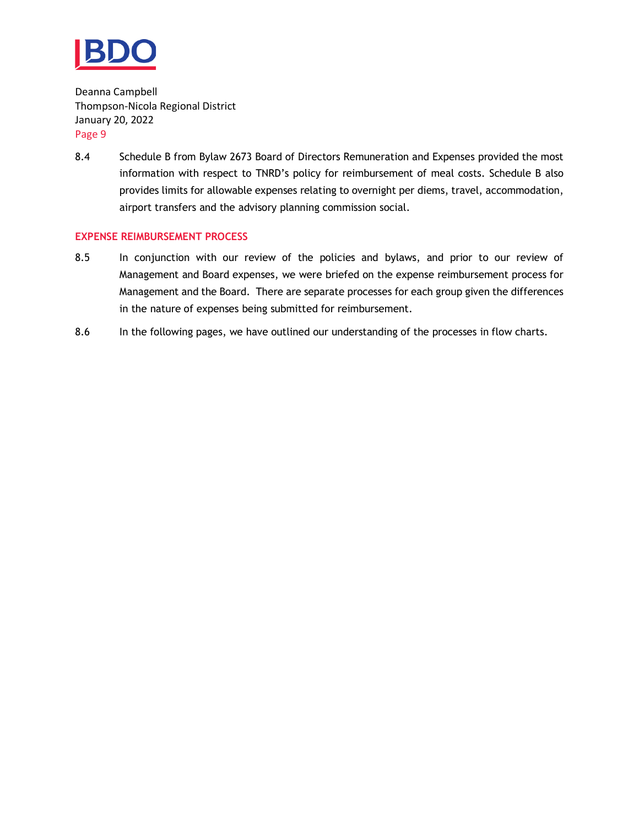

8.4 Schedule B from Bylaw 2673 Board of Directors Remuneration and Expenses provided the most information with respect to TNRD's policy for reimbursement of meal costs. Schedule B also provides limits for allowable expenses relating to overnight per diems, travel, accommodation, airport transfers and the advisory planning commission social.

#### **EXPENSE REIMBURSEMENT PROCESS**

- 8.5 In conjunction with our review of the policies and bylaws, and prior to our review of Management and Board expenses, we were briefed on the expense reimbursement process for Management and the Board. There are separate processes for each group given the differences in the nature of expenses being submitted for reimbursement.
- 8.6 In the following pages, we have outlined our understanding of the processes in flow charts.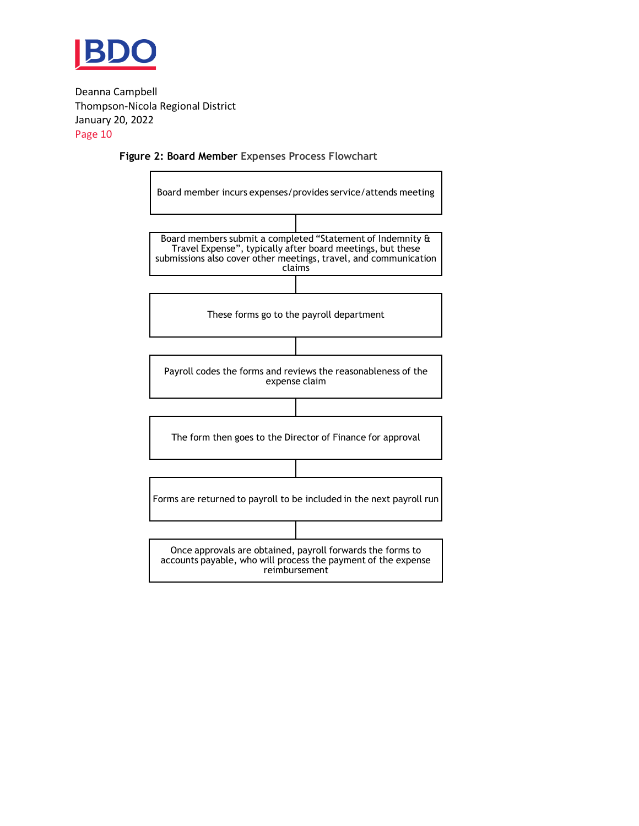

#### **Figure 2: Board Member Expenses Process Flowchart**

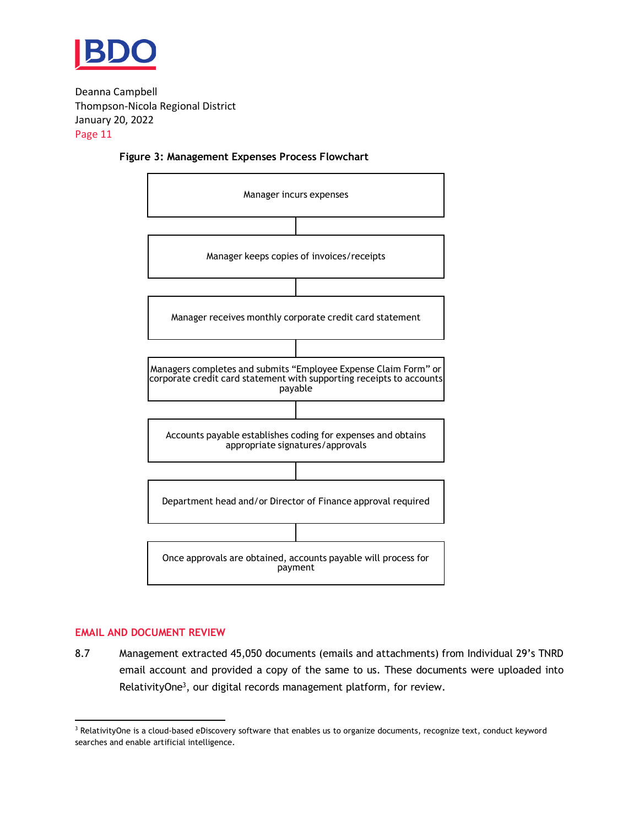





#### **EMAIL AND DOCUMENT REVIEW**

8.7 Management extracted 45,050 documents (emails and attachments) from Individual 29's TNRD email account and provided a copy of the same to us. These documents were uploaded into RelativityOne<sup>3</sup>, our digital records management platform, for review.

<sup>&</sup>lt;sup>3</sup> RelativityOne is a cloud-based eDiscovery software that enables us to organize documents, recognize text, conduct keyword searches and enable artificial intelligence.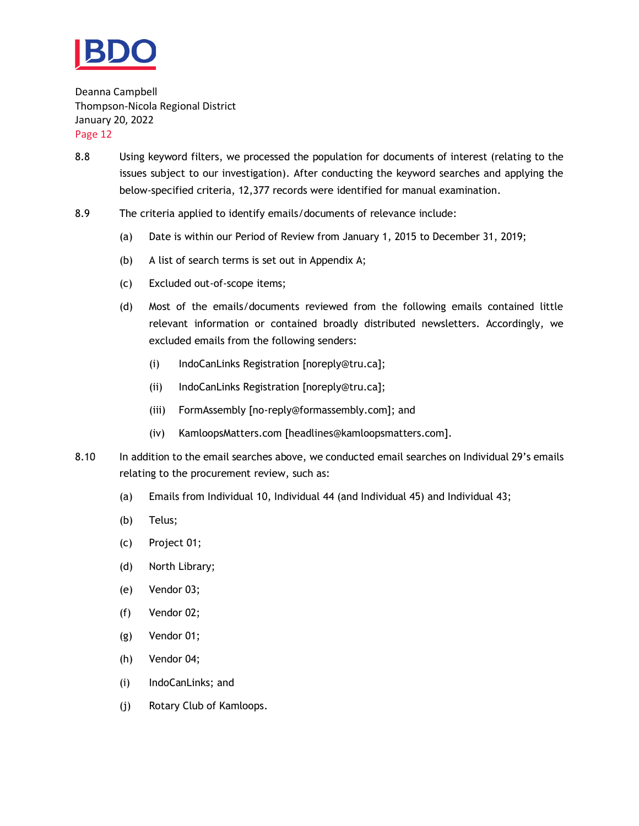

- 8.8 Using keyword filters, we processed the population for documents of interest (relating to the issues subject to our investigation). After conducting the keyword searches and applying the below-specified criteria, 12,377 records were identified for manual examination.
- 8.9 The criteria applied to identify emails/documents of relevance include:
	- (a) Date is within our Period of Review from January 1, 2015 to December 31, 2019;
	- (b) A list of search terms is set out in Appendix A;
	- (c) Excluded out-of-scope items;
	- (d) Most of the emails/documents reviewed from the following emails contained little relevant information or contained broadly distributed newsletters. Accordingly, we excluded emails from the following senders:
		- (i) IndoCanLinks Registration [noreply@tru.ca];
		- (ii) IndoCanLinks Registration [noreply@tru.ca];
		- (iii) FormAssembly [no-reply@formassembly.com]; and
		- (iv) KamloopsMatters.com [headlines@kamloopsmatters.com].
- 8.10 In addition to the email searches above, we conducted email searches on Individual 29's emails relating to the procurement review, such as:
	- (a) Emails from Individual 10, Individual 44 (and Individual 45) and Individual 43;
	- (b) Telus;
	- (c) Project 01;
	- (d) North Library;
	- (e) Vendor 03;
	- (f) Vendor 02;
	- (g) Vendor 01;
	- (h) Vendor 04;
	- (i) IndoCanLinks; and
	- (j) Rotary Club of Kamloops.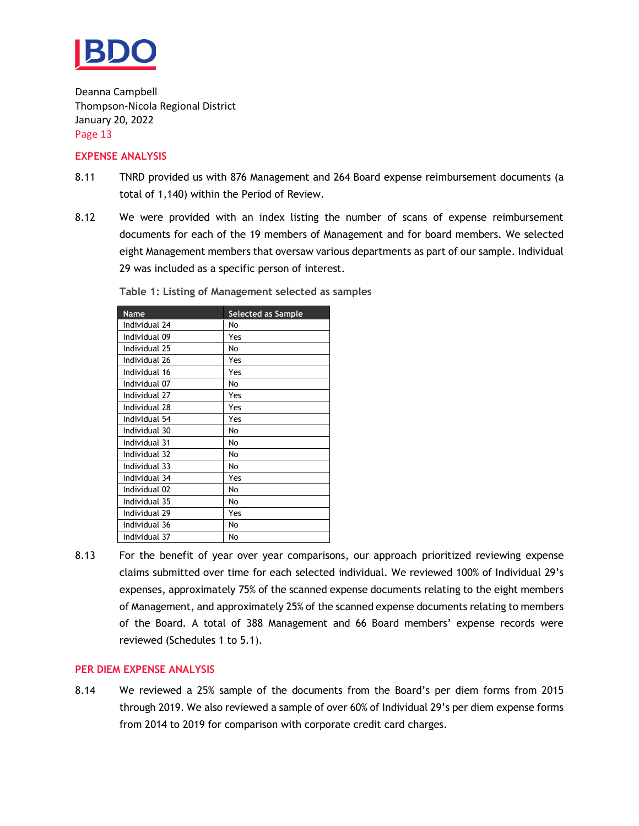

#### **EXPENSE ANALYSIS**

- 8.11 TNRD provided us with 876 Management and 264 Board expense reimbursement documents (a total of 1,140) within the Period of Review.
- 8.12 We were provided with an index listing the number of scans of expense reimbursement documents for each of the 19 members of Management and for board members. We selected eight Management members that oversaw various departments as part of our sample. Individual 29 was included as a specific person of interest.

| <b>Name</b>   | <b>Selected as Sample</b> |
|---------------|---------------------------|
| Individual 24 | No                        |
| Individual 09 | Yes                       |
| Individual 25 | No                        |
| Individual 26 | Yes                       |
| Individual 16 | Yes                       |
| Individual 07 | No                        |
| Individual 27 | Yes                       |
| Individual 28 | Yes                       |
| Individual 54 | Yes                       |
| Individual 30 | No                        |
| Individual 31 | N٥                        |
| Individual 32 | No                        |
| Individual 33 | No                        |
| Individual 34 | Yes                       |
| Individual 02 | No                        |
| Individual 35 | No                        |
| Individual 29 | Yes                       |
| Individual 36 | No                        |
| Individual 37 | No                        |

**Table 1: Listing of Management selected as samples**

8.13 For the benefit of year over year comparisons, our approach prioritized reviewing expense claims submitted over time for each selected individual. We reviewed 100% of Individual 29's expenses, approximately 75% of the scanned expense documents relating to the eight members of Management, and approximately 25% of the scanned expense documents relating to members of the Board. A total of 388 Management and 66 Board members' expense records were reviewed (Schedules 1 to 5.1).

#### **PER DIEM EXPENSE ANALYSIS**

8.14 We reviewed a 25% sample of the documents from the Board's per diem forms from 2015 through 2019. We also reviewed a sample of over 60% of Individual 29's per diem expense forms from 2014 to 2019 for comparison with corporate credit card charges.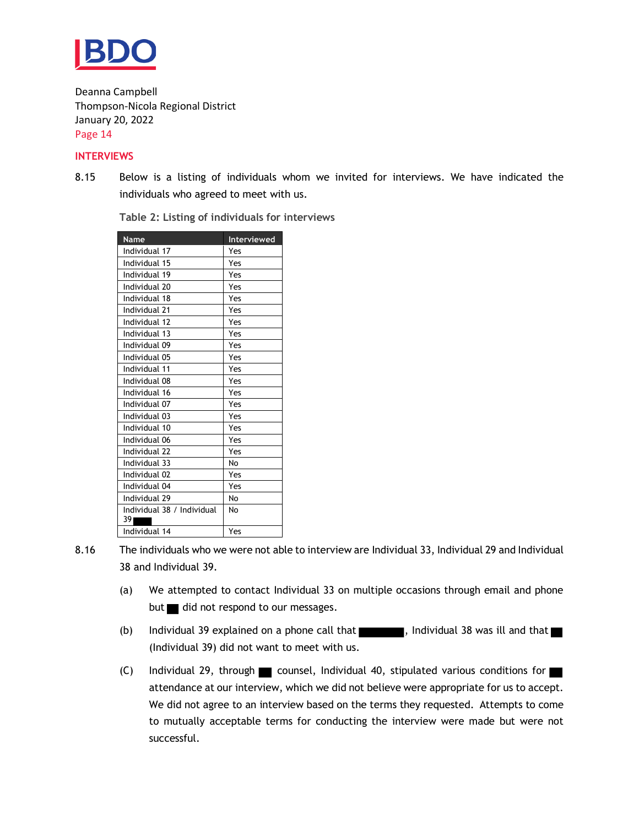

#### **INTERVIEWS**

8.15 Below is a listing of individuals whom we invited for interviews. We have indicated the individuals who agreed to meet with us.

| <b>Name</b>                      | Interviewed |
|----------------------------------|-------------|
| Individual 17                    | Yes         |
| Individual 15                    | Yes         |
| Individual 19                    | Yes         |
| Individual 20                    | Yes         |
| Individual 18                    | Yes         |
| Individual 21                    | Yes         |
| Individual 12                    | Yes         |
| Individual 13                    | Yes         |
| Individual 09                    | Yes         |
| Individual 05                    | Yes         |
| Individual 11                    | Yes         |
| Individual 08                    | Yes         |
| Individual 16                    | Yes         |
| Individual 07                    | Yes         |
| Individual 03                    | Yes         |
| Individual 10                    | Yes         |
| Individual 06                    | Yes         |
| Individual 22                    | Yes         |
| Individual 33                    | No          |
| Individual 02                    | Yes         |
| Individual 04                    | Yes         |
| Individual 29                    | No          |
| Individual 38 / Individual<br>39 | No          |
| Individual 14                    | Yes         |
|                                  |             |

**Table 2: Listing of individuals for interviews**

- 8.16 The individuals who we were not able to interview are Individual 33, Individual 29 and Individual 38 and Individual 39.
	- (a) We attempted to contact Individual 33 on multiple occasions through email and phone but  $\blacksquare$  did not respond to our messages.
	- (b) Individual 39 explained on a phone call that  $\blacksquare$ , Individual 38 was ill and that  $\blacksquare$ (Individual 39) did not want to meet with us.
	- (C) Individual 29, through counsel, Individual 40, stipulated various conditions for attendance at our interview, which we did not believe were appropriate for us to accept. We did not agree to an interview based on the terms they requested. Attempts to come to mutually acceptable terms for conducting the interview were made but were not successful.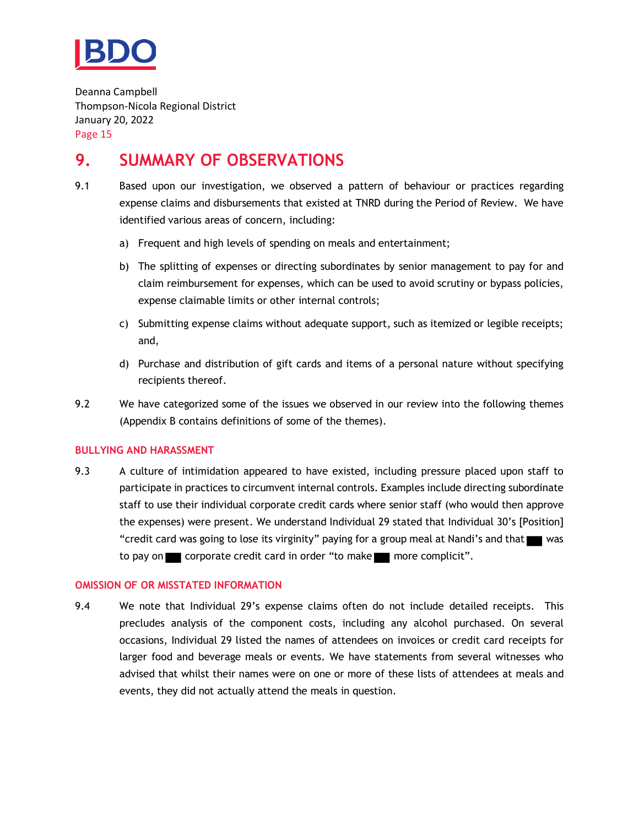

## <span id="page-16-0"></span>**9. SUMMARY OF OBSERVATIONS**

- 9.1 Based upon our investigation, we observed a pattern of behaviour or practices regarding expense claims and disbursements that existed at TNRD during the Period of Review. We have identified various areas of concern, including:
	- a) Frequent and high levels of spending on meals and entertainment;
	- b) The splitting of expenses or directing subordinates by senior management to pay for and claim reimbursement for expenses, which can be used to avoid scrutiny or bypass policies, expense claimable limits or other internal controls;
	- c) Submitting expense claims without adequate support, such as itemized or legible receipts; and,
	- d) Purchase and distribution of gift cards and items of a personal nature without specifying recipients thereof.
- 9.2 We have categorized some of the issues we observed in our review into the following themes (Appendix B contains definitions of some of the themes).

#### **BULLYING AND HARASSMENT**

9.3 A culture of intimidation appeared to have existed, including pressure placed upon staff to participate in practices to circumvent internal controls. Examples include directing subordinate staff to use their individual corporate credit cards where senior staff (who would then approve the expenses) were present. We understand Individual 29 stated that Individual 30's [Position] "credit card was going to lose its virginity" paying for a group meal at Nandi's and that was to pay on corporate credit card in order "to make more complicit".

#### **OMISSION OF OR MISSTATED INFORMATION**

9.4 We note that Individual 29's expense claims often do not include detailed receipts. This precludes analysis of the component costs, including any alcohol purchased. On several occasions, Individual 29 listed the names of attendees on invoices or credit card receipts for larger food and beverage meals or events. We have statements from several witnesses who advised that whilst their names were on one or more of these lists of attendees at meals and events, they did not actually attend the meals in question.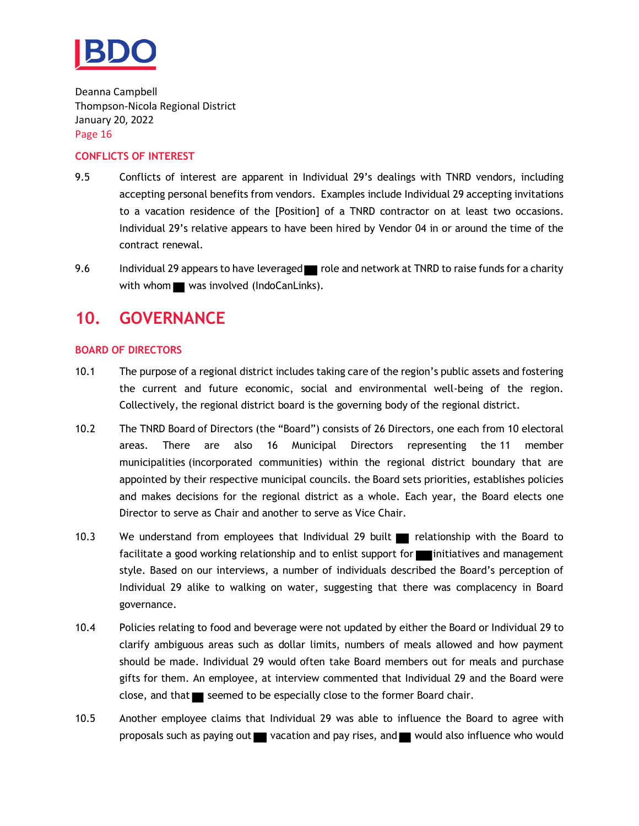

#### **CONFLICTS OF INTEREST**

- 9.5 Conflicts of interest are apparent in Individual 29's dealings with TNRD vendors, including accepting personal benefits from vendors. Examples include Individual 29 accepting invitations to a vacation residence of the [Position] of a TNRD contractor on at least two occasions. Individual 29's relative appears to have been hired by Vendor 04 in or around the time of the contract renewal.
- 9.6 Individual 29 appears to have leveraged role and network at TNRD to raise funds for a charity with whom  $\blacksquare$  was involved (IndoCanLinks).

## <span id="page-17-0"></span>**10. GOVERNANCE**

#### **BOARD OF DIRECTORS**

- 10.1 The purpose of a regional district includes taking care of the region's public assets and fostering the current and future economic, social and environmental well-being of the region. Collectively, the regional district board is the governing body of the regional district.
- 10.2 The TNRD Board of Directors (the "Board") consists of 26 Directors, one each from 10 [electoral](https://www.tnrd.ca/about-us/communities/electoral-areas/) [areas.](https://www.tnrd.ca/about-us/communities/electoral-areas/) There are also 16 Municipal Directors representing the 11 [member](https://www.tnrd.ca/about-us/communities/municipalities/) [municipalities](https://www.tnrd.ca/about-us/communities/municipalities/) (incorporated communities) within the regional district boundary that are appointed by their respective municipal councils. the Board sets priorities, establishes policies and makes decisions for the regional district as a whole. Each year, the Board elects one Director to serve as Chair and another to serve as Vice Chair.
- 10.3 We understand from employees that Individual 29 built relationship with the Board to facilitate a good working relationship and to enlist support for initiatives and management style. Based on our interviews, a number of individuals described the Board's perception of Individual 29 alike to walking on water, suggesting that there was complacency in Board governance.
- 10.4 Policies relating to food and beverage were not updated by either the Board or Individual 29 to clarify ambiguous areas such as dollar limits, numbers of meals allowed and how payment should be made. Individual 29 would often take Board members out for meals and purchase gifts for them. An employee, at interview commented that Individual 29 and the Board were close, and that  $\blacksquare$  seemed to be especially close to the former Board chair.
- 10.5 Another employee claims that Individual 29 was able to influence the Board to agree with proposals such as paying out  $\blacksquare$  vacation and pay rises, and  $\blacksquare$  would also influence who would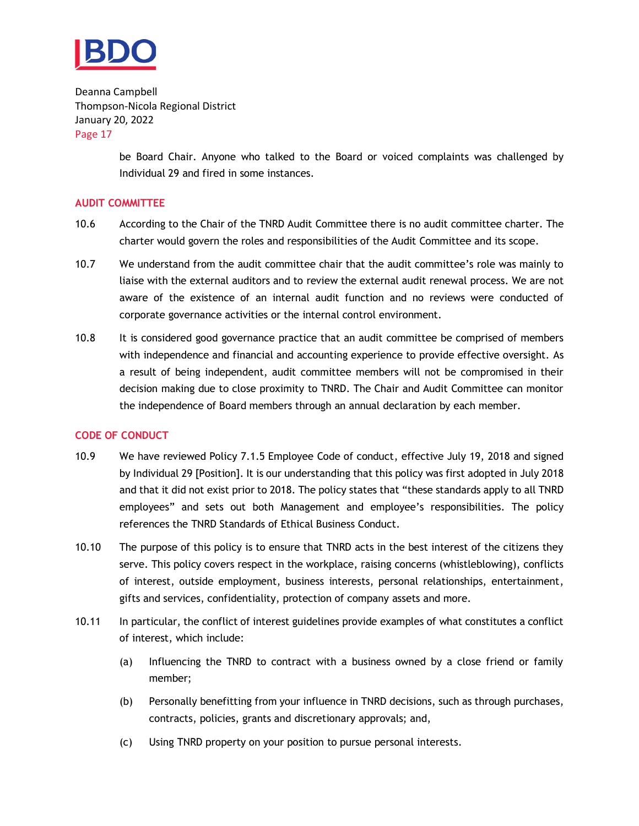

> be Board Chair. Anyone who talked to the Board or voiced complaints was challenged by Individual 29 and fired in some instances.

#### **AUDIT COMMITTEE**

- 10.6 According to the Chair of the TNRD Audit Committee there is no audit committee charter. The charter would govern the roles and responsibilities of the Audit Committee and its scope.
- 10.7 We understand from the audit committee chair that the audit committee's role was mainly to liaise with the external auditors and to review the external audit renewal process. We are not aware of the existence of an internal audit function and no reviews were conducted of corporate governance activities or the internal control environment.
- 10.8 It is considered good governance practice that an audit committee be comprised of members with independence and financial and accounting experience to provide effective oversight. As a result of being independent, audit committee members will not be compromised in their decision making due to close proximity to TNRD. The Chair and Audit Committee can monitor the independence of Board members through an annual declaration by each member.

#### **CODE OF CONDUCT**

- 10.9 We have reviewed Policy 7.1.5 Employee Code of conduct, effective July 19, 2018 and signed by Individual 29 [Position]. It is our understanding that this policy was first adopted in July 2018 and that it did not exist prior to 2018. The policy states that "these standards apply to all TNRD employees" and sets out both Management and employee's responsibilities. The policy references the TNRD Standards of Ethical Business Conduct.
- 10.10 The purpose of this policy is to ensure that TNRD acts in the best interest of the citizens they serve. This policy covers respect in the workplace, raising concerns (whistleblowing), conflicts of interest, outside employment, business interests, personal relationships, entertainment, gifts and services, confidentiality, protection of company assets and more.
- 10.11 In particular, the conflict of interest guidelines provide examples of what constitutes a conflict of interest, which include:
	- (a) Influencing the TNRD to contract with a business owned by a close friend or family member;
	- (b) Personally benefitting from your influence in TNRD decisions, such as through purchases, contracts, policies, grants and discretionary approvals; and,
	- (c) Using TNRD property on your position to pursue personal interests.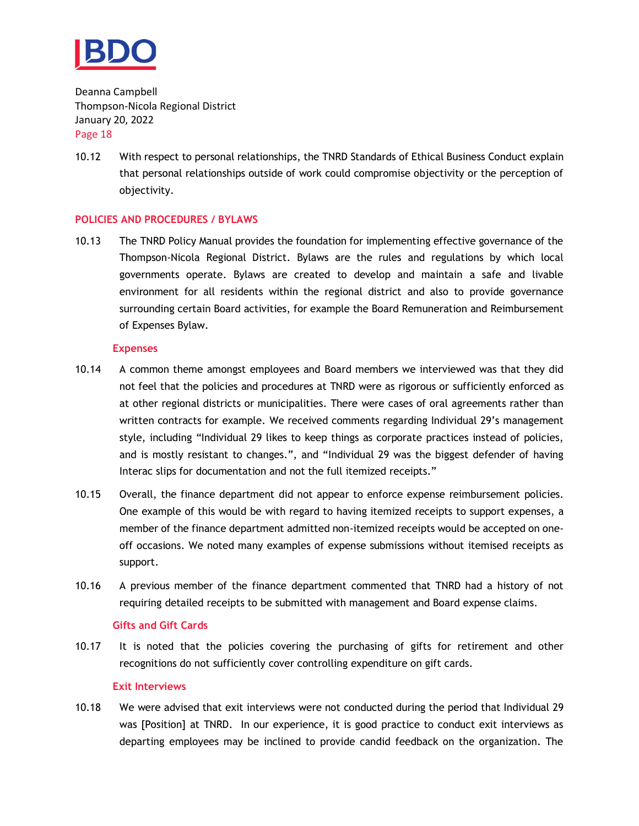

10.12 With respect to personal relationships, the TNRD Standards of Ethical Business Conduct explain that personal relationships outside of work could compromise objectivity or the perception of objectivity.

#### **POLICIES AND PROCEDURES / BYLAWS**

10.13 The TNRD Policy Manual provides the foundation for implementing effective governance of the Thompson-Nicola Regional District. Bylaws are the rules and regulations by which local governments operate. Bylaws are created to develop and maintain a safe and livable environment for all residents within the regional district and also to provide governance surrounding certain Board activities, for example the Board Remuneration and Reimbursement of Expenses Bylaw.

#### **Expenses**

- 10.14 A common theme amongst employees and Board members we interviewed was that they did not feel that the policies and procedures at TNRD were as rigorous or sufficiently enforced as at other regional districts or municipalities. There were cases of oral agreements rather than written contracts for example. We received comments regarding Individual 29's management style, including "Individual 29 likes to keep things as corporate practices instead of policies, and is mostly resistant to changes.", and "Individual 29 was the biggest defender of having Interac slips for documentation and not the full itemized receipts."
- 10.15 Overall, the finance department did not appear to enforce expense reimbursement policies. One example of this would be with regard to having itemized receipts to support expenses, a member of the finance department admitted non-itemized receipts would be accepted on oneoff occasions. We noted many examples of expense submissions without itemised receipts as support.
- 10.16 A previous member of the finance department commented that TNRD had a history of not requiring detailed receipts to be submitted with management and Board expense claims.

#### **Gifts and Gift Cards**

10.17 It is noted that the policies covering the purchasing of gifts for retirement and other recognitions do not sufficiently cover controlling expenditure on gift cards.

#### **Exit Interviews**

10.18 We were advised that exit interviews were not conducted during the period that Individual 29 was [Position] at TNRD. In our experience, it is good practice to conduct exit interviews as departing employees may be inclined to provide candid feedback on the organization. The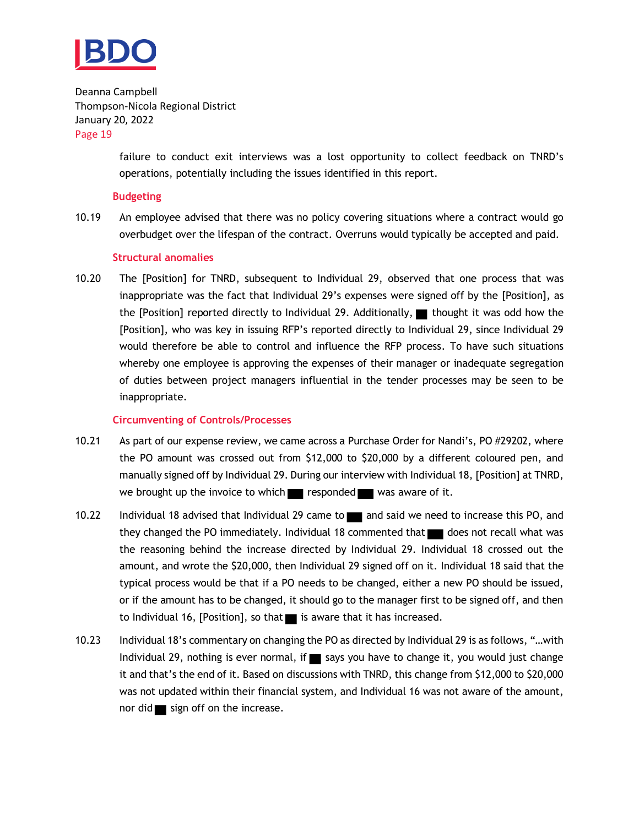

> failure to conduct exit interviews was a lost opportunity to collect feedback on TNRD's operations, potentially including the issues identified in this report.

#### **Budgeting**

10.19 An employee advised that there was no policy covering situations where a contract would go overbudget over the lifespan of the contract. Overruns would typically be accepted and paid.

#### **Structural anomalies**

10.20 The [Position] for TNRD, subsequent to Individual 29, observed that one process that was inappropriate was the fact that Individual 29's expenses were signed off by the [Position], as the [Position] reported directly to Individual 29. Additionally,  $\blacksquare$  thought it was odd how the [Position], who was key in issuing RFP's reported directly to Individual 29, since Individual 29 would therefore be able to control and influence the RFP process. To have such situations whereby one employee is approving the expenses of their manager or inadequate segregation of duties between project managers influential in the tender processes may be seen to be inappropriate.

#### **Circumventing of Controls/Processes**

- 10.21 As part of our expense review, we came across a Purchase Order for Nandi's, PO #29202, where the PO amount was crossed out from \$12,000 to \$20,000 by a different coloured pen, and manually signed off by Individual 29. During our interview with Individual 18, [Position] at TNRD, we brought up the invoice to which responded was aware of it.
- 10.22 Individual 18 advised that Individual 29 came to and said we need to increase this PO, and they changed the PO immediately. Individual 18 commented that  $\Box$  does not recall what was the reasoning behind the increase directed by Individual 29. Individual 18 crossed out the amount, and wrote the \$20,000, then Individual 29 signed off on it. Individual 18 said that the typical process would be that if a PO needs to be changed, either a new PO should be issued, or if the amount has to be changed, it should go to the manager first to be signed off, and then to Individual 16, [Position], so that  $\blacksquare$  is aware that it has increased.
- 10.23 Individual 18's commentary on changing the PO as directed by Individual 29 is as follows, "…with Individual 29, nothing is ever normal, if  $\blacksquare$  says you have to change it, you would just change it and that's the end of it. Based on discussions with TNRD, this change from \$12,000 to \$20,000 was not updated within their financial system, and Individual 16 was not aware of the amount, nor did  $\blacksquare$  sign off on the increase.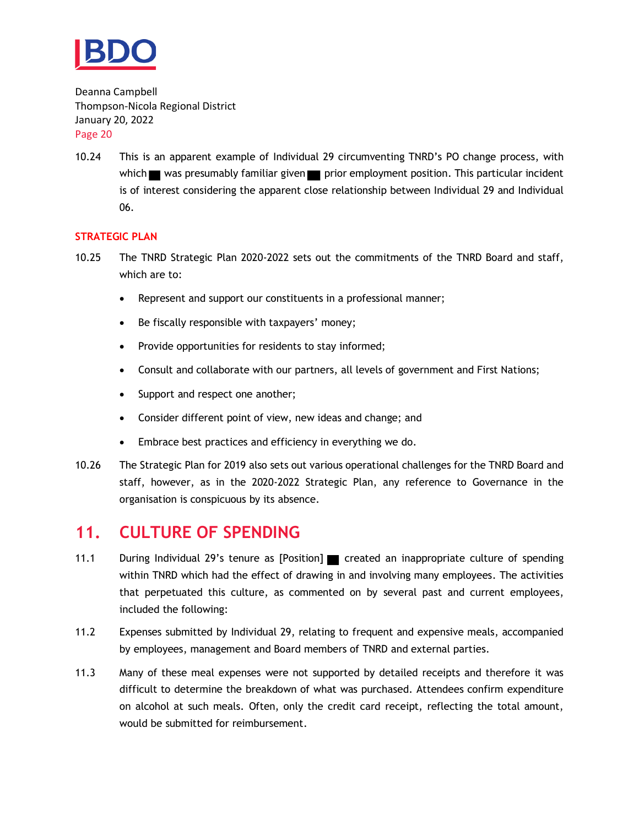

10.24 This is an apparent example of Individual 29 circumventing TNRD's PO change process, with which  $\blacksquare$  was presumably familiar given  $\blacksquare$  prior employment position. This particular incident is of interest considering the apparent close relationship between Individual 29 and Individual 06.

#### **STRATEGIC PLAN**

- 10.25 The TNRD Strategic Plan 2020-2022 sets out the commitments of the TNRD Board and staff, which are to:
	- Represent and support our constituents in a professional manner;
	- Be fiscally responsible with taxpayers' money;
	- Provide opportunities for residents to stay informed;
	- Consult and collaborate with our partners, all levels of government and First Nations;
	- Support and respect one another;
	- Consider different point of view, new ideas and change; and
	- Embrace best practices and efficiency in everything we do.
- 10.26 The Strategic Plan for 2019 also sets out various operational challenges for the TNRD Board and staff, however, as in the 2020-2022 Strategic Plan, any reference to Governance in the organisation is conspicuous by its absence.

## <span id="page-21-0"></span>**11. CULTURE OF SPENDING**

- 11.1 During Individual 29's tenure as [Position] created an inappropriate culture of spending within TNRD which had the effect of drawing in and involving many employees. The activities that perpetuated this culture, as commented on by several past and current employees, included the following:
- 11.2 Expenses submitted by Individual 29, relating to frequent and expensive meals, accompanied by employees, management and Board members of TNRD and external parties.
- 11.3 Many of these meal expenses were not supported by detailed receipts and therefore it was difficult to determine the breakdown of what was purchased. Attendees confirm expenditure on alcohol at such meals. Often, only the credit card receipt, reflecting the total amount, would be submitted for reimbursement.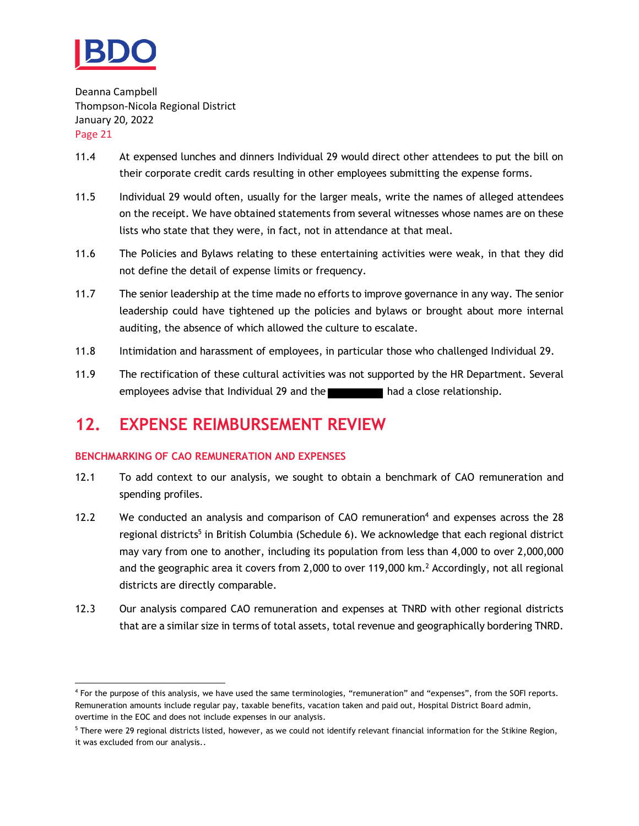

- 11.4 At expensed lunches and dinners Individual 29 would direct other attendees to put the bill on their corporate credit cards resulting in other employees submitting the expense forms.
- 11.5 Individual 29 would often, usually for the larger meals, write the names of alleged attendees on the receipt. We have obtained statements from several witnesses whose names are on these lists who state that they were, in fact, not in attendance at that meal.
- 11.6 The Policies and Bylaws relating to these entertaining activities were weak, in that they did not define the detail of expense limits or frequency.
- 11.7 The senior leadership at the time made no efforts to improve governance in any way. The senior leadership could have tightened up the policies and bylaws or brought about more internal auditing, the absence of which allowed the culture to escalate.
- 11.8 Intimidation and harassment of employees, in particular those who challenged Individual 29.
- 11.9 The rectification of these cultural activities was not supported by the HR Department. Several employees advise that Individual 29 and the **had a close relationship.**

## <span id="page-22-0"></span>**12. EXPENSE REIMBURSEMENT REVIEW**

#### **BENCHMARKING OF CAO REMUNERATION AND EXPENSES**

- 12.1 To add context to our analysis, we sought to obtain a benchmark of CAO remuneration and spending profiles.
- 12.2 We conducted an analysis and comparison of CAO remuneration<sup>4</sup> and expenses across the  $28$ regional districts<sup>5</sup> in British Columbia (Schedule 6). We acknowledge that each regional district may vary from one to another, including its population from less than 4,000 to over 2,000,000 and the geographic area it covers from 2,000 to over 119,000 km. <sup>2</sup> Accordingly, not all regional districts are directly comparable.
- 12.3 Our analysis compared CAO remuneration and expenses at TNRD with other regional districts that are a similar size in terms of total assets, total revenue and geographically bordering TNRD.

<sup>4</sup> For the purpose of this analysis, we have used the same terminologies, "remuneration" and "expenses", from the SOFI reports. Remuneration amounts include regular pay, taxable benefits, vacation taken and paid out, Hospital District Board admin, overtime in the EOC and does not include expenses in our analysis.

<sup>&</sup>lt;sup>5</sup> There were 29 regional districts listed, however, as we could not identify relevant financial information for the Stikine Region, it was excluded from our analysis..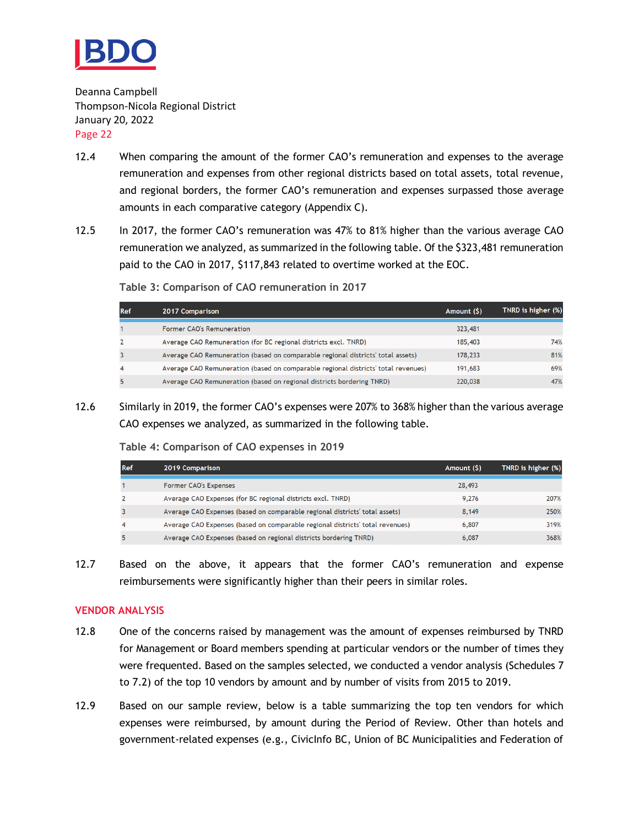

- 12.4 When comparing the amount of the former CAO's remuneration and expenses to the average remuneration and expenses from other regional districts based on total assets, total revenue, and regional borders, the former CAO's remuneration and expenses surpassed those average amounts in each comparative category (Appendix C).
- 12.5 In 2017, the former CAO's remuneration was 47% to 81% higher than the various average CAO remuneration we analyzed, as summarized in the following table. Of the \$323,481 remuneration paid to the CAO in 2017, \$117,843 related to overtime worked at the EOC.

**Table 3: Comparison of CAO remuneration in 2017**

| Ref | 2017 Comparison                                                                   | Amount (\$) | TNRD is higher (%) |
|-----|-----------------------------------------------------------------------------------|-------------|--------------------|
|     | Former CAO's Remuneration                                                         | 323,481     |                    |
|     | Average CAO Remuneration (for BC regional districts excl. TNRD)                   | 185,403     | 74%                |
|     | Average CAO Remuneration (based on comparable regional districts' total assets)   | 178,233     | 81%                |
| 4   | Average CAO Remuneration (based on comparable regional districts' total revenues) | 191,683     | 69%                |
|     | Average CAO Remuneration (based on regional districts bordering TNRD)             | 220,038     | 47%                |
|     |                                                                                   |             |                    |

12.6 Similarly in 2019, the former CAO's expenses were 207% to 368% higher than the various average CAO expenses we analyzed, as summarized in the following table.

**Table 4: Comparison of CAO expenses in 2019**

| Ref | 2019 Comparison                                                               | Amount (\$) | TNRD is higher (%) |
|-----|-------------------------------------------------------------------------------|-------------|--------------------|
|     | Former CAO's Expenses                                                         | 28,493      |                    |
|     | Average CAO Expenses (for BC regional districts excl. TNRD)                   | 9,276       | 207%               |
|     | Average CAO Expenses (based on comparable regional districts' total assets)   | 8,149       | 250%               |
|     | Average CAO Expenses (based on comparable regional districts' total revenues) | 6,807       | 319%               |
|     | Average CAO Expenses (based on regional districts bordering TNRD)             | 6,087       | 368%               |

12.7 Based on the above, it appears that the former CAO's remuneration and expense reimbursements were significantly higher than their peers in similar roles.

#### **VENDOR ANALYSIS**

- 12.8 One of the concerns raised by management was the amount of expenses reimbursed by TNRD for Management or Board members spending at particular vendors or the number of times they were frequented. Based on the samples selected, we conducted a vendor analysis (Schedules 7 to 7.2) of the top 10 vendors by amount and by number of visits from 2015 to 2019.
- 12.9 Based on our sample review, below is a table summarizing the top ten vendors for which expenses were reimbursed, by amount during the Period of Review. Other than hotels and government-related expenses (e.g., CivicInfo BC, Union of BC Municipalities and Federation of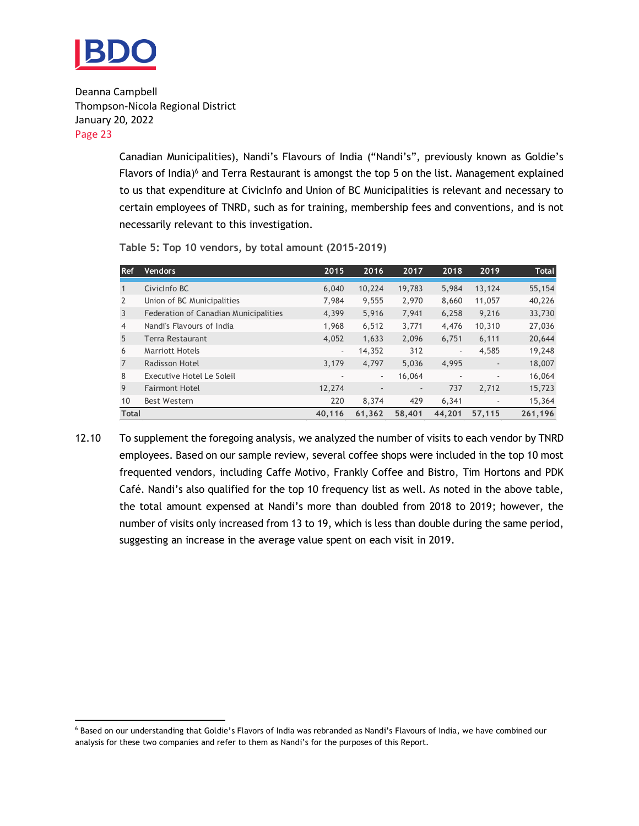

> Canadian Municipalities), Nandi's Flavours of India ("Nandi's", previously known as Goldie's Flavors of India) $6$  and Terra Restaurant is amongst the top 5 on the list. Management explained to us that expenditure at CivicInfo and Union of BC Municipalities is relevant and necessary to certain employees of TNRD, such as for training, membership fees and conventions, and is not necessarily relevant to this investigation.

| <b>Ref</b>     | <b>Vendors</b>                        | 2015   | 2016                     | 2017                     | 2018                     | 2019                     | <b>Total</b> |
|----------------|---------------------------------------|--------|--------------------------|--------------------------|--------------------------|--------------------------|--------------|
|                | CivicInfo BC                          | 6,040  | 10,224                   | 19,783                   | 5,984                    | 13,124                   | 55,154       |
| $\overline{2}$ | Union of BC Municipalities            | 7.984  | 9,555                    | 2,970                    | 8,660                    | 11,057                   | 40,226       |
| 3              | Federation of Canadian Municipalities | 4,399  | 5,916                    | 7,941                    | 6,258                    | 9,216                    | 33,730       |
| $\overline{4}$ | Nandi's Flavours of India             | 1,968  | 6,512                    | 3,771                    | 4,476                    | 10,310                   | 27,036       |
| 5              | Terra Restaurant                      | 4,052  | 1,633                    | 2,096                    | 6,751                    | 6,111                    | 20,644       |
| 6              | <b>Marriott Hotels</b>                | ٠      | 14,352                   | 312                      | $\overline{\phantom{a}}$ | 4,585                    | 19,248       |
| 7              | Radisson Hotel                        | 3,179  | 4.797                    | 5,036                    | 4,995                    | $\overline{\phantom{a}}$ | 18,007       |
| 8              | Executive Hotel Le Soleil             | ٠      | $\overline{\phantom{a}}$ | 16,064                   | $\overline{\phantom{a}}$ | ۰                        | 16,064       |
| 9              | <b>Fairmont Hotel</b>                 | 12,274 | $\overline{\phantom{a}}$ | $\overline{\phantom{a}}$ | 737                      | 2,712                    | 15,723       |
| 10             | Best Western                          | 220    | 8,374                    | 429                      | 6,341                    | $\overline{\phantom{a}}$ | 15,364       |
| <b>Total</b>   |                                       | 40,116 | 61,362                   | 58,401                   | 44,201                   | 57,115                   | 261,196      |

**Table 5: Top 10 vendors, by total amount (2015-2019)**

12.10 To supplement the foregoing analysis, we analyzed the number of visits to each vendor by TNRD employees. Based on our sample review, several coffee shops were included in the top 10 most frequented vendors, including Caffe Motivo, Frankly Coffee and Bistro, Tim Hortons and PDK Café. Nandi's also qualified for the top 10 frequency list as well. As noted in the above table, the total amount expensed at Nandi's more than doubled from 2018 to 2019; however, the number of visits only increased from 13 to 19, which is less than double during the same period, suggesting an increase in the average value spent on each visit in 2019.

<sup>6</sup> Based on our understanding that Goldie's Flavors of India was rebranded as Nandi's Flavours of India, we have combined our analysis for these two companies and refer to them as Nandi's for the purposes of this Report.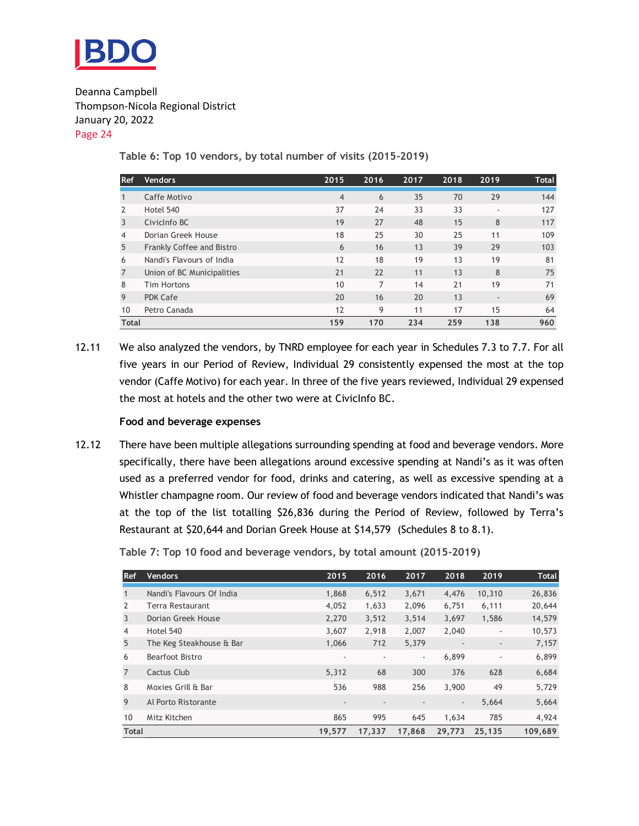

**Table 6: Top 10 vendors, by total number of visits (2015-2019)**

| <b>Ref</b>     | <b>Vendors</b>             | 2015           | 2016 | 2017 | 2018 | 2019                     | <b>Total</b> |
|----------------|----------------------------|----------------|------|------|------|--------------------------|--------------|
|                |                            |                |      |      |      |                          |              |
| $\mathbf{1}$   | Caffe Motivo               | $\overline{4}$ | 6    | 35   | 70   | 29                       | 144          |
| 2              | Hotel 540                  | 37             | 24   | 33   | 33   | ٠                        | 127          |
| 3              | CivicInfo BC               | 19             | 27   | 48   | 15   | 8                        | 117          |
| $\overline{4}$ | Dorian Greek House         | 18             | 25   | 30   | 25   | 11                       | 109          |
| 5              | Frankly Coffee and Bistro  | 6              | 16   | 13   | 39   | 29                       | 103          |
| 6              | Nandi's Flavours of India  | 12             | 18   | 19   | 13   | 19                       | 81           |
| $\overline{7}$ | Union of BC Municipalities | 21             | 22   | 11   | 13   | 8                        | 75           |
| 8              | <b>Tim Hortons</b>         | 10             | 7    | 14   | 21   | 19                       | 71           |
| 9              | <b>PDK Cafe</b>            | 20             | 16   | 20   | 13   | $\overline{\phantom{a}}$ | 69           |
| 10             | Petro Canada               | 12             | 9    | 11   | 17   | 15                       | 64           |
| <b>Total</b>   |                            | 159            | 170  | 234  | 259  | 138                      | 960          |

12.11 We also analyzed the vendors, by TNRD employee for each year in Schedules 7.3 to 7.7. For all five years in our Period of Review, Individual 29 consistently expensed the most at the top vendor (Caffe Motivo) for each year. In three of the five years reviewed, Individual 29 expensed the most at hotels and the other two were at CivicInfo BC.

#### **Food and beverage expenses**

12.12 There have been multiple allegations surrounding spending at food and beverage vendors. More specifically, there have been allegations around excessive spending at Nandi's as it was often used as a preferred vendor for food, drinks and catering, as well as excessive spending at a Whistler champagne room. Our review of food and beverage vendors indicated that Nandi's was at the top of the list totalling \$26,836 during the Period of Review, followed by Terra's Restaurant at \$20,644 and Dorian Greek House at \$14,579 (Schedules 8 to 8.1).

**Table 7: Top 10 food and beverage vendors, by total amount (2015-2019)**

| <b>Ref</b>     | <b>Vendors</b>            | 2015                     | 2016                     | 2017   | 2018                     | 2019                     | <b>Total</b> |
|----------------|---------------------------|--------------------------|--------------------------|--------|--------------------------|--------------------------|--------------|
|                | Nandi's Flavours Of India | 1,868                    | 6,512                    | 3,671  | 4,476                    | 10,310                   | 26,836       |
| 2              | Terra Restaurant          | 4,052                    | 1,633                    | 2,096  | 6,751                    | 6,111                    | 20,644       |
| 3              | Dorian Greek House        | 2,270                    | 3,512                    | 3,514  | 3,697                    | 1,586                    | 14,579       |
| 4              | Hotel 540                 | 3.607                    | 2,918                    | 2,007  | 2,040                    | $\overline{\phantom{a}}$ | 10,573       |
| 5              | The Keg Steakhouse & Bar  | 1,066                    | 712                      | 5,379  | $\overline{\phantom{a}}$ | $\overline{\phantom{a}}$ | 7,157        |
| 6              | Bearfoot Bistro           | $\overline{\phantom{a}}$ | $\overline{\phantom{a}}$ | ٠      | 6,899                    | ٠                        | 6,899        |
| $\overline{7}$ | Cactus Club               | 5,312                    | 68                       | 300    | 376                      | 628                      | 6,684        |
| 8              | Moxies Grill & Bar        | 536                      | 988                      | 256    | 3,900                    | 49                       | 5,729        |
| 9              | Al Porto Ristorante       | $\overline{\phantom{a}}$ | $\overline{\phantom{a}}$ |        | $\overline{\phantom{a}}$ | 5,664                    | 5,664        |
| 10             | Mitz Kitchen              | 865                      | 995                      | 645    | 1,634                    | 785                      | 4,924        |
| <b>Total</b>   |                           | 19,577                   | 17,337                   | 17,868 | 29,773                   | 25,135                   | 109,689      |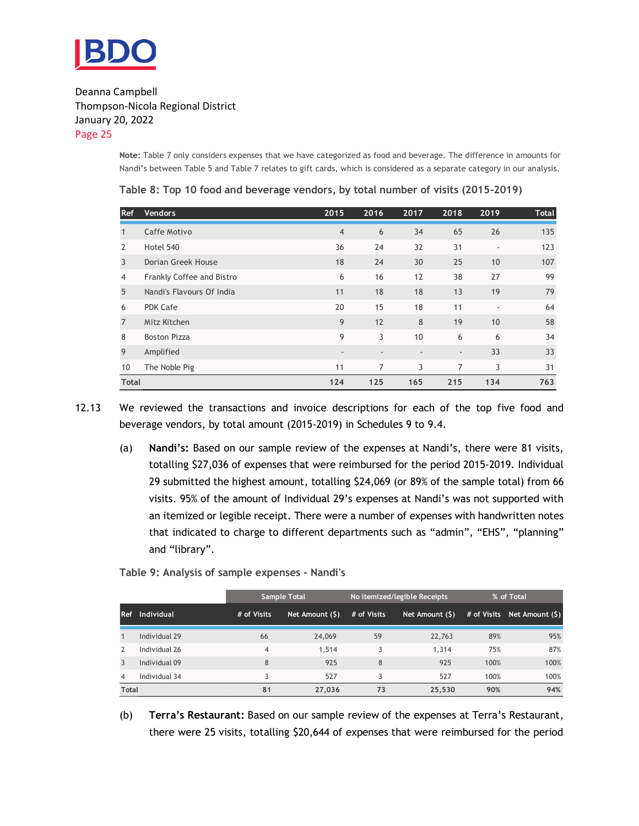

> **Note:** Table 7 only considers expenses that we have categorized as food and beverage. The difference in amounts for Nandi's between Table 5 and Table 7 relates to gift cards, which is considered as a separate category in our analysis.

| <b>Ref</b>     | <b>Vendors</b>            | 2015                     | 2016                     | 2017                     | 2018                     | 2019           | Total |
|----------------|---------------------------|--------------------------|--------------------------|--------------------------|--------------------------|----------------|-------|
|                | Caffe Motivo              | $\overline{4}$           | 6                        | 34                       | 65                       | 26             | 135   |
| $\overline{2}$ | Hotel 540                 | 36                       | 24                       | 32                       | 31                       | $\blacksquare$ | 123   |
| 3              | Dorian Greek House        | 18                       | 24                       | 30                       | 25                       | 10             | 107   |
| 4              | Frankly Coffee and Bistro | 6                        | 16                       | 12                       | 38                       | 27             | 99    |
| 5              | Nandi's Flavours Of India | 11                       | 18                       | 18                       | 13                       | 19             | 79    |
| 6              | <b>PDK Cafe</b>           | 20                       | 15                       | 18                       | 11                       | $\blacksquare$ | 64    |
| $\overline{7}$ | Mitz Kitchen              | 9                        | 12                       | 8                        | 19                       | 10             | 58    |
| 8              | <b>Boston Pizza</b>       | 9                        | 3                        | 10                       | 6                        | 6              | 34    |
| 9              | Amplified                 | $\overline{\phantom{a}}$ | $\overline{\phantom{a}}$ | $\overline{\phantom{a}}$ | $\overline{\phantom{a}}$ | 33             | 33    |
| 10             | The Noble Pig             | 11                       | 7                        | 3                        | 7                        | 3              | 31    |
| <b>Total</b>   |                           | 124                      | 125                      | 165                      | 215                      | 134            | 763   |

**Table 8: Top 10 food and beverage vendors, by total number of visits (2015-2019)**

12.13 We reviewed the transactions and invoice descriptions for each of the top five food and beverage vendors, by total amount (2015-2019) in Schedules 9 to 9.4.

(a) **Nandi's:** Based on our sample review of the expenses at Nandi's, there were 81 visits, totalling \$27,036 of expenses that were reimbursed for the period 2015-2019. Individual 29 submitted the highest amount, totalling \$24,069 (or 89% of the sample total) from 66 visits. 95% of the amount of Individual 29's expenses at Nandi's was not supported with an itemized or legible receipt. There were a number of expenses with handwritten notes that indicated to charge to different departments such as "admin", "EHS", "planning" and "library".

**Table 9: Analysis of sample expenses - Nandi's**

|                |                   |                | <b>Sample Total</b> |             | No itemized/legible Receipts | % of Total |                             |
|----------------|-------------------|----------------|---------------------|-------------|------------------------------|------------|-----------------------------|
| l Ref          | <b>Individual</b> | # of Visits    | Net Amount (\$)     | # of Visits | Net Amount (\$)              |            | # of Visits Net Amount (\$) |
|                | Individual 29     | 66             | 24,069              | 59          | 22,763                       | 89%        | 95%                         |
| $\mathcal{P}$  | Individual 26     | $\overline{4}$ | 1,514               | 3           | 1,314                        | 75%        | 87%                         |
| 3              | Individual 09     | 8              | 925                 | 8           | 925                          | 100%       | 100%                        |
| $\overline{4}$ | Individual 34     |                | 527                 |             | 527                          | 100%       | 100%                        |
| <b>Total</b>   |                   | 81             | 27,036              | 73          | 25,530                       | 90%        | 94%                         |

(b) **Terra's Restaurant:** Based on our sample review of the expenses at Terra's Restaurant, there were 25 visits, totalling \$20,644 of expenses that were reimbursed for the period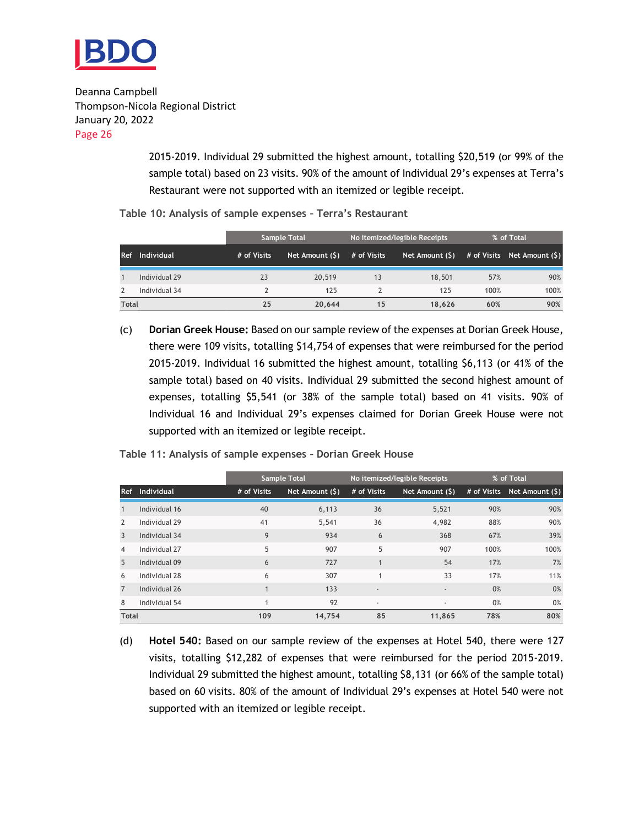

> 2015-2019. Individual 29 submitted the highest amount, totalling \$20,519 (or 99% of the sample total) based on 23 visits. 90% of the amount of Individual 29's expenses at Terra's Restaurant were not supported with an itemized or legible receipt.

|  |  |  |  |  | Table 10: Analysis of sample expenses - Terra's Restaurant |
|--|--|--|--|--|------------------------------------------------------------|
|--|--|--|--|--|------------------------------------------------------------|

|              |                   |             | <b>Sample Total</b> |             | No itemized/legible Receipts | % of Total |                                |  |
|--------------|-------------------|-------------|---------------------|-------------|------------------------------|------------|--------------------------------|--|
| Ref          | <b>Individual</b> | # of Visits | Net Amount (\$)     | # of Visits | Net Amount (\$)              |            | $#$ of Visits Net Amount $(S)$ |  |
|              | Individual 29     | 23          | 20,519              | 13          | 18,501                       | 57%        | 90%                            |  |
|              | Individual 34     |             | 125                 |             | 125                          | 100%       | 100%                           |  |
| <b>Total</b> |                   | 25          | 20.644              | 15          | 18.626                       | 60%        | 90%                            |  |

(c) **Dorian Greek House:** Based on our sample review of the expenses at Dorian Greek House, there were 109 visits, totalling \$14,754 of expenses that were reimbursed for the period 2015-2019. Individual 16 submitted the highest amount, totalling \$6,113 (or 41% of the sample total) based on 40 visits. Individual 29 submitted the second highest amount of expenses, totalling \$5,541 (or 38% of the sample total) based on 41 visits. 90% of Individual 16 and Individual 29's expenses claimed for Dorian Greek House were not supported with an itemized or legible receipt.

|                |               |             | <b>Sample Total</b> |                          | No itemized/legible Receipts | % of Total |                             |
|----------------|---------------|-------------|---------------------|--------------------------|------------------------------|------------|-----------------------------|
| <b>Ref</b>     | Individual    | # of Visits | Net Amount (\$)     | # of Visits              | Net Amount (\$)              |            | # of Visits Net Amount (\$) |
|                | Individual 16 | 40          | 6,113               | 36                       | 5,521                        | 90%        | 90%                         |
| $\overline{2}$ | Individual 29 | 41          | 5,541               | 36                       | 4,982                        | 88%        | 90%                         |
| $\overline{3}$ | Individual 34 | 9           | 934                 | 6                        | 368                          | 67%        | 39%                         |
| 4              | Individual 27 | 5           | 907                 | 5                        | 907                          | 100%       | 100%                        |
| 5              | Individual 09 | 6           | 727                 |                          | 54                           | 17%        | 7%                          |
| 6              | Individual 28 | 6           | 307                 |                          | 33                           | 17%        | 11%                         |
| $\overline{7}$ | Individual 26 |             | 133                 | $\overline{\phantom{a}}$ |                              | 0%         | 0%                          |
| 8              | Individual 54 |             | 92                  | $\sim$                   |                              | 0%         | 0%                          |
| <b>Total</b>   |               | 109         | 14.754              | 85                       | 11.865                       | 78%        | 80%                         |

**Table 11: Analysis of sample expenses – Dorian Greek House**

(d) **Hotel 540:** Based on our sample review of the expenses at Hotel 540, there were 127 visits, totalling \$12,282 of expenses that were reimbursed for the period 2015-2019. Individual 29 submitted the highest amount, totalling \$8,131 (or 66% of the sample total) based on 60 visits. 80% of the amount of Individual 29's expenses at Hotel 540 were not supported with an itemized or legible receipt.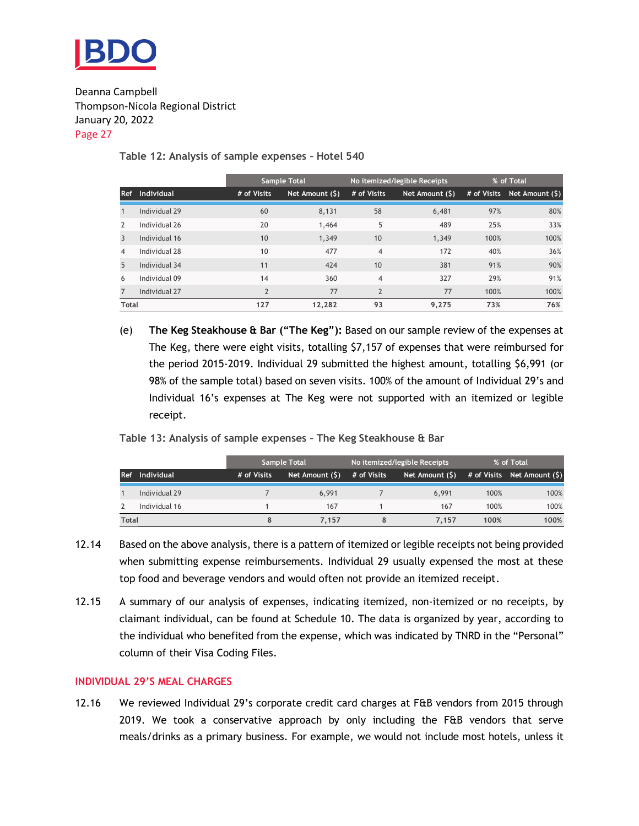

#### **Table 12: Analysis of sample expenses – Hotel 540**

|               |               |                          | <b>Sample Total</b> |                | No itemized/legible Receipts | % of Total |                             |
|---------------|---------------|--------------------------|---------------------|----------------|------------------------------|------------|-----------------------------|
| <b>Ref</b>    | Individual    | # of Visits              | Net Amount (\$)     | # of Visits    | Net Amount (\$)              |            | # of Visits Net Amount (\$) |
|               | Individual 29 | 60                       | 8.131               | 58             | 6,481                        | 97%        | 80%                         |
| $\mathcal{P}$ | Individual 26 | 20                       | 1,464               | 5              | 489                          | 25%        | 33%                         |
| 3             | Individual 16 | 10                       | 1,349               | 10             | 1.349                        | 100%       | 100%                        |
| 4             | Individual 28 | 10                       | 477                 | $\overline{4}$ | 172                          | 40%        | 36%                         |
| 5             | Individual 34 | 11                       | 424                 | 10             | 381                          | 91%        | 90%                         |
| 6             | Individual 09 | 14                       | 360                 | $\overline{4}$ | 327                          | 29%        | 91%                         |
|               | Individual 27 | $\overline{\phantom{a}}$ | 77                  | $\overline{2}$ | 77                           | 100%       | 100%                        |
| <b>Total</b>  |               | 127                      | 12.282              | 93             | 9.275                        | 73%        | 76%                         |

(e) **The Keg Steakhouse & Bar ("The Keg"):** Based on our sample review of the expenses at The Keg, there were eight visits, totalling \$7,157 of expenses that were reimbursed for the period 2015-2019. Individual 29 submitted the highest amount, totalling \$6,991 (or 98% of the sample total) based on seven visits. 100% of the amount of Individual 29's and Individual 16's expenses at The Keg were not supported with an itemized or legible receipt.

**Table 13: Analysis of sample expenses – The Keg Steakhouse & Bar**

|              |               |             | <b>Sample Total</b> |             | No itemized/legible Receipts | % of Total |                              |  |
|--------------|---------------|-------------|---------------------|-------------|------------------------------|------------|------------------------------|--|
| <b>Ref</b>   | Individual    | # of Visits | Net Amount (\$)     | # of Visits | Net Amount (\$)              |            | # of Visits Net Amount $(5)$ |  |
|              | Individual 29 |             | 6.991               |             | 6.991                        | 100%       | 100%                         |  |
|              | Individual 16 |             | 167                 |             | 167                          | 100%       | 100%                         |  |
| <b>Total</b> |               |             | 7.157               | 8           | 7.157                        | 100%       | 100%                         |  |

- 12.14 Based on the above analysis, there is a pattern of itemized or legible receipts not being provided when submitting expense reimbursements. Individual 29 usually expensed the most at these top food and beverage vendors and would often not provide an itemized receipt.
- 12.15 A summary of our analysis of expenses, indicating itemized, non-itemized or no receipts, by claimant individual, can be found at Schedule 10. The data is organized by year, according to the individual who benefited from the expense, which was indicated by TNRD in the "Personal" column of their Visa Coding Files.

#### **INDIVIDUAL 29'S MEAL CHARGES**

12.16 We reviewed Individual 29's corporate credit card charges at F&B vendors from 2015 through 2019. We took a conservative approach by only including the F&B vendors that serve meals/drinks as a primary business. For example, we would not include most hotels, unless it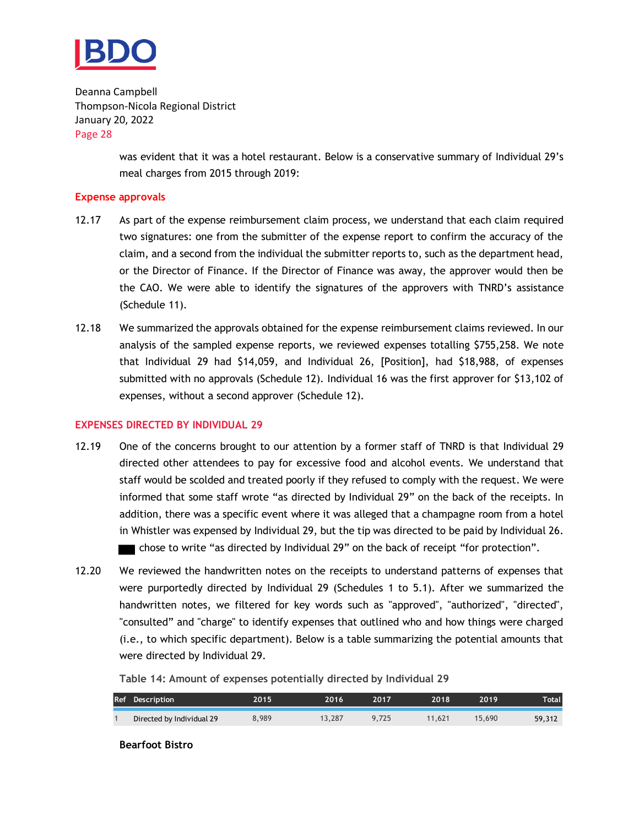

> was evident that it was a hotel restaurant. Below is a conservative summary of Individual 29's meal charges from 2015 through 2019:

#### **Expense approvals**

- 12.17 As part of the expense reimbursement claim process, we understand that each claim required two signatures: one from the submitter of the expense report to confirm the accuracy of the claim, and a second from the individual the submitter reports to, such as the department head, or the Director of Finance. If the Director of Finance was away, the approver would then be the CAO. We were able to identify the signatures of the approvers with TNRD's assistance (Schedule 11).
- 12.18 We summarized the approvals obtained for the expense reimbursement claims reviewed. In our analysis of the sampled expense reports, we reviewed expenses totalling \$755,258. We note that Individual 29 had \$14,059, and Individual 26, [Position], had \$18,988, of expenses submitted with no approvals (Schedule 12). Individual 16 was the first approver for \$13,102 of expenses, without a second approver (Schedule 12).

#### **EXPENSES DIRECTED BY INDIVIDUAL 29**

- 12.19 One of the concerns brought to our attention by a former staff of TNRD is that Individual 29 directed other attendees to pay for excessive food and alcohol events. We understand that staff would be scolded and treated poorly if they refused to comply with the request. We were informed that some staff wrote "as directed by Individual 29" on the back of the receipts. In addition, there was a specific event where it was alleged that a champagne room from a hotel in Whistler was expensed by Individual 29, but the tip was directed to be paid by Individual 26. chose to write "as directed by Individual 29" on the back of receipt "for protection".
- 12.20 We reviewed the handwritten notes on the receipts to understand patterns of expenses that were purportedly directed by Individual 29 (Schedules 1 to 5.1). After we summarized the handwritten notes, we filtered for key words such as "approved", "authorized", "directed", "consulted" and "charge" to identify expenses that outlined who and how things were charged (i.e., to which specific department). Below is a table summarizing the potential amounts that were directed by Individual 29.

**Table 14: Amount of expenses potentially directed by Individual 29**

| Ref Description           | 2015  | 2016   | 2017  | 2018   | 2019   | Total  |
|---------------------------|-------|--------|-------|--------|--------|--------|
| Directed by Individual 29 | გ.989 | 13.287 | 9.725 | 11.621 | 15,690 | 59,312 |

**Bearfoot Bistro**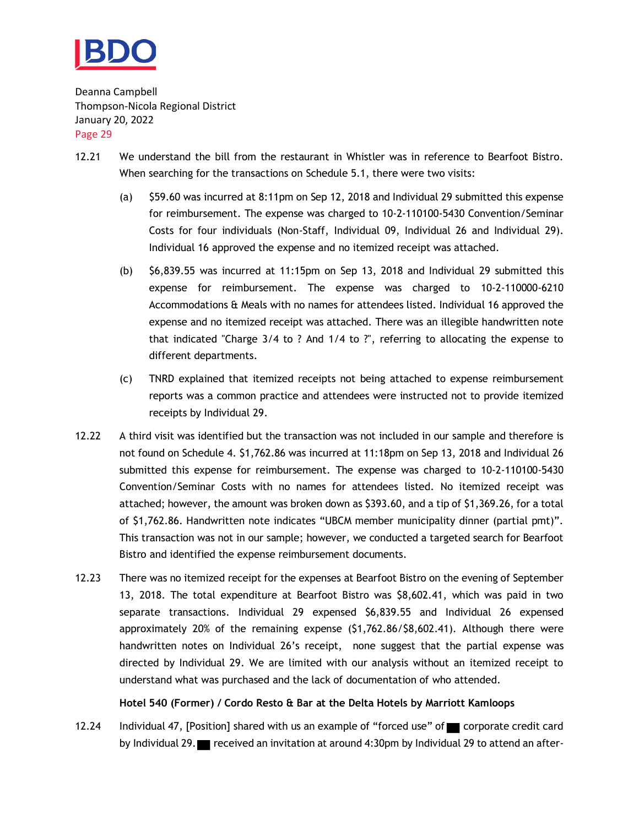

- 12.21 We understand the bill from the restaurant in Whistler was in reference to Bearfoot Bistro. When searching for the transactions on Schedule 5.1, there were two visits:
	- (a) \$59.60 was incurred at 8:11pm on Sep 12, 2018 and Individual 29 submitted this expense for reimbursement. The expense was charged to 10-2-110100-5430 Convention/Seminar Costs for four individuals (Non-Staff, Individual 09, Individual 26 and Individual 29). Individual 16 approved the expense and no itemized receipt was attached.
	- (b) \$6,839.55 was incurred at 11:15pm on Sep 13, 2018 and Individual 29 submitted this expense for reimbursement. The expense was charged to 10-2-110000-6210 Accommodations & Meals with no names for attendees listed. Individual 16 approved the expense and no itemized receipt was attached. There was an illegible handwritten note that indicated "Charge 3/4 to ? And 1/4 to ?", referring to allocating the expense to different departments.
	- (c) TNRD explained that itemized receipts not being attached to expense reimbursement reports was a common practice and attendees were instructed not to provide itemized receipts by Individual 29.
- 12.22 A third visit was identified but the transaction was not included in our sample and therefore is not found on Schedule 4. \$1,762.86 was incurred at 11:18pm on Sep 13, 2018 and Individual 26 submitted this expense for reimbursement. The expense was charged to 10-2-110100-5430 Convention/Seminar Costs with no names for attendees listed. No itemized receipt was attached; however, the amount was broken down as \$393.60, and a tip of \$1,369.26, for a total of \$1,762.86. Handwritten note indicates "UBCM member municipality dinner (partial pmt)". This transaction was not in our sample; however, we conducted a targeted search for Bearfoot Bistro and identified the expense reimbursement documents.
- 12.23 There was no itemized receipt for the expenses at Bearfoot Bistro on the evening of September 13, 2018. The total expenditure at Bearfoot Bistro was \$8,602.41, which was paid in two separate transactions. Individual 29 expensed \$6,839.55 and Individual 26 expensed approximately 20% of the remaining expense (\$1,762.86/\$8,602.41). Although there were handwritten notes on Individual 26's receipt, none suggest that the partial expense was directed by Individual 29. We are limited with our analysis without an itemized receipt to understand what was purchased and the lack of documentation of who attended.

#### **Hotel 540 (Former) / Cordo Resto & Bar at the Delta Hotels by Marriott Kamloops**

12.24 Individual 47, [Position] shared with us an example of "forced use" of corporate credit card by Individual 29. received an invitation at around 4:30pm by Individual 29 to attend an after-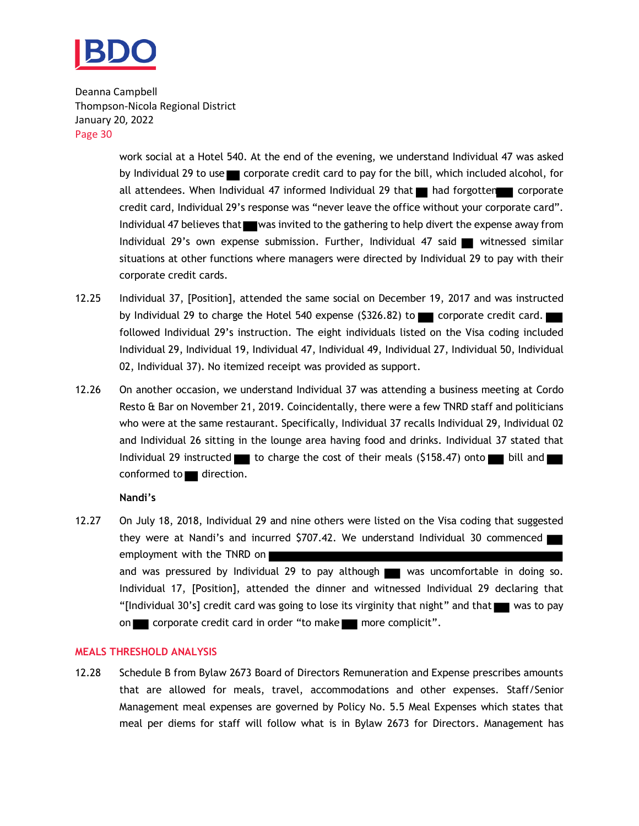

> work social at a Hotel 540. At the end of the evening, we understand Individual 47 was asked by Individual 29 to use  $\blacksquare$  corporate credit card to pay for the bill, which included alcohol, for all attendees. When Individual 47 informed Individual 29 that  $\blacksquare$  had forgotten corporate credit card, Individual 29's response was "never leave the office without your corporate card". Individual 47 believes that was invited to the gathering to help divert the expense away from Individual 29's own expense submission. Further, Individual 47 said witnessed similar situations at other functions where managers were directed by Individual 29 to pay with their corporate credit cards.

- 12.25 Individual 37, [Position], attended the same social on December 19, 2017 and was instructed by Individual 29 to charge the Hotel 540 expense (\$326.82) to  $\Box$  corporate credit card. followed Individual 29's instruction. The eight individuals listed on the Visa coding included Individual 29, Individual 19, Individual 47, Individual 49, Individual 27, Individual 50, Individual 02, Individual 37). No itemized receipt was provided as support.
- 12.26 On another occasion, we understand Individual 37 was attending a business meeting at Cordo Resto & Bar on November 21, 2019. Coincidentally, there were a few TNRD staff and politicians who were at the same restaurant. Specifically, Individual 37 recalls Individual 29, Individual 02 and Individual 26 sitting in the lounge area having food and drinks. Individual 37 stated that Individual 29 instructed to charge the cost of their meals (\$158.47) onto bill and  $conformed to$  direction.

#### **Nandi's**

12.27 On July 18, 2018, Individual 29 and nine others were listed on the Visa coding that suggested they were at Nandi's and incurred \$707.42. We understand Individual 30 commenced employment with the TNRD on and was pressured by Individual 29 to pay although was uncomfortable in doing so. Individual 17, [Position], attended the dinner and witnessed Individual 29 declaring that "[Individual 30's] credit card was going to lose its virginity that night" and that  $\blacksquare$  was to pay on corporate credit card in order "to make more complicit".

#### **MEALS THRESHOLD ANALYSIS**

12.28 Schedule B from Bylaw 2673 Board of Directors Remuneration and Expense prescribes amounts that are allowed for meals, travel, accommodations and other expenses. Staff/Senior Management meal expenses are governed by Policy No. 5.5 Meal Expenses which states that meal per diems for staff will follow what is in Bylaw 2673 for Directors. Management has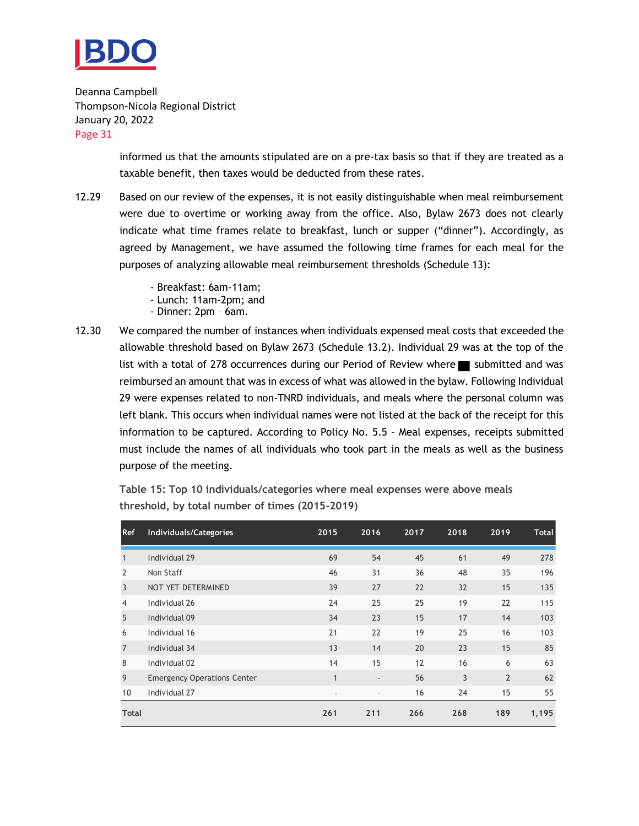

> informed us that the amounts stipulated are on a pre-tax basis so that if they are treated as a taxable benefit, then taxes would be deducted from these rates.

- 12.29 Based on our review of the expenses, it is not easily distinguishable when meal reimbursement were due to overtime or working away from the office. Also, Bylaw 2673 does not clearly indicate what time frames relate to breakfast, lunch or supper ("dinner"). Accordingly, as agreed by Management, we have assumed the following time frames for each meal for the purposes of analyzing allowable meal reimbursement thresholds (Schedule 13):
	- Breakfast: 6am-11am;
	- Lunch: 11am-2pm; and
	- Dinner: 2pm 6am.
- 12.30 We compared the number of instances when individuals expensed meal costs that exceeded the allowable threshold based on Bylaw 2673 (Schedule 13.2). Individual 29 was at the top of the list with a total of 278 occurrences during our Period of Review where  $\blacksquare$  submitted and was reimbursed an amount that was in excess of what was allowed in the bylaw. Following Individual 29 were expenses related to non-TNRD individuals, and meals where the personal column was left blank. This occurs when individual names were not listed at the back of the receipt for this information to be captured. According to Policy No. 5.5 – Meal expenses, receipts submitted must include the names of all individuals who took part in the meals as well as the business purpose of the meeting.

| <b>Ref</b>     | Individuals/Categories             | 2015         | 2016                     | 2017 | 2018 | 2019           | <b>Total</b> |
|----------------|------------------------------------|--------------|--------------------------|------|------|----------------|--------------|
| $\mathbf{1}$   | Individual 29                      | 69           | 54                       | 45   | 61   | 49             | 278          |
| 2              | Non Staff                          | 46           | 31                       | 36   | 48   | 35             | 196          |
| $\overline{3}$ | NOT YET DETERMINED                 | 39           | 27                       | 22   | 32   | 15             | 135          |
| $\overline{4}$ | Individual 26                      | 24           | 25                       | 25   | 19   | 22             | 115          |
| 5              | Individual 09                      | 34           | 23                       | 15   | 17   | 14             | 103          |
| 6              | Individual 16                      | 21           | 22                       | 19   | 25   | 16             | 103          |
| $\overline{7}$ | Individual 34                      | 13           | 14                       | 20   | 23   | 15             | 85           |
| 8              | Individual 02                      | 14           | 15                       | 12   | 16   | 6              | 63           |
| 9              | <b>Emergency Operations Center</b> | $\mathbf{1}$ | $\overline{\phantom{a}}$ | 56   | 3    | $\overline{2}$ | 62           |
| 10             | Individual 27                      | ٠            | $\overline{\phantom{a}}$ | 16   | 24   | 15             | 55           |
| <b>Total</b>   |                                    | 261          | 211                      | 266  | 268  | 189            | 1,195        |

**Table 15: Top 10 individuals/categories where meal expenses were above meals threshold, by total number of times (2015-2019)**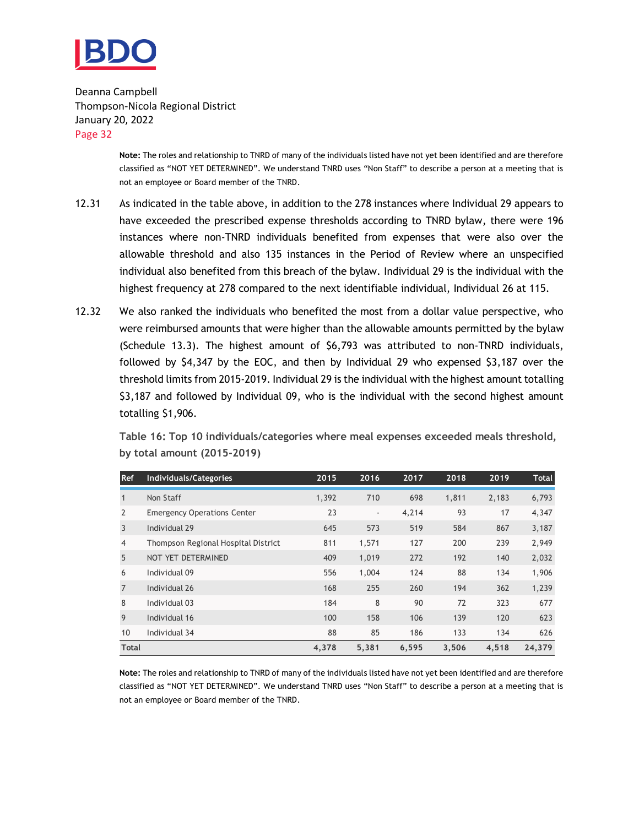

> **Note:** The roles and relationship to TNRD of many of the individuals listed have not yet been identified and are therefore classified as "NOT YET DETERMINED". We understand TNRD uses "Non Staff" to describe a person at a meeting that is not an employee or Board member of the TNRD.

- 12.31 As indicated in the table above, in addition to the 278 instances where Individual 29 appears to have exceeded the prescribed expense thresholds according to TNRD bylaw, there were 196 instances where non-TNRD individuals benefited from expenses that were also over the allowable threshold and also 135 instances in the Period of Review where an unspecified individual also benefited from this breach of the bylaw. Individual 29 is the individual with the highest frequency at 278 compared to the next identifiable individual, Individual 26 at 115.
- 12.32 We also ranked the individuals who benefited the most from a dollar value perspective, who were reimbursed amounts that were higher than the allowable amounts permitted by the bylaw (Schedule 13.3). The highest amount of \$6,793 was attributed to non-TNRD individuals, followed by \$4,347 by the EOC, and then by Individual 29 who expensed \$3,187 over the threshold limits from 2015-2019. Individual 29 is the individual with the highest amount totalling \$3,187 and followed by Individual 09, who is the individual with the second highest amount totalling \$1,906.

**Table 16: Top 10 individuals/categories where meal expenses exceeded meals threshold, by total amount (2015-2019)**

| <b>Ref</b>     | Individuals/Categories              | 2015  | 2016                     | 2017  | 2018  | 2019  | <b>Total</b> |
|----------------|-------------------------------------|-------|--------------------------|-------|-------|-------|--------------|
| $\mathbf{1}$   | Non Staff                           | 1,392 | 710                      | 698   | 1,811 | 2,183 | 6,793        |
| $\overline{2}$ | <b>Emergency Operations Center</b>  | 23    | $\overline{\phantom{a}}$ | 4,214 | 93    | 17    | 4,347        |
| $\overline{3}$ | Individual 29                       | 645   | 573                      | 519   | 584   | 867   | 3,187        |
| $\overline{4}$ | Thompson Regional Hospital District | 811   | 1,571                    | 127   | 200   | 239   | 2,949        |
| 5              | NOT YET DETERMINED                  | 409   | 1,019                    | 272   | 192   | 140   | 2,032        |
| 6              | Individual 09                       | 556   | 1,004                    | 124   | 88    | 134   | 1,906        |
| $\overline{7}$ | Individual 26                       | 168   | 255                      | 260   | 194   | 362   | 1,239        |
| 8              | Individual 03                       | 184   | 8                        | 90    | 72    | 323   | 677          |
| 9              | Individual 16                       | 100   | 158                      | 106   | 139   | 120   | 623          |
| 10             | Individual 34                       | 88    | 85                       | 186   | 133   | 134   | 626          |
| <b>Total</b>   |                                     | 4,378 | 5,381                    | 6,595 | 3,506 | 4,518 | 24,379       |

**Note:** The roles and relationship to TNRD of many of the individuals listed have not yet been identified and are therefore classified as "NOT YET DETERMINED". We understand TNRD uses "Non Staff" to describe a person at a meeting that is not an employee or Board member of the TNRD.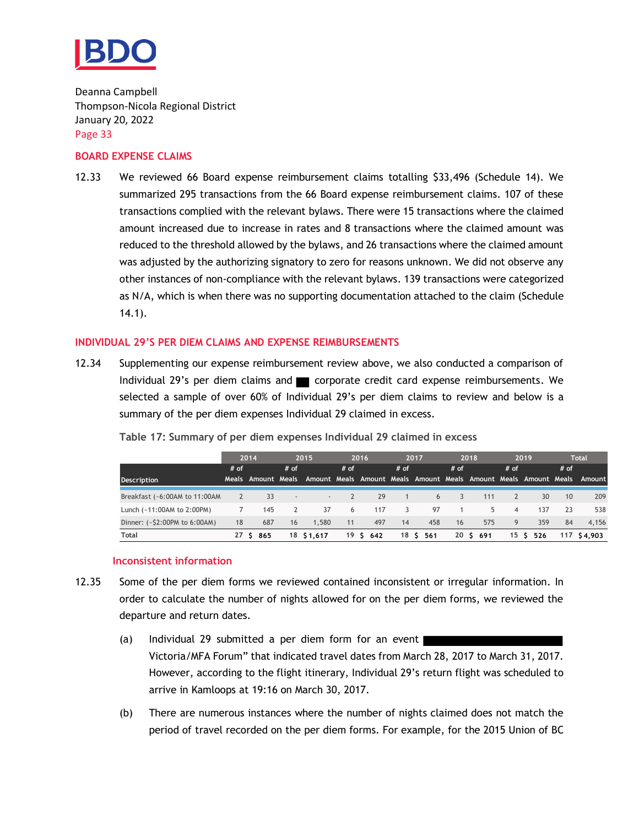

#### **BOARD EXPENSE CLAIMS**

12.33 We reviewed 66 Board expense reimbursement claims totalling \$33,496 (Schedule 14). We summarized 295 transactions from the 66 Board expense reimbursement claims. 107 of these transactions complied with the relevant bylaws. There were 15 transactions where the claimed amount increased due to increase in rates and 8 transactions where the claimed amount was reduced to the threshold allowed by the bylaws, and 26 transactions where the claimed amount was adjusted by the authorizing signatory to zero for reasons unknown. We did not observe any other instances of non-compliance with the relevant bylaws. 139 transactions were categorized as N/A, which is when there was no supporting documentation attached to the claim (Schedule 14.1).

#### **INDIVIDUAL 29'S PER DIEM CLAIMS AND EXPENSE REIMBURSEMENTS**

12.34 Supplementing our expense reimbursement review above, we also conducted a comparison of Individual 29's per diem claims and  $\blacksquare$  corporate credit card expense reimbursements. We selected a sample of over 60% of Individual 29's per diem claims to review and below is a summary of the per diem expenses Individual 29 claimed in excess.

|                                  |                | 2014      |               | 2015                                                                                       |              | 2016      |        | 2017        |        | 2018      |                | 2019      |                 | <b>Total</b> |
|----------------------------------|----------------|-----------|---------------|--------------------------------------------------------------------------------------------|--------------|-----------|--------|-------------|--------|-----------|----------------|-----------|-----------------|--------------|
|                                  | $#$ of         |           | $#$ of        |                                                                                            | $#$ of       |           | $#$ of |             | $#$ of |           | $#$ of         |           | $#$ of          |              |
| <b>Description</b>               |                |           |               | Meals Amount Meals Amount Meals Amount Meals Amount Meals Amount Meals Amount Meals Amount |              |           |        |             |        |           |                |           |                 |              |
| Breakfast (~6:00AM to 11:00AM    | $\overline{2}$ | 33        | $\sim$        | $\sim$                                                                                     | $\mathbf{2}$ | 29        |        | 6           |        | 111       |                | 30        | 10 <sup>1</sup> | 209          |
| Lunch (~11:00AM to 2:00PM)       |                | 145       | $\mathcal{P}$ | 37                                                                                         | 6            | 117       | 3      | 97          |        | 5.        | $\overline{4}$ | 137       | 23              | 538          |
| Dinner: $(-52:00PM$ to $6:00AM)$ | 18             | 687       | 16            | 1.580                                                                                      | 11           | 497       | 14     | 458         | 16     | 575       | 9              | 359       | 84              | 4.156        |
| Total                            |                | 27 \$ 865 |               | 18 \$1,617                                                                                 |              | 19 \$ 642 |        | 18 S<br>561 |        | 20 \$ 691 |                | 15 \$ 526 |                 | 117 \$4,903  |

**Table 17: Summary of per diem expenses Individual 29 claimed in excess**

#### **Inconsistent information**

- 12.35 Some of the per diem forms we reviewed contained inconsistent or irregular information. In order to calculate the number of nights allowed for on the per diem forms, we reviewed the departure and return dates.
	- (a) Individual 29 submitted a per diem form for an event Victoria/MFA Forum" that indicated travel dates from March 28, 2017 to March 31, 2017. However, according to the flight itinerary, Individual 29's return flight was scheduled to arrive in Kamloops at 19:16 on March 30, 2017.
	- (b) There are numerous instances where the number of nights claimed does not match the period of travel recorded on the per diem forms. For example, for the 2015 Union of BC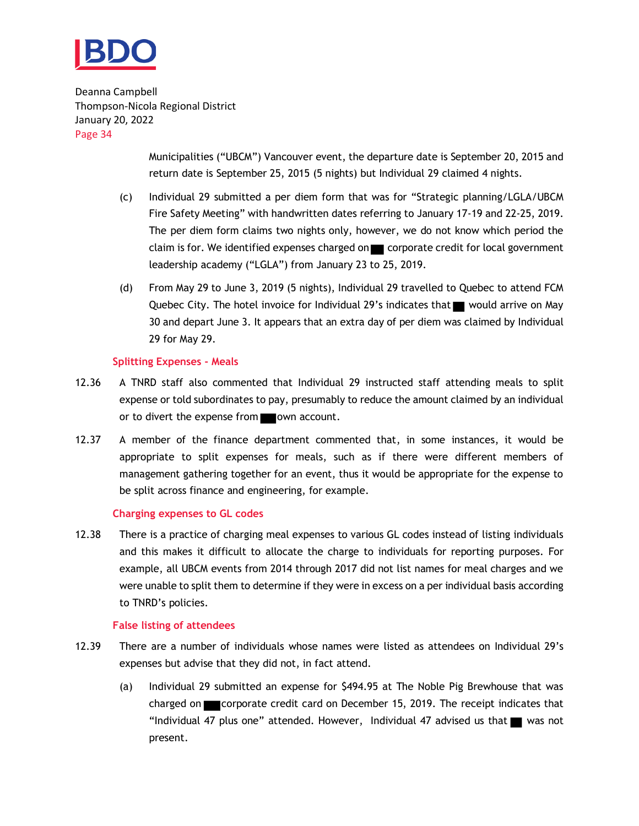

> Municipalities ("UBCM") Vancouver event, the departure date is September 20, 2015 and return date is September 25, 2015 (5 nights) but Individual 29 claimed 4 nights.

- (c) Individual 29 submitted a per diem form that was for "Strategic planning/LGLA/UBCM Fire Safety Meeting" with handwritten dates referring to January 17-19 and 22-25, 2019. The per diem form claims two nights only, however, we do not know which period the claim is for. We identified expenses charged on corporate credit for local government leadership academy ("LGLA") from January 23 to 25, 2019.
- (d) From May 29 to June 3, 2019 (5 nights), Individual 29 travelled to Quebec to attend FCM Quebec City. The hotel invoice for Individual 29's indicates that  $\blacksquare$  would arrive on May 30 and depart June 3. It appears that an extra day of per diem was claimed by Individual 29 for May 29.

#### **Splitting Expenses - Meals**

- 12.36 A TNRD staff also commented that Individual 29 instructed staff attending meals to split expense or told subordinates to pay, presumably to reduce the amount claimed by an individual or to divert the expense from own account.
- 12.37 A member of the finance department commented that, in some instances, it would be appropriate to split expenses for meals, such as if there were different members of management gathering together for an event, thus it would be appropriate for the expense to be split across finance and engineering, for example.

#### **Charging expenses to GL codes**

12.38 There is a practice of charging meal expenses to various GL codes instead of listing individuals and this makes it difficult to allocate the charge to individuals for reporting purposes. For example, all UBCM events from 2014 through 2017 did not list names for meal charges and we were unable to split them to determine if they were in excess on a per individual basis according to TNRD's policies.

#### **False listing of attendees**

- 12.39 There are a number of individuals whose names were listed as attendees on Individual 29's expenses but advise that they did not, in fact attend.
	- (a) Individual 29 submitted an expense for \$494.95 at The Noble Pig Brewhouse that was charged on **corporate credit card on December 15, 2019.** The receipt indicates that "Individual 47 plus one" attended. However, Individual 47 advised us that  $\blacksquare$  was not present.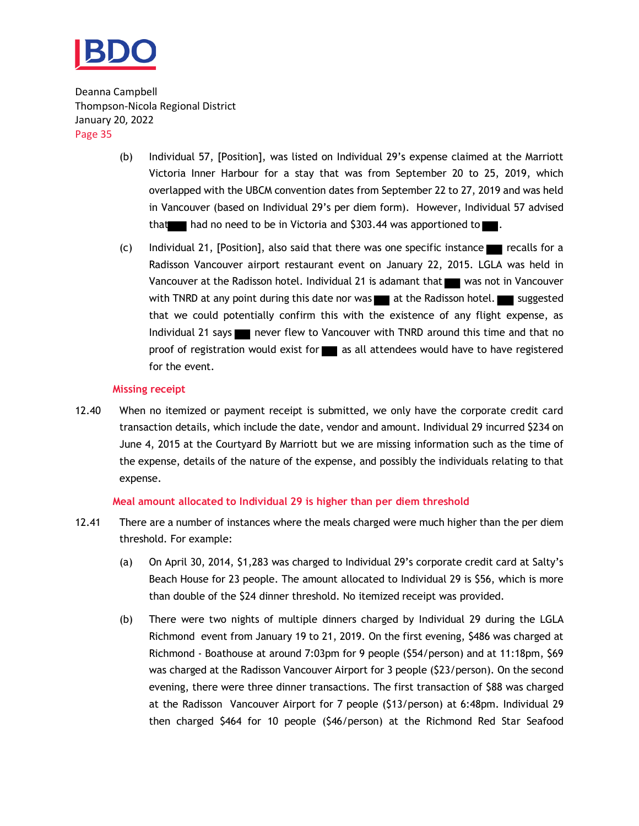

- (b) Individual 57, [Position], was listed on Individual 29's expense claimed at the Marriott Victoria Inner Harbour for a stay that was from September 20 to 25, 2019, which overlapped with the UBCM convention dates from September 22 to 27, 2019 and was held in Vancouver (based on Individual 29's per diem form). However, Individual 57 advised that had no need to be in Victoria and  $$303.44$  was apportioned to  $\blacksquare$ .
- (c) Individual 21, [Position], also said that there was one specific instance  $\blacksquare$  recalls for a Radisson Vancouver airport restaurant event on January 22, 2015. LGLA was held in Vancouver at the Radisson hotel. Individual 21 is adamant that was not in Vancouver with TNRD at any point during this date nor was **at the Radisson hotel.** Suggested that we could potentially confirm this with the existence of any flight expense, as Individual 21 says never flew to Vancouver with TNRD around this time and that no proof of registration would exist for a sall attendees would have to have registered for the event.

#### **Missing receipt**

12.40 When no itemized or payment receipt is submitted, we only have the corporate credit card transaction details, which include the date, vendor and amount. Individual 29 incurred \$234 on June 4, 2015 at the Courtyard By Marriott but we are missing information such as the time of the expense, details of the nature of the expense, and possibly the individuals relating to that expense.

#### **Meal amount allocated to Individual 29 is higher than per diem threshold**

- 12.41 There are a number of instances where the meals charged were much higher than the per diem threshold. For example:
	- (a) On April 30, 2014, \$1,283 was charged to Individual 29's corporate credit card at Salty's Beach House for 23 people. The amount allocated to Individual 29 is \$56, which is more than double of the \$24 dinner threshold. No itemized receipt was provided.
	- (b) There were two nights of multiple dinners charged by Individual 29 during the LGLA Richmond event from January 19 to 21, 2019. On the first evening, \$486 was charged at Richmond - Boathouse at around 7:03pm for 9 people (\$54/person) and at 11:18pm, \$69 was charged at the Radisson Vancouver Airport for 3 people (\$23/person). On the second evening, there were three dinner transactions. The first transaction of \$88 was charged at the Radisson Vancouver Airport for 7 people (\$13/person) at 6:48pm. Individual 29 then charged \$464 for 10 people (\$46/person) at the Richmond Red Star Seafood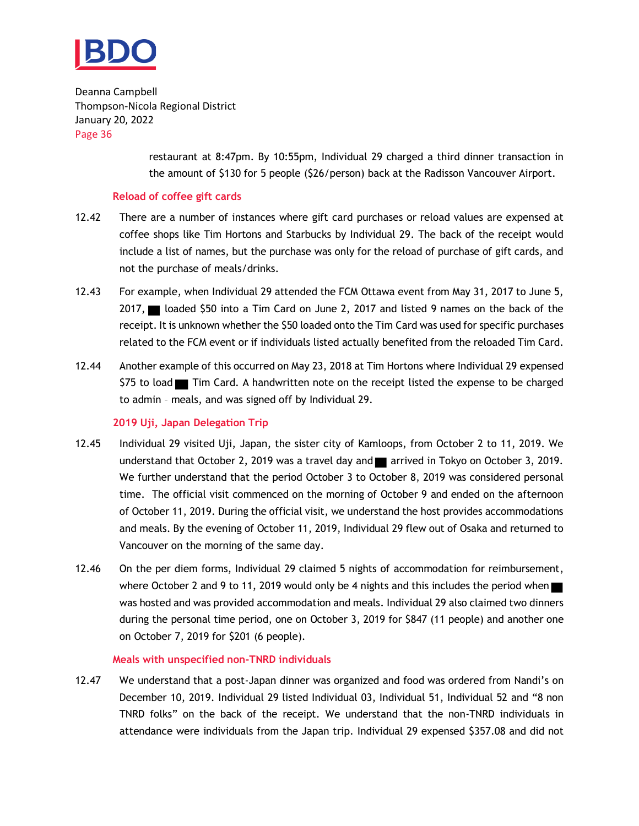

> restaurant at 8:47pm. By 10:55pm, Individual 29 charged a third dinner transaction in the amount of \$130 for 5 people (\$26/person) back at the Radisson Vancouver Airport.

#### **Reload of coffee gift cards**

- 12.42 There are a number of instances where gift card purchases or reload values are expensed at coffee shops like Tim Hortons and Starbucks by Individual 29. The back of the receipt would include a list of names, but the purchase was only for the reload of purchase of gift cards, and not the purchase of meals/drinks.
- 12.43 For example, when Individual 29 attended the FCM Ottawa event from May 31, 2017 to June 5,  $2017$ , and loaded \$50 into a Tim Card on June 2, 2017 and listed 9 names on the back of the receipt. It is unknown whether the \$50 loaded onto the Tim Card was used for specific purchases related to the FCM event or if individuals listed actually benefited from the reloaded Tim Card.
- 12.44 Another example of this occurred on May 23, 2018 at Tim Hortons where Individual 29 expensed \$75 to load Tim Card. A handwritten note on the receipt listed the expense to be charged to admin – meals, and was signed off by Individual 29.

#### **2019 Uji, Japan Delegation Trip**

- 12.45 Individual 29 visited Uji, Japan, the sister city of Kamloops, from October 2 to 11, 2019. We understand that October 2, 2019 was a travel day and  $\blacksquare$  arrived in Tokyo on October 3, 2019. We further understand that the period October 3 to October 8, 2019 was considered personal time. The official visit commenced on the morning of October 9 and ended on the afternoon of October 11, 2019. During the official visit, we understand the host provides accommodations and meals. By the evening of October 11, 2019, Individual 29 flew out of Osaka and returned to Vancouver on the morning of the same day.
- 12.46 On the per diem forms, Individual 29 claimed 5 nights of accommodation for reimbursement, where October 2 and 9 to 11, 2019 would only be 4 nights and this includes the period when was hosted and was provided accommodation and meals. Individual 29 also claimed two dinners during the personal time period, one on October 3, 2019 for \$847 (11 people) and another one on October 7, 2019 for \$201 (6 people).

#### **Meals with unspecified non-TNRD individuals**

12.47 We understand that a post-Japan dinner was organized and food was ordered from Nandi's on December 10, 2019. Individual 29 listed Individual 03, Individual 51, Individual 52 and "8 non TNRD folks" on the back of the receipt. We understand that the non-TNRD individuals in attendance were individuals from the Japan trip. Individual 29 expensed \$357.08 and did not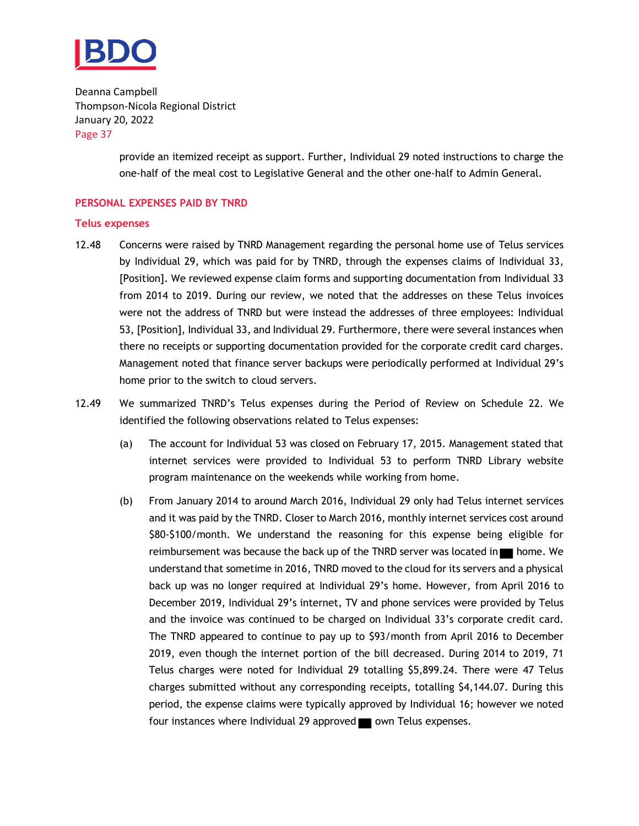

> provide an itemized receipt as support. Further, Individual 29 noted instructions to charge the one-half of the meal cost to Legislative General and the other one-half to Admin General.

#### **PERSONAL EXPENSES PAID BY TNRD**

#### **Telus expenses**

- 12.48 Concerns were raised by TNRD Management regarding the personal home use of Telus services by Individual 29, which was paid for by TNRD, through the expenses claims of Individual 33, [Position]. We reviewed expense claim forms and supporting documentation from Individual 33 from 2014 to 2019. During our review, we noted that the addresses on these Telus invoices were not the address of TNRD but were instead the addresses of three employees: Individual 53, [Position], Individual 33, and Individual 29. Furthermore, there were several instances when there no receipts or supporting documentation provided for the corporate credit card charges. Management noted that finance server backups were periodically performed at Individual 29's home prior to the switch to cloud servers.
- 12.49 We summarized TNRD's Telus expenses during the Period of Review on Schedule 22. We identified the following observations related to Telus expenses:
	- (a) The account for Individual 53 was closed on February 17, 2015. Management stated that internet services were provided to Individual 53 to perform TNRD Library website program maintenance on the weekends while working from home.
	- (b) From January 2014 to around March 2016, Individual 29 only had Telus internet services and it was paid by the TNRD. Closer to March 2016, monthly internet services cost around \$80-\$100/month. We understand the reasoning for this expense being eligible for reimbursement was because the back up of the TNRD server was located in  $\blacksquare$  home. We understand that sometime in 2016, TNRD moved to the cloud for its servers and a physical back up was no longer required at Individual 29's home. However, from April 2016 to December 2019, Individual 29's internet, TV and phone services were provided by Telus and the invoice was continued to be charged on Individual 33's corporate credit card. The TNRD appeared to continue to pay up to \$93/month from April 2016 to December 2019, even though the internet portion of the bill decreased. During 2014 to 2019, 71 Telus charges were noted for Individual 29 totalling \$5,899.24. There were 47 Telus charges submitted without any corresponding receipts, totalling \$4,144.07. During this period, the expense claims were typically approved by Individual 16; however we noted four instances where Individual 29 approved own Telus expenses.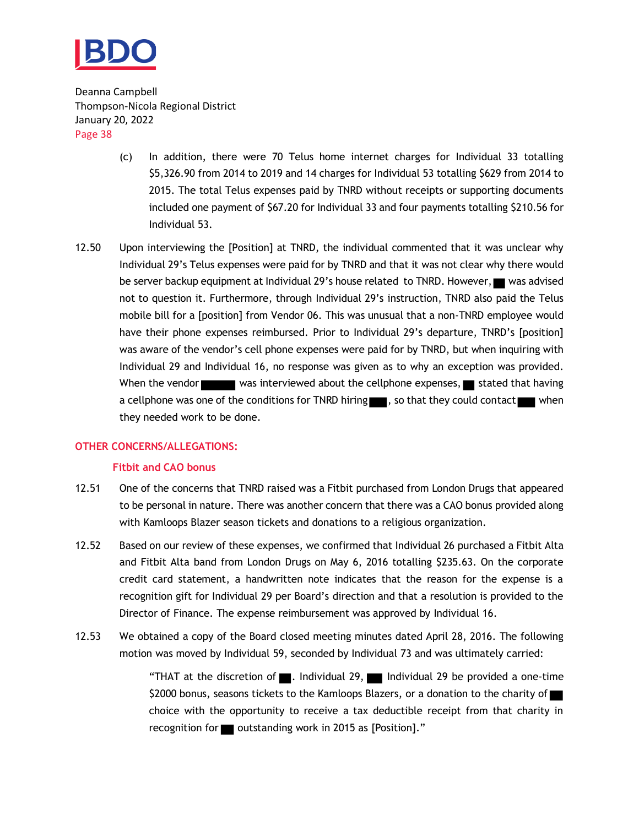

- (c) In addition, there were 70 Telus home internet charges for Individual 33 totalling \$5,326.90 from 2014 to 2019 and 14 charges for Individual 53 totalling \$629 from 2014 to 2015. The total Telus expenses paid by TNRD without receipts or supporting documents included one payment of \$67.20 for Individual 33 and four payments totalling \$210.56 for Individual 53.
- 12.50 Upon interviewing the [Position] at TNRD, the individual commented that it was unclear why Individual 29's Telus expenses were paid for by TNRD and that it was not clear why there would be server backup equipment at Individual 29's house related to TNRD. However, was advised not to question it. Furthermore, through Individual 29's instruction, TNRD also paid the Telus mobile bill for a [position] from Vendor 06. This was unusual that a non-TNRD employee would have their phone expenses reimbursed. Prior to Individual 29's departure, TNRD's [position] was aware of the vendor's cell phone expenses were paid for by TNRD, but when inquiring with Individual 29 and Individual 16, no response was given as to why an exception was provided. When the vendor was interviewed about the cellphone expenses, stated that having a cellphone was one of the conditions for TNRD hiring , so that they could contact when they needed work to be done.

#### **OTHER CONCERNS/ALLEGATIONS:**

#### **Fitbit and CAO bonus**

- 12.51 One of the concerns that TNRD raised was a Fitbit purchased from London Drugs that appeared to be personal in nature. There was another concern that there was a CAO bonus provided along with Kamloops Blazer season tickets and donations to a religious organization.
- 12.52 Based on our review of these expenses, we confirmed that Individual 26 purchased a Fitbit Alta and Fitbit Alta band from London Drugs on May 6, 2016 totalling \$235.63. On the corporate credit card statement, a handwritten note indicates that the reason for the expense is a recognition gift for Individual 29 per Board's direction and that a resolution is provided to the Director of Finance. The expense reimbursement was approved by Individual 16.
- 12.53 We obtained a copy of the Board closed meeting minutes dated April 28, 2016. The following motion was moved by Individual 59, seconded by Individual 73 and was ultimately carried:

"THAT at the discretion of  $\blacksquare$ . Individual 29,  $\blacksquare$  Individual 29 be provided a one-time \$2000 bonus, seasons tickets to the Kamloops Blazers, or a donation to the charity of choice with the opportunity to receive a tax deductible receipt from that charity in recognition for outstanding work in 2015 as [Position]."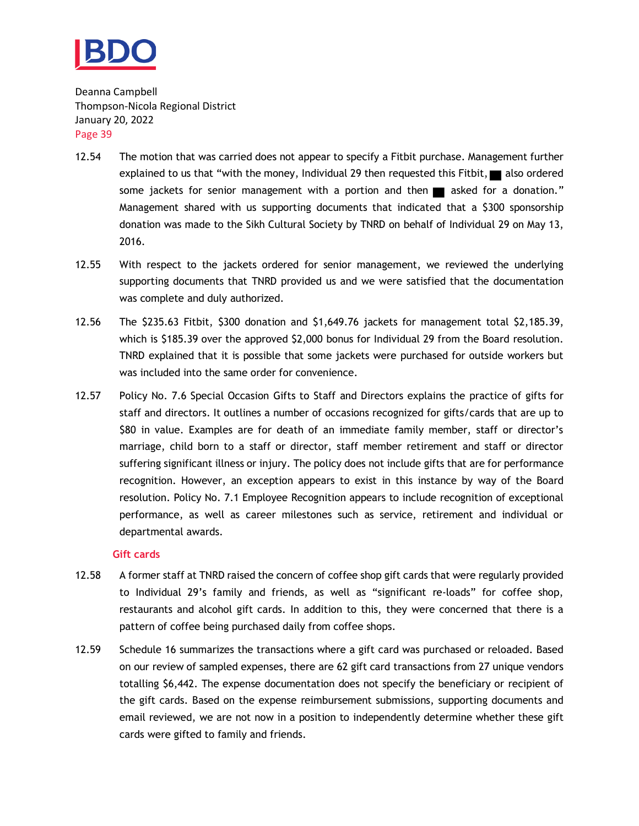

- 12.54 The motion that was carried does not appear to specify a Fitbit purchase. Management further explained to us that "with the money, Individual 29 then requested this Fitbit, also ordered some jackets for senior management with a portion and then  $\blacksquare$  asked for a donation." Management shared with us supporting documents that indicated that a \$300 sponsorship donation was made to the Sikh Cultural Society by TNRD on behalf of Individual 29 on May 13, 2016.
- 12.55 With respect to the jackets ordered for senior management, we reviewed the underlying supporting documents that TNRD provided us and we were satisfied that the documentation was complete and duly authorized.
- 12.56 The \$235.63 Fitbit, \$300 donation and \$1,649.76 jackets for management total \$2,185.39, which is \$185.39 over the approved \$2,000 bonus for Individual 29 from the Board resolution. TNRD explained that it is possible that some jackets were purchased for outside workers but was included into the same order for convenience.
- 12.57 Policy No. 7.6 Special Occasion Gifts to Staff and Directors explains the practice of gifts for staff and directors. It outlines a number of occasions recognized for gifts/cards that are up to \$80 in value. Examples are for death of an immediate family member, staff or director's marriage, child born to a staff or director, staff member retirement and staff or director suffering significant illness or injury. The policy does not include gifts that are for performance recognition. However, an exception appears to exist in this instance by way of the Board resolution. Policy No. 7.1 Employee Recognition appears to include recognition of exceptional performance, as well as career milestones such as service, retirement and individual or departmental awards.

#### **Gift cards**

- 12.58 A former staff at TNRD raised the concern of coffee shop gift cards that were regularly provided to Individual 29's family and friends, as well as "significant re-loads" for coffee shop, restaurants and alcohol gift cards. In addition to this, they were concerned that there is a pattern of coffee being purchased daily from coffee shops.
- 12.59 Schedule 16 summarizes the transactions where a gift card was purchased or reloaded. Based on our review of sampled expenses, there are 62 gift card transactions from 27 unique vendors totalling \$6,442. The expense documentation does not specify the beneficiary or recipient of the gift cards. Based on the expense reimbursement submissions, supporting documents and email reviewed, we are not now in a position to independently determine whether these gift cards were gifted to family and friends.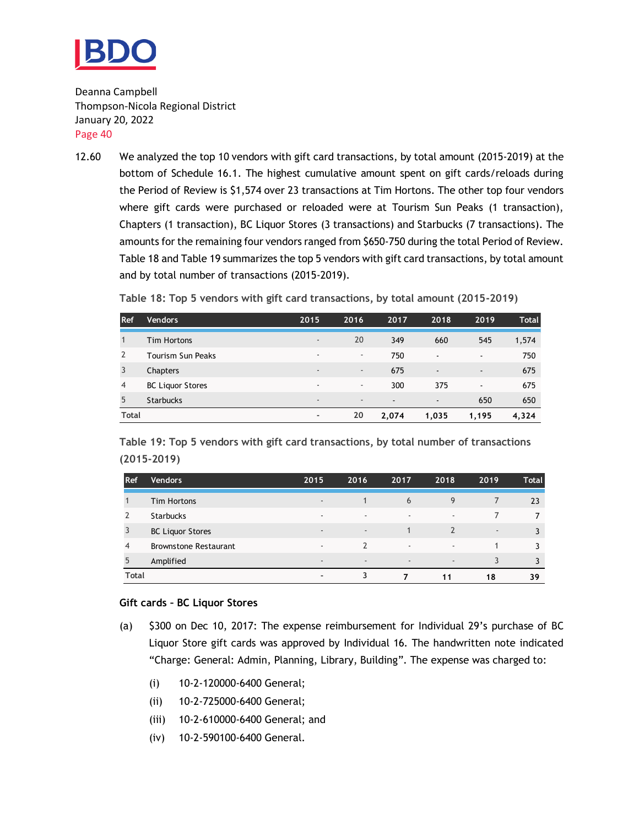

12.60 We analyzed the top 10 vendors with gift card transactions, by total amount (2015-2019) at the bottom of Schedule 16.1. The highest cumulative amount spent on gift cards/reloads during the Period of Review is \$1,574 over 23 transactions at Tim Hortons. The other top four vendors where gift cards were purchased or reloaded were at Tourism Sun Peaks (1 transaction), Chapters (1 transaction), BC Liquor Stores (3 transactions) and Starbucks (7 transactions). The amounts for the remaining four vendors ranged from \$650-750 during the total Period of Review. Table 18 and Table 19 summarizes the top 5 vendors with gift card transactions, by total amount and by total number of transactions (2015-2019).

**Table 18: Top 5 vendors with gift card transactions, by total amount (2015-2019)**

| Ref            | Vendors                 | 2015                     | 2016                     | 2017                     | 2018                     | 2019           | <b>Total</b> |
|----------------|-------------------------|--------------------------|--------------------------|--------------------------|--------------------------|----------------|--------------|
|                | <b>Tim Hortons</b>      | $\overline{\phantom{a}}$ | 20                       | 349                      | 660                      | 545            | 1,574        |
| 2              | Tourism Sun Peaks       | $\overline{\phantom{a}}$ | $\overline{\phantom{a}}$ | 750                      | $\overline{\phantom{a}}$ | $\blacksquare$ | 750          |
| 3              | Chapters                | $\overline{\phantom{a}}$ | $\overline{\phantom{a}}$ | 675                      | $\overline{\phantom{a}}$ | $\blacksquare$ | 675          |
| $\overline{4}$ | <b>BC Liquor Stores</b> | $\sim$                   | $\overline{\phantom{a}}$ | 300                      | 375                      | $\blacksquare$ | 675          |
| 5              | <b>Starbucks</b>        | $\overline{\phantom{a}}$ | $\overline{\phantom{a}}$ | $\overline{\phantom{a}}$ | $\overline{\phantom{a}}$ | 650            | 650          |
| <b>Total</b>   |                         | $\overline{\phantom{a}}$ | 20                       | 2.074                    | 1,035                    | 1,195          | 4,324        |

**Table 19: Top 5 vendors with gift card transactions, by total number of transactions (2015-2019)**

| <b>Ref</b>   | Vendors '                    | 2015                     | 2016                     | 2017                     | 2018                     | 2019                     | <b>Total</b> |
|--------------|------------------------------|--------------------------|--------------------------|--------------------------|--------------------------|--------------------------|--------------|
|              | <b>Tim Hortons</b>           | $\overline{\phantom{a}}$ | 1                        | 6                        | 9                        | 7                        | 23           |
|              | <b>Starbucks</b>             | $\overline{\phantom{a}}$ | $\overline{\phantom{a}}$ | $\overline{\phantom{a}}$ | $\overline{\phantom{a}}$ |                          |              |
| 3            | <b>BC Liquor Stores</b>      | $\sim$                   | $\overline{\phantom{a}}$ |                          | $\overline{2}$           | $\overline{\phantom{a}}$ |              |
| 4            | <b>Brownstone Restaurant</b> | $\sim$                   | $\mathcal{P}$            | $\sim$                   | $\overline{\phantom{a}}$ |                          |              |
| 5            | Amplified                    | $\sim$                   | $\overline{\phantom{a}}$ | $\overline{\phantom{a}}$ | $\overline{\phantom{a}}$ | 3                        |              |
| <b>Total</b> |                              | $\overline{\phantom{a}}$ | 3                        |                          | 11                       | 18                       | 39           |

#### **Gift cards – BC Liquor Stores**

- (a) \$300 on Dec 10, 2017: The expense reimbursement for Individual 29's purchase of BC Liquor Store gift cards was approved by Individual 16. The handwritten note indicated "Charge: General: Admin, Planning, Library, Building". The expense was charged to:
	- (i) 10-2-120000-6400 General;
	- (ii) 10-2-725000-6400 General;
	- (iii) 10-2-610000-6400 General; and
	- (iv) 10-2-590100-6400 General.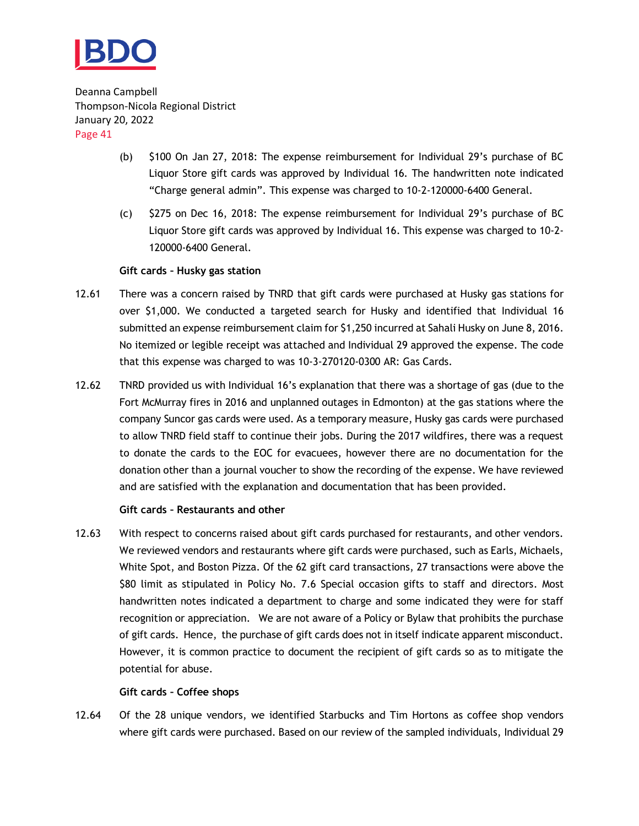

- (b) \$100 On Jan 27, 2018: The expense reimbursement for Individual 29's purchase of BC Liquor Store gift cards was approved by Individual 16. The handwritten note indicated "Charge general admin". This expense was charged to 10-2-120000-6400 General.
- (c) \$275 on Dec 16, 2018: The expense reimbursement for Individual 29's purchase of BC Liquor Store gift cards was approved by Individual 16. This expense was charged to 10-2- 120000-6400 General.

#### **Gift cards – Husky gas station**

- 12.61 There was a concern raised by TNRD that gift cards were purchased at Husky gas stations for over \$1,000. We conducted a targeted search for Husky and identified that Individual 16 submitted an expense reimbursement claim for \$1,250 incurred at Sahali Husky on June 8, 2016. No itemized or legible receipt was attached and Individual 29 approved the expense. The code that this expense was charged to was 10-3-270120-0300 AR: Gas Cards.
- 12.62 TNRD provided us with Individual 16's explanation that there was a shortage of gas (due to the Fort McMurray fires in 2016 and unplanned outages in Edmonton) at the gas stations where the company Suncor gas cards were used. As a temporary measure, Husky gas cards were purchased to allow TNRD field staff to continue their jobs. During the 2017 wildfires, there was a request to donate the cards to the EOC for evacuees, however there are no documentation for the donation other than a journal voucher to show the recording of the expense. We have reviewed and are satisfied with the explanation and documentation that has been provided.

#### **Gift cards – Restaurants and other**

12.63 With respect to concerns raised about gift cards purchased for restaurants, and other vendors. We reviewed vendors and restaurants where gift cards were purchased, such as Earls, Michaels, White Spot, and Boston Pizza. Of the 62 gift card transactions, 27 transactions were above the \$80 limit as stipulated in Policy No. 7.6 Special occasion gifts to staff and directors. Most handwritten notes indicated a department to charge and some indicated they were for staff recognition or appreciation. We are not aware of a Policy or Bylaw that prohibits the purchase of gift cards. Hence, the purchase of gift cards does not in itself indicate apparent misconduct. However, it is common practice to document the recipient of gift cards so as to mitigate the potential for abuse.

#### **Gift cards – Coffee shops**

12.64 Of the 28 unique vendors, we identified Starbucks and Tim Hortons as coffee shop vendors where gift cards were purchased. Based on our review of the sampled individuals, Individual 29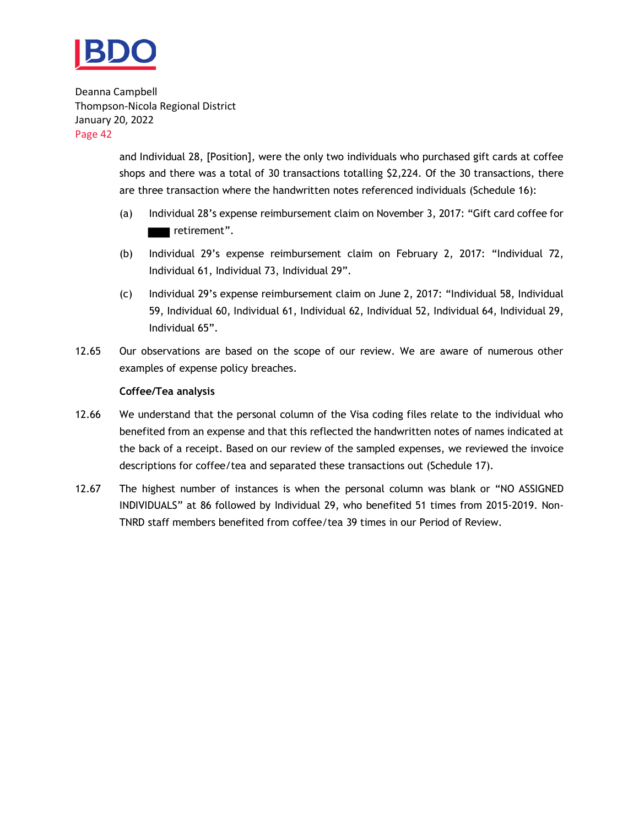

> and Individual 28, [Position], were the only two individuals who purchased gift cards at coffee shops and there was a total of 30 transactions totalling \$2,224. Of the 30 transactions, there are three transaction where the handwritten notes referenced individuals (Schedule 16):

- (a) Individual 28's expense reimbursement claim on November 3, 2017: "Gift card coffee for retirement".
- (b) Individual 29's expense reimbursement claim on February 2, 2017: "Individual 72, Individual 61, Individual 73, Individual 29".
- (c) Individual 29's expense reimbursement claim on June 2, 2017: "Individual 58, Individual 59, Individual 60, Individual 61, Individual 62, Individual 52, Individual 64, Individual 29, Individual 65".
- 12.65 Our observations are based on the scope of our review. We are aware of numerous other examples of expense policy breaches.

#### **Coffee/Tea analysis**

- 12.66 We understand that the personal column of the Visa coding files relate to the individual who benefited from an expense and that this reflected the handwritten notes of names indicated at the back of a receipt. Based on our review of the sampled expenses, we reviewed the invoice descriptions for coffee/tea and separated these transactions out (Schedule 17).
- 12.67 The highest number of instances is when the personal column was blank or "NO ASSIGNED INDIVIDUALS" at 86 followed by Individual 29, who benefited 51 times from 2015-2019. Non-TNRD staff members benefited from coffee/tea 39 times in our Period of Review.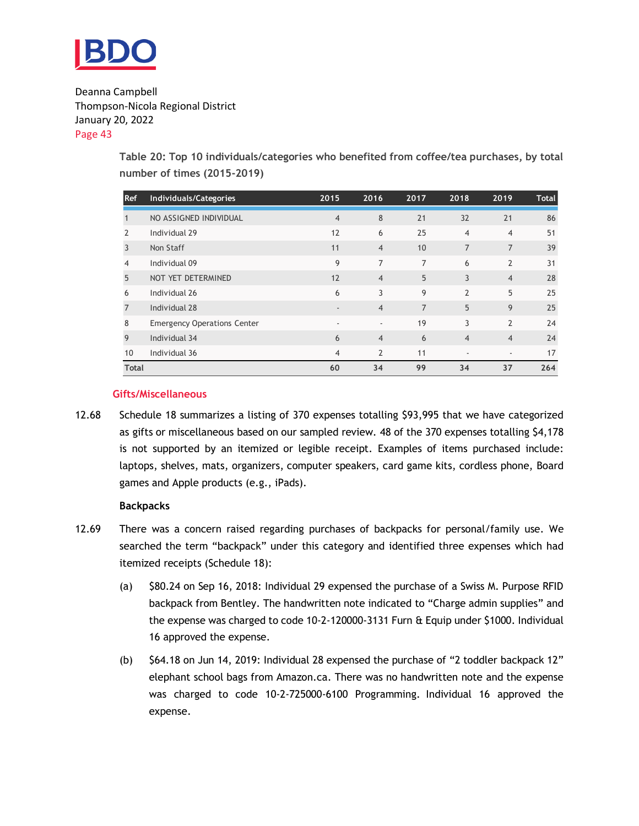

> **Table 20: Top 10 individuals/categories who benefited from coffee/tea purchases, by total number of times (2015-2019)**

| Ref            | Individuals/Categories             | 2015                     | 2016           | 2017           | 2018           | 2019           | Total |
|----------------|------------------------------------|--------------------------|----------------|----------------|----------------|----------------|-------|
| Т.             | NO ASSIGNED INDIVIDUAL             | $\overline{4}$           | 8              | 21             | 32             | 21             | 86    |
| $\overline{2}$ | Individual 29                      | 12                       | 6              | 25             | $\overline{4}$ | $\overline{4}$ | 51    |
| 3              | Non Staff                          | 11                       | $\overline{4}$ | 10             | $\overline{7}$ | 7              | 39    |
| 4              | Individual 09                      | 9                        | $\overline{7}$ | $\overline{7}$ | 6              | $\overline{2}$ | 31    |
| 5              | NOT YET DETERMINED                 | 12                       | $\overline{4}$ | 5              | 3              | $\overline{4}$ | 28    |
| 6              | Individual 26                      | 6                        | 3              | 9              | $\overline{2}$ | 5              | 25    |
| 7              | Individual 28                      | $\overline{\phantom{a}}$ | $\overline{4}$ | $\overline{7}$ | 5              | 9              | 25    |
| 8              | <b>Emergency Operations Center</b> | ٠                        | ٠              | 19             | 3              | $\overline{2}$ | 24    |
| 9              | Individual 34                      | 6                        | $\overline{4}$ | 6              | $\overline{4}$ | $\overline{4}$ | 24    |
| 10             | Individual 36                      | $\overline{4}$           | $\overline{2}$ | 11             | ٠              | ٠              | 17    |
| <b>Total</b>   |                                    | 60                       | 34             | 99             | 34             | 37             | 264   |

#### **Gifts/Miscellaneous**

12.68 Schedule 18 summarizes a listing of 370 expenses totalling \$93,995 that we have categorized as gifts or miscellaneous based on our sampled review. 48 of the 370 expenses totalling \$4,178 is not supported by an itemized or legible receipt. Examples of items purchased include: laptops, shelves, mats, organizers, computer speakers, card game kits, cordless phone, Board games and Apple products (e.g., iPads).

#### **Backpacks**

- 12.69 There was a concern raised regarding purchases of backpacks for personal/family use. We searched the term "backpack" under this category and identified three expenses which had itemized receipts (Schedule 18):
	- (a) \$80.24 on Sep 16, 2018: Individual 29 expensed the purchase of a Swiss M. Purpose RFID backpack from Bentley. The handwritten note indicated to "Charge admin supplies" and the expense was charged to code 10-2-120000-3131 Furn & Equip under \$1000. Individual 16 approved the expense.
	- (b) \$64.18 on Jun 14, 2019: Individual 28 expensed the purchase of "2 toddler backpack 12" elephant school bags from Amazon.ca. There was no handwritten note and the expense was charged to code 10-2-725000-6100 Programming. Individual 16 approved the expense.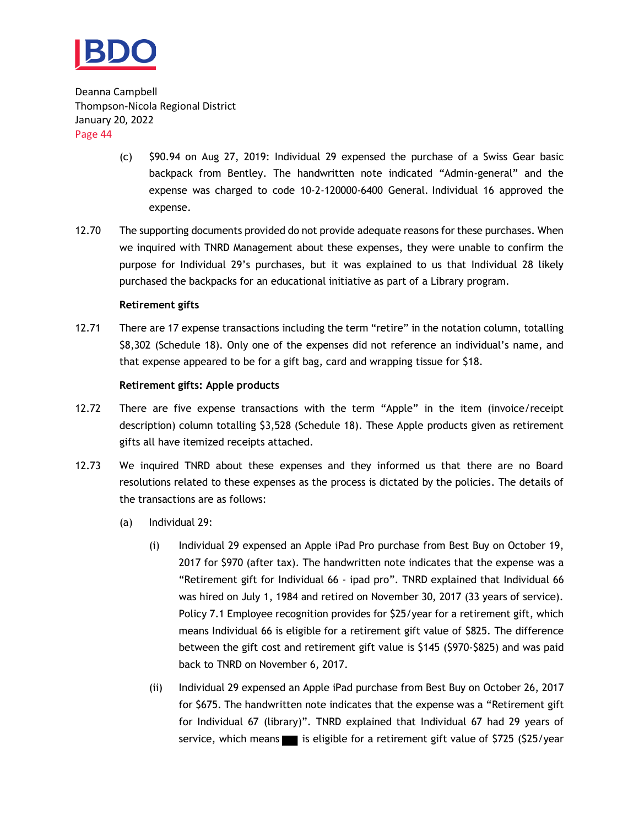

- (c) \$90.94 on Aug 27, 2019: Individual 29 expensed the purchase of a Swiss Gear basic backpack from Bentley. The handwritten note indicated "Admin-general" and the expense was charged to code 10-2-120000-6400 General. Individual 16 approved the expense.
- 12.70 The supporting documents provided do not provide adequate reasons for these purchases. When we inquired with TNRD Management about these expenses, they were unable to confirm the purpose for Individual 29's purchases, but it was explained to us that Individual 28 likely purchased the backpacks for an educational initiative as part of a Library program.

#### **Retirement gifts**

12.71 There are 17 expense transactions including the term "retire" in the notation column, totalling \$8,302 (Schedule 18). Only one of the expenses did not reference an individual's name, and that expense appeared to be for a gift bag, card and wrapping tissue for \$18.

#### **Retirement gifts: Apple products**

- 12.72 There are five expense transactions with the term "Apple" in the item (invoice/receipt description) column totalling \$3,528 (Schedule 18). These Apple products given as retirement gifts all have itemized receipts attached.
- 12.73 We inquired TNRD about these expenses and they informed us that there are no Board resolutions related to these expenses as the process is dictated by the policies. The details of the transactions are as follows:
	- (a) Individual 29:
		- (i) Individual 29 expensed an Apple iPad Pro purchase from Best Buy on October 19, 2017 for \$970 (after tax). The handwritten note indicates that the expense was a "Retirement gift for Individual 66 - ipad pro". TNRD explained that Individual 66 was hired on July 1, 1984 and retired on November 30, 2017 (33 years of service). Policy 7.1 Employee recognition provides for \$25/year for a retirement gift, which means Individual 66 is eligible for a retirement gift value of \$825. The difference between the gift cost and retirement gift value is \$145 (\$970-\$825) and was paid back to TNRD on November 6, 2017.
		- (ii) Individual 29 expensed an Apple iPad purchase from Best Buy on October 26, 2017 for \$675. The handwritten note indicates that the expense was a "Retirement gift for Individual 67 (library)". TNRD explained that Individual 67 had 29 years of service, which means is eligible for a retirement gift value of \$725 (\$25/year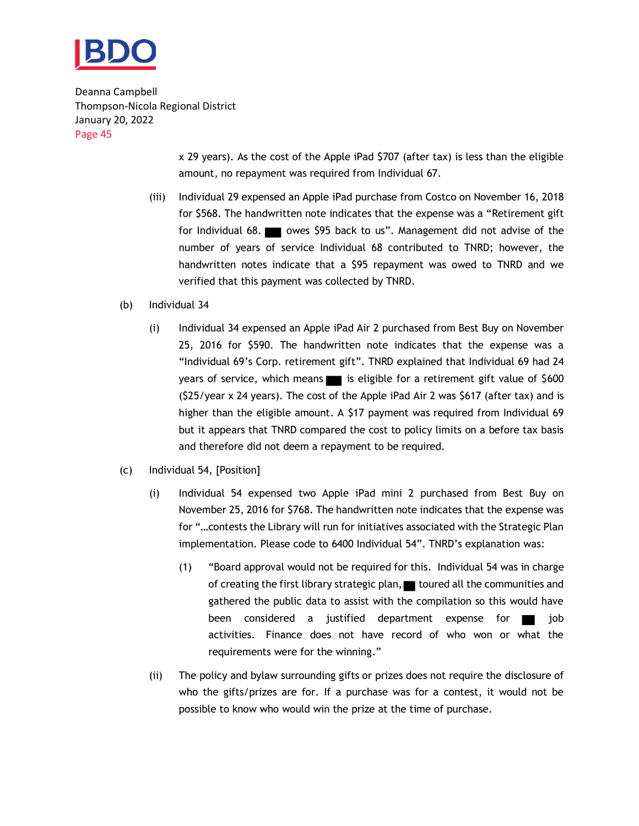

> x 29 years). As the cost of the Apple iPad \$707 (after tax) is less than the eligible amount, no repayment was required from Individual 67.

- (iii) Individual 29 expensed an Apple iPad purchase from Costco on November 16, 2018 for \$568. The handwritten note indicates that the expense was a "Retirement gift for Individual 68. owes \$95 back to us". Management did not advise of the number of years of service Individual 68 contributed to TNRD; however, the handwritten notes indicate that a \$95 repayment was owed to TNRD and we verified that this payment was collected by TNRD.
- (b) Individual 34
	- (i) Individual 34 expensed an Apple iPad Air 2 purchased from Best Buy on November 25, 2016 for \$590. The handwritten note indicates that the expense was a "Individual 69's Corp. retirement gift". TNRD explained that Individual 69 had 24 years of service, which means is eligible for a retirement gift value of \$600 (\$25/year x 24 years). The cost of the Apple iPad Air 2 was \$617 (after tax) and is higher than the eligible amount. A \$17 payment was required from Individual 69 but it appears that TNRD compared the cost to policy limits on a before tax basis and therefore did not deem a repayment to be required.
- (c) Individual 54, [Position]
	- (i) Individual 54 expensed two Apple iPad mini 2 purchased from Best Buy on November 25, 2016 for \$768. The handwritten note indicates that the expense was for "…contests the Library will run for initiatives associated with the Strategic Plan implementation. Please code to 6400 Individual 54". TNRD's explanation was:
		- (1) "Board approval would not be required for this. Individual 54 was in charge of creating the first library strategic plan, toured all the communities and gathered the public data to assist with the compilation so this would have been considered a justified department expense for **the set of** job activities. Finance does not have record of who won or what the requirements were for the winning."
	- (ii) The policy and bylaw surrounding gifts or prizes does not require the disclosure of who the gifts/prizes are for. If a purchase was for a contest, it would not be possible to know who would win the prize at the time of purchase.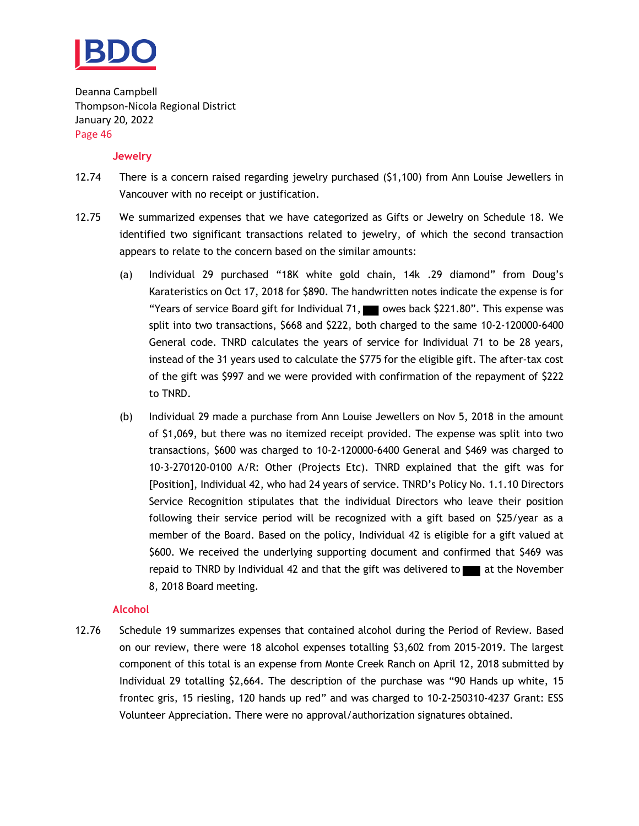

#### **Jewelry**

- 12.74 There is a concern raised regarding jewelry purchased (\$1,100) from Ann Louise Jewellers in Vancouver with no receipt or justification.
- 12.75 We summarized expenses that we have categorized as Gifts or Jewelry on Schedule 18. We identified two significant transactions related to jewelry, of which the second transaction appears to relate to the concern based on the similar amounts:
	- (a) Individual 29 purchased "18K white gold chain, 14k .29 diamond" from Doug's Karateristics on Oct 17, 2018 for \$890. The handwritten notes indicate the expense is for "Years of service Board gift for Individual 71, we owes back \$221.80". This expense was split into two transactions, \$668 and \$222, both charged to the same 10-2-120000-6400 General code. TNRD calculates the years of service for Individual 71 to be 28 years, instead of the 31 years used to calculate the \$775 for the eligible gift. The after-tax cost of the gift was \$997 and we were provided with confirmation of the repayment of \$222 to TNRD.
	- (b) Individual 29 made a purchase from Ann Louise Jewellers on Nov 5, 2018 in the amount of \$1,069, but there was no itemized receipt provided. The expense was split into two transactions, \$600 was charged to 10-2-120000-6400 General and \$469 was charged to 10-3-270120-0100 A/R: Other (Projects Etc). TNRD explained that the gift was for [Position], Individual 42, who had 24 years of service. TNRD's Policy No. 1.1.10 Directors Service Recognition stipulates that the individual Directors who leave their position following their service period will be recognized with a gift based on \$25/year as a member of the Board. Based on the policy, Individual 42 is eligible for a gift valued at \$600. We received the underlying supporting document and confirmed that \$469 was repaid to TNRD by Individual 42 and that the gift was delivered to  $\blacksquare$  at the November 8, 2018 Board meeting.

#### **Alcohol**

12.76 Schedule 19 summarizes expenses that contained alcohol during the Period of Review. Based on our review, there were 18 alcohol expenses totalling \$3,602 from 2015-2019. The largest component of this total is an expense from Monte Creek Ranch on April 12, 2018 submitted by Individual 29 totalling \$2,664. The description of the purchase was "90 Hands up white, 15 frontec gris, 15 riesling, 120 hands up red" and was charged to 10-2-250310-4237 Grant: ESS Volunteer Appreciation. There were no approval/authorization signatures obtained.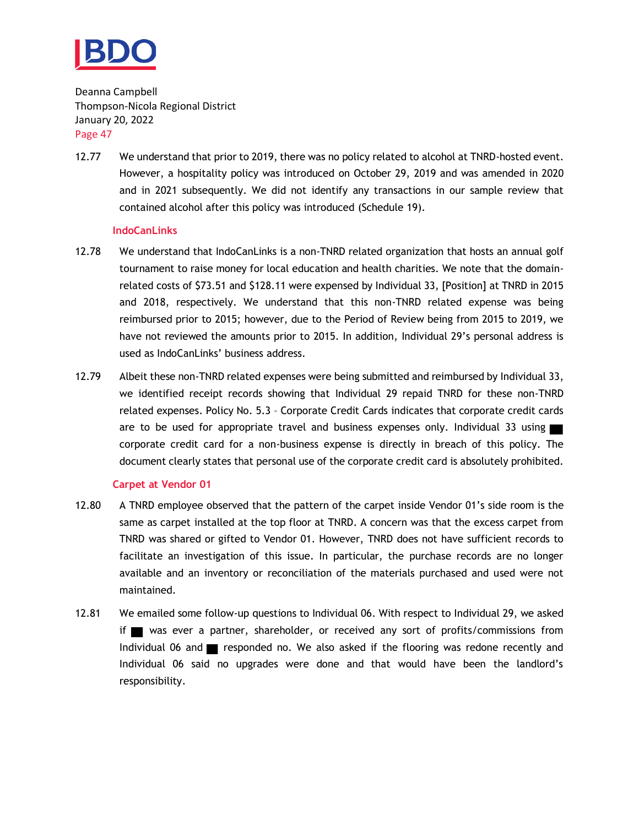

12.77 We understand that prior to 2019, there was no policy related to alcohol at TNRD-hosted event. However, a hospitality policy was introduced on October 29, 2019 and was amended in 2020 and in 2021 subsequently. We did not identify any transactions in our sample review that contained alcohol after this policy was introduced (Schedule 19).

#### **IndoCanLinks**

- 12.78 We understand that IndoCanLinks is a non-TNRD related organization that hosts an annual golf tournament to raise money for local education and health charities. We note that the domainrelated costs of \$73.51 and \$128.11 were expensed by Individual 33, [Position] at TNRD in 2015 and 2018, respectively. We understand that this non-TNRD related expense was being reimbursed prior to 2015; however, due to the Period of Review being from 2015 to 2019, we have not reviewed the amounts prior to 2015. In addition, Individual 29's personal address is used as IndoCanLinks' business address.
- 12.79 Albeit these non-TNRD related expenses were being submitted and reimbursed by Individual 33, we identified receipt records showing that Individual 29 repaid TNRD for these non-TNRD related expenses. Policy No. 5.3 – Corporate Credit Cards indicates that corporate credit cards are to be used for appropriate travel and business expenses only. Individual 33 using corporate credit card for a non-business expense is directly in breach of this policy. The document clearly states that personal use of the corporate credit card is absolutely prohibited.

#### **Carpet at Vendor 01**

- 12.80 A TNRD employee observed that the pattern of the carpet inside Vendor 01's side room is the same as carpet installed at the top floor at TNRD. A concern was that the excess carpet from TNRD was shared or gifted to Vendor 01. However, TNRD does not have sufficient records to facilitate an investigation of this issue. In particular, the purchase records are no longer available and an inventory or reconciliation of the materials purchased and used were not maintained.
- 12.81 We emailed some follow-up questions to Individual 06. With respect to Individual 29, we asked if was ever a partner, shareholder, or received any sort of profits/commissions from Individual 06 and  $\blacksquare$  responded no. We also asked if the flooring was redone recently and Individual 06 said no upgrades were done and that would have been the landlord's responsibility.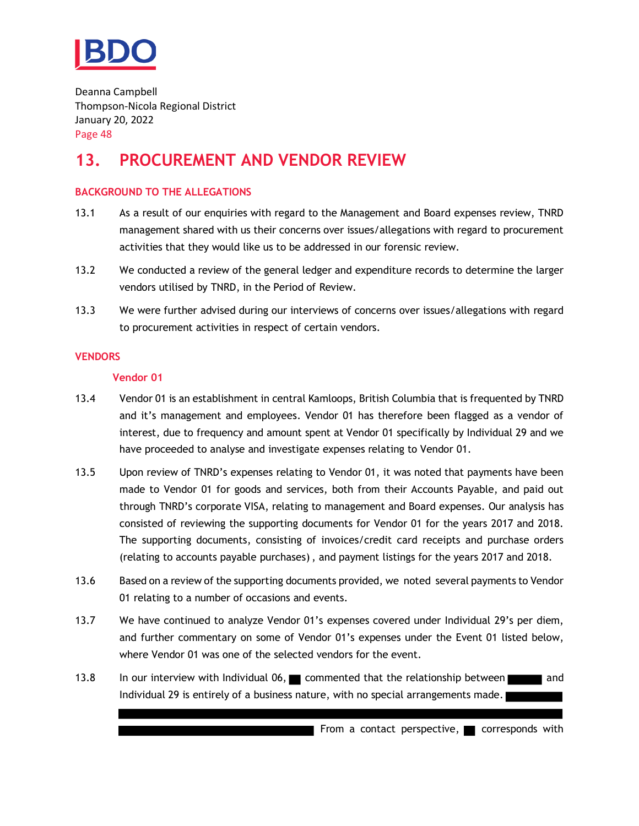

## <span id="page-49-0"></span>**13. PROCUREMENT AND VENDOR REVIEW**

#### **BACKGROUND TO THE ALLEGATIONS**

- 13.1 As a result of our enquiries with regard to the Management and Board expenses review, TNRD management shared with us their concerns over issues/allegations with regard to procurement activities that they would like us to be addressed in our forensic review.
- 13.2 We conducted a review of the general ledger and expenditure records to determine the larger vendors utilised by TNRD, in the Period of Review.
- 13.3 We were further advised during our interviews of concerns over issues/allegations with regard to procurement activities in respect of certain vendors.

#### **VENDORS**

#### **Vendor 01**

- 13.4 Vendor 01 is an establishment in central Kamloops, British Columbia that is frequented by TNRD and it's management and employees. Vendor 01 has therefore been flagged as a vendor of interest, due to frequency and amount spent at Vendor 01 specifically by Individual 29 and we have proceeded to analyse and investigate expenses relating to Vendor 01.
- 13.5 Upon review of TNRD's expenses relating to Vendor 01, it was noted that payments have been made to Vendor 01 for goods and services, both from their Accounts Payable, and paid out through TNRD's corporate VISA, relating to management and Board expenses. Our analysis has consisted of reviewing the supporting documents for Vendor 01 for the years 2017 and 2018. The supporting documents, consisting of invoices/credit card receipts and purchase orders (relating to accounts payable purchases), and payment listings for the years 2017 and 2018.
- 13.6 Based on a review of the supporting documents provided, we noted several payments to Vendor 01 relating to a number of occasions and events.
- 13.7 We have continued to analyze Vendor 01's expenses covered under Individual 29's per diem, and further commentary on some of Vendor 01's expenses under the Event 01 listed below, where Vendor 01 was one of the selected vendors for the event.
- 13.8 In our interview with Individual 06, commented that the relationship between and Individual 29 is entirely of a business nature, with no special arrangements made.

From a contact perspective,  $\blacksquare$  corresponds with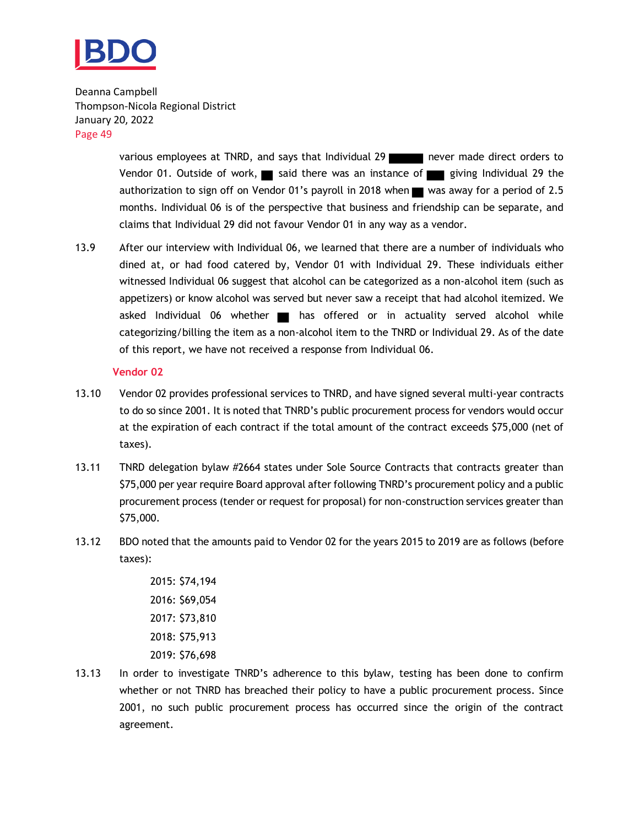

> various employees at TNRD, and says that Individual 29 never made direct orders to Vendor 01. Outside of work, said there was an instance of giving Individual 29 the authorization to sign off on Vendor 01's payroll in 2018 when  $\blacksquare$  was away for a period of 2.5 months. Individual 06 is of the perspective that business and friendship can be separate, and claims that Individual 29 did not favour Vendor 01 in any way as a vendor.

13.9 After our interview with Individual 06, we learned that there are a number of individuals who dined at, or had food catered by, Vendor 01 with Individual 29. These individuals either witnessed Individual 06 suggest that alcohol can be categorized as a non-alcohol item (such as appetizers) or know alcohol was served but never saw a receipt that had alcohol itemized. We asked Individual 06 whether a has offered or in actuality served alcohol while categorizing/billing the item as a non-alcohol item to the TNRD or Individual 29. As of the date of this report, we have not received a response from Individual 06.

#### **Vendor 02**

- 13.10 Vendor 02 provides professional services to TNRD, and have signed several multi-year contracts to do so since 2001. It is noted that TNRD's public procurement process for vendors would occur at the expiration of each contract if the total amount of the contract exceeds \$75,000 (net of taxes).
- 13.11 TNRD delegation bylaw #2664 states under Sole Source Contracts that contracts greater than \$75,000 per year require Board approval after following TNRD's procurement policy and a public procurement process (tender or request for proposal) for non-construction services greater than \$75,000.
- 13.12 BDO noted that the amounts paid to Vendor 02 for the years 2015 to 2019 are as follows (before taxes):
	- 2015: \$74,194 2016: \$69,054 2017: \$73,810 2018: \$75,913 2019: \$76,698
- 13.13 In order to investigate TNRD's adherence to this bylaw, testing has been done to confirm whether or not TNRD has breached their policy to have a public procurement process. Since 2001, no such public procurement process has occurred since the origin of the contract agreement.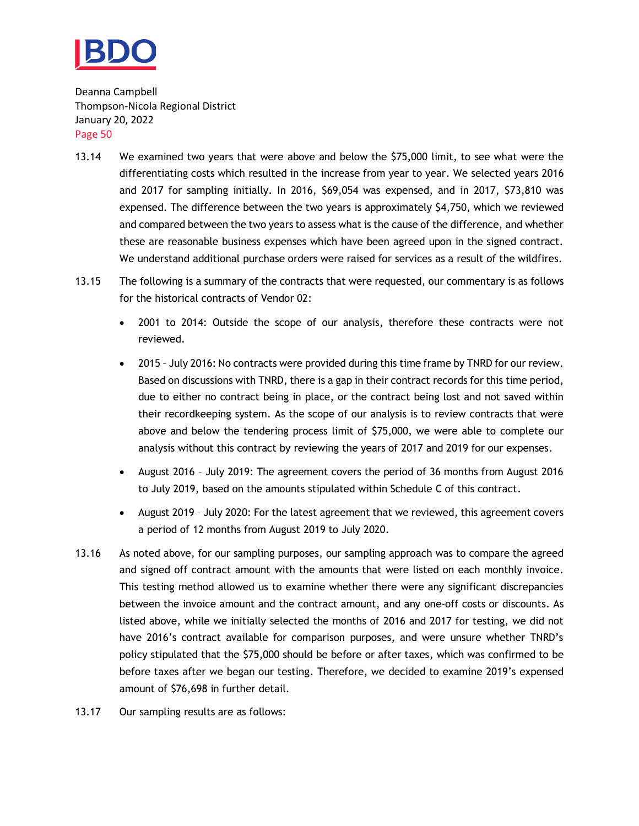

- 13.14 We examined two years that were above and below the \$75,000 limit, to see what were the differentiating costs which resulted in the increase from year to year. We selected years 2016 and 2017 for sampling initially. In 2016, \$69,054 was expensed, and in 2017, \$73,810 was expensed. The difference between the two years is approximately \$4,750, which we reviewed and compared between the two years to assess what is the cause of the difference, and whether these are reasonable business expenses which have been agreed upon in the signed contract. We understand additional purchase orders were raised for services as a result of the wildfires.
- 13.15 The following is a summary of the contracts that were requested, our commentary is as follows for the historical contracts of Vendor 02:
	- 2001 to 2014: Outside the scope of our analysis, therefore these contracts were not reviewed.
	- 2015 July 2016: No contracts were provided during this time frame by TNRD for our review. Based on discussions with TNRD, there is a gap in their contract records for this time period, due to either no contract being in place, or the contract being lost and not saved within their recordkeeping system. As the scope of our analysis is to review contracts that were above and below the tendering process limit of \$75,000, we were able to complete our analysis without this contract by reviewing the years of 2017 and 2019 for our expenses.
	- August 2016 July 2019: The agreement covers the period of 36 months from August 2016 to July 2019, based on the amounts stipulated within Schedule C of this contract.
	- August 2019 July 2020: For the latest agreement that we reviewed, this agreement covers a period of 12 months from August 2019 to July 2020.
- 13.16 As noted above, for our sampling purposes, our sampling approach was to compare the agreed and signed off contract amount with the amounts that were listed on each monthly invoice. This testing method allowed us to examine whether there were any significant discrepancies between the invoice amount and the contract amount, and any one-off costs or discounts. As listed above, while we initially selected the months of 2016 and 2017 for testing, we did not have 2016's contract available for comparison purposes, and were unsure whether TNRD's policy stipulated that the \$75,000 should be before or after taxes, which was confirmed to be before taxes after we began our testing. Therefore, we decided to examine 2019's expensed amount of \$76,698 in further detail.
- 13.17 Our sampling results are as follows: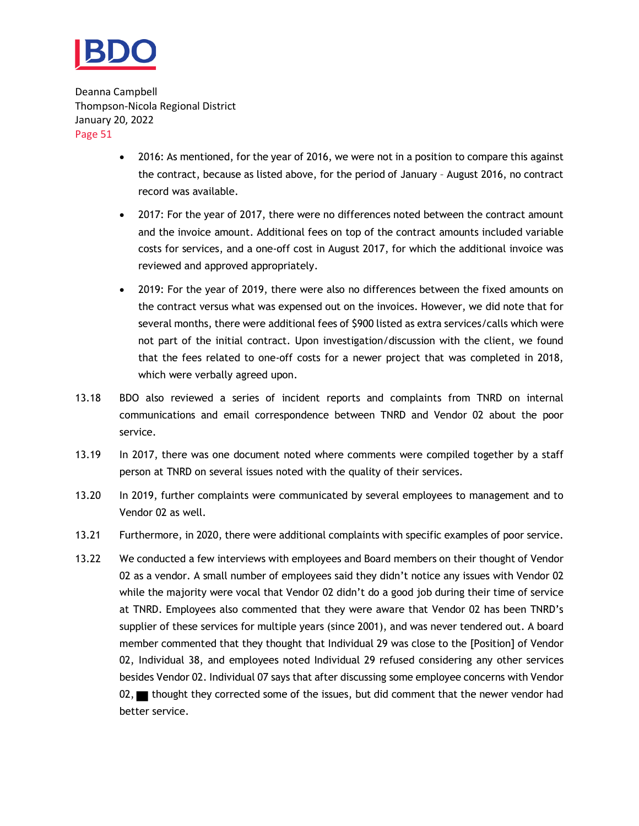

- 2016: As mentioned, for the year of 2016, we were not in a position to compare this against the contract, because as listed above, for the period of January – August 2016, no contract record was available.
- 2017: For the year of 2017, there were no differences noted between the contract amount and the invoice amount. Additional fees on top of the contract amounts included variable costs for services, and a one-off cost in August 2017, for which the additional invoice was reviewed and approved appropriately.
- 2019: For the year of 2019, there were also no differences between the fixed amounts on the contract versus what was expensed out on the invoices. However, we did note that for several months, there were additional fees of \$900 listed as extra services/calls which were not part of the initial contract. Upon investigation/discussion with the client, we found that the fees related to one-off costs for a newer project that was completed in 2018, which were verbally agreed upon.
- 13.18 BDO also reviewed a series of incident reports and complaints from TNRD on internal communications and email correspondence between TNRD and Vendor 02 about the poor service.
- 13.19 In 2017, there was one document noted where comments were compiled together by a staff person at TNRD on several issues noted with the quality of their services.
- 13.20 In 2019, further complaints were communicated by several employees to management and to Vendor 02 as well.
- 13.21 Furthermore, in 2020, there were additional complaints with specific examples of poor service.
- 13.22 We conducted a few interviews with employees and Board members on their thought of Vendor 02 as a vendor. A small number of employees said they didn't notice any issues with Vendor 02 while the majority were vocal that Vendor 02 didn't do a good job during their time of service at TNRD. Employees also commented that they were aware that Vendor 02 has been TNRD's supplier of these services for multiple years (since 2001), and was never tendered out. A board member commented that they thought that Individual 29 was close to the [Position] of Vendor 02, Individual 38, and employees noted Individual 29 refused considering any other services besides Vendor 02. Individual 07 says that after discussing some employee concerns with Vendor 02, thought they corrected some of the issues, but did comment that the newer vendor had better service.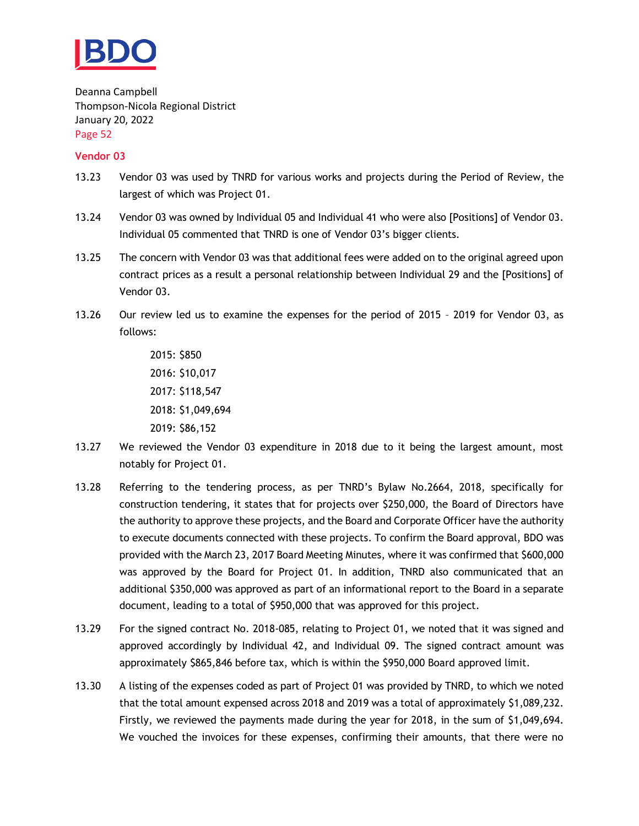

#### **Vendor 03**

- 13.23 Vendor 03 was used by TNRD for various works and projects during the Period of Review, the largest of which was Project 01.
- 13.24 Vendor 03 was owned by Individual 05 and Individual 41 who were also [Positions] of Vendor 03. Individual 05 commented that TNRD is one of Vendor 03's bigger clients.
- 13.25 The concern with Vendor 03 was that additional fees were added on to the original agreed upon contract prices as a result a personal relationship between Individual 29 and the [Positions] of Vendor 03.
- 13.26 Our review led us to examine the expenses for the period of 2015 2019 for Vendor 03, as follows:

2015: \$850 2016: \$10,017 2017: \$118,547 2018: \$1,049,694 2019: \$86,152

- 13.27 We reviewed the Vendor 03 expenditure in 2018 due to it being the largest amount, most notably for Project 01.
- 13.28 Referring to the tendering process, as per TNRD's Bylaw No.2664, 2018, specifically for construction tendering, it states that for projects over \$250,000, the Board of Directors have the authority to approve these projects, and the Board and Corporate Officer have the authority to execute documents connected with these projects. To confirm the Board approval, BDO was provided with the March 23, 2017 Board Meeting Minutes, where it was confirmed that \$600,000 was approved by the Board for Project 01. In addition, TNRD also communicated that an additional \$350,000 was approved as part of an informational report to the Board in a separate document, leading to a total of \$950,000 that was approved for this project.
- 13.29 For the signed contract No. 2018-085, relating to Project 01, we noted that it was signed and approved accordingly by Individual 42, and Individual 09. The signed contract amount was approximately \$865,846 before tax, which is within the \$950,000 Board approved limit.
- 13.30 A listing of the expenses coded as part of Project 01 was provided by TNRD, to which we noted that the total amount expensed across 2018 and 2019 was a total of approximately \$1,089,232. Firstly, we reviewed the payments made during the year for 2018, in the sum of \$1,049,694. We vouched the invoices for these expenses, confirming their amounts, that there were no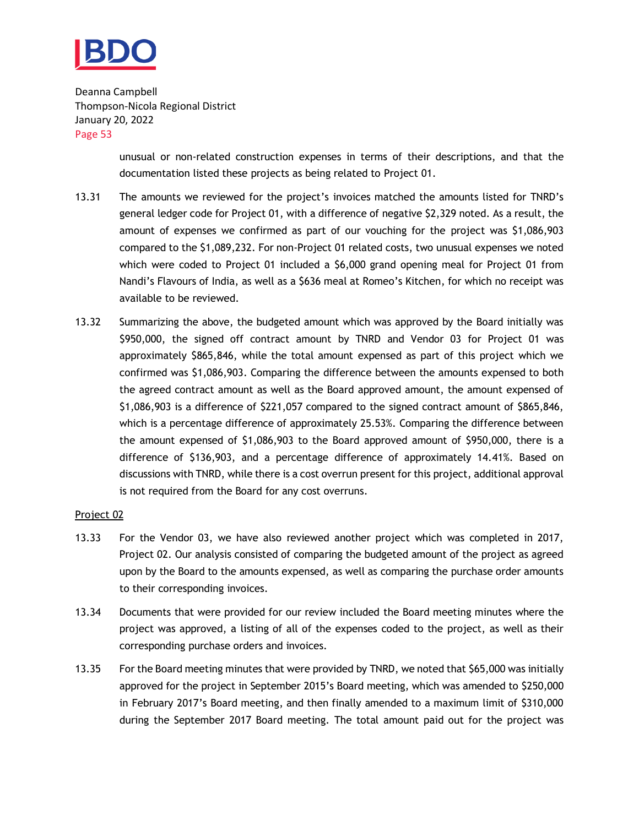

> unusual or non-related construction expenses in terms of their descriptions, and that the documentation listed these projects as being related to Project 01.

- 13.31 The amounts we reviewed for the project's invoices matched the amounts listed for TNRD's general ledger code for Project 01, with a difference of negative \$2,329 noted. As a result, the amount of expenses we confirmed as part of our vouching for the project was \$1,086,903 compared to the \$1,089,232. For non-Project 01 related costs, two unusual expenses we noted which were coded to Project 01 included a \$6,000 grand opening meal for Project 01 from Nandi's Flavours of India, as well as a \$636 meal at Romeo's Kitchen, for which no receipt was available to be reviewed.
- 13.32 Summarizing the above, the budgeted amount which was approved by the Board initially was \$950,000, the signed off contract amount by TNRD and Vendor 03 for Project 01 was approximately \$865,846, while the total amount expensed as part of this project which we confirmed was \$1,086,903. Comparing the difference between the amounts expensed to both the agreed contract amount as well as the Board approved amount, the amount expensed of \$1,086,903 is a difference of \$221,057 compared to the signed contract amount of \$865,846, which is a percentage difference of approximately 25.53%. Comparing the difference between the amount expensed of \$1,086,903 to the Board approved amount of \$950,000, there is a difference of \$136,903, and a percentage difference of approximately 14.41%. Based on discussions with TNRD, while there is a cost overrun present for this project, additional approval is not required from the Board for any cost overruns.

#### Project 02

- 13.33 For the Vendor 03, we have also reviewed another project which was completed in 2017, Project 02. Our analysis consisted of comparing the budgeted amount of the project as agreed upon by the Board to the amounts expensed, as well as comparing the purchase order amounts to their corresponding invoices.
- 13.34 Documents that were provided for our review included the Board meeting minutes where the project was approved, a listing of all of the expenses coded to the project, as well as their corresponding purchase orders and invoices.
- 13.35 For the Board meeting minutes that were provided by TNRD, we noted that \$65,000 was initially approved for the project in September 2015's Board meeting, which was amended to \$250,000 in February 2017's Board meeting, and then finally amended to a maximum limit of \$310,000 during the September 2017 Board meeting. The total amount paid out for the project was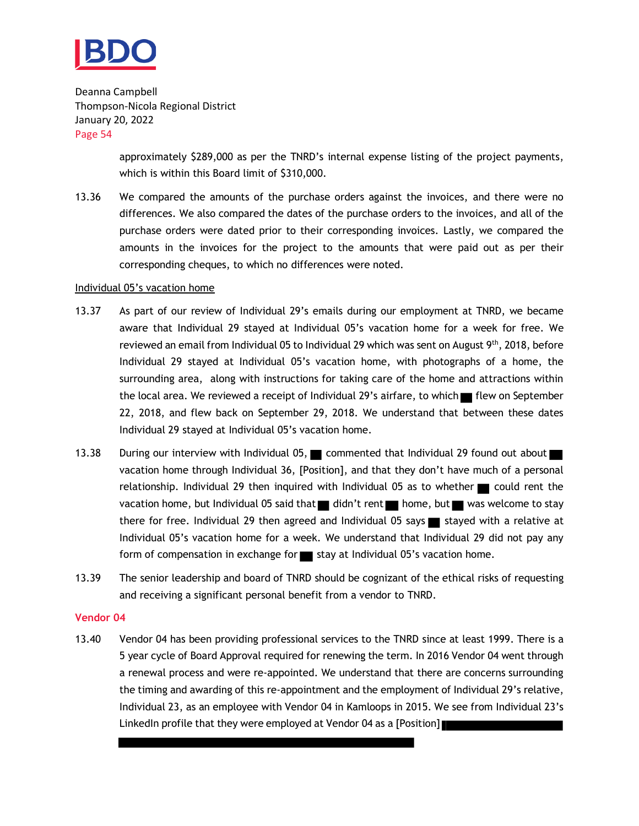

> approximately \$289,000 as per the TNRD's internal expense listing of the project payments, which is within this Board limit of \$310,000.

13.36 We compared the amounts of the purchase orders against the invoices, and there were no differences. We also compared the dates of the purchase orders to the invoices, and all of the purchase orders were dated prior to their corresponding invoices. Lastly, we compared the amounts in the invoices for the project to the amounts that were paid out as per their corresponding cheques, to which no differences were noted.

#### Individual 05's vacation home

- 13.37 As part of our review of Individual 29's emails during our employment at TNRD, we became aware that Individual 29 stayed at Individual 05's vacation home for a week for free. We reviewed an email from Individual 05 to Individual 29 which was sent on August 9th, 2018, before Individual 29 stayed at Individual 05's vacation home, with photographs of a home, the surrounding area, along with instructions for taking care of the home and attractions within the local area. We reviewed a receipt of Individual 29's airfare, to which in flew on September 22, 2018, and flew back on September 29, 2018. We understand that between these dates Individual 29 stayed at Individual 05's vacation home.
- 13.38 During our interview with Individual 05, commented that Individual 29 found out about vacation home through Individual 36, [Position], and that they don't have much of a personal relationship. Individual 29 then inquired with Individual 05 as to whether  $\Box$  could rent the vacation home, but Individual 05 said that didn't rent home, but was welcome to stay there for free. Individual 29 then agreed and Individual 05 says stayed with a relative at Individual 05's vacation home for a week. We understand that Individual 29 did not pay any form of compensation in exchange for stay at Individual 05's vacation home.
- 13.39 The senior leadership and board of TNRD should be cognizant of the ethical risks of requesting and receiving a significant personal benefit from a vendor to TNRD.

#### **Vendor 04**

13.40 Vendor 04 has been providing professional services to the TNRD since at least 1999. There is a 5 year cycle of Board Approval required for renewing the term. In 2016 Vendor 04 went through a renewal process and were re-appointed. We understand that there are concerns surrounding the timing and awarding of this re-appointment and the employment of Individual 29's relative, Individual 23, as an employee with Vendor 04 in Kamloops in 2015. We see from Individual 23's LinkedIn profile that they were employed at Vendor 04 as a [Position]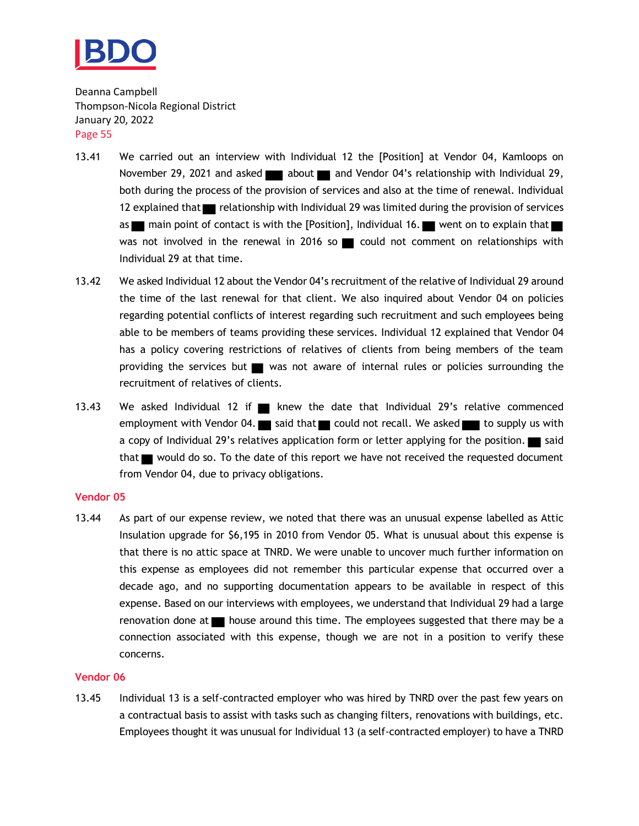

- 13.41 We carried out an interview with Individual 12 the [Position] at Vendor 04, Kamloops on November 29, 2021 and asked about and Vendor 04's relationship with Individual 29, both during the process of the provision of services and also at the time of renewal. Individual 12 explained that relationship with Individual 29 was limited during the provision of services as main point of contact is with the [Position], Individual 16. went on to explain that was not involved in the renewal in 2016 so  $\blacksquare$  could not comment on relationships with Individual 29 at that time.
- 13.42 We asked Individual 12 about the Vendor 04's recruitment of the relative of Individual 29 around the time of the last renewal for that client. We also inquired about Vendor 04 on policies regarding potential conflicts of interest regarding such recruitment and such employees being able to be members of teams providing these services. Individual 12 explained that Vendor 04 has a policy covering restrictions of relatives of clients from being members of the team providing the services but was not aware of internal rules or policies surrounding the recruitment of relatives of clients.
- 13.43 We asked Individual 12 if  $\blacksquare$  knew the date that Individual 29's relative commenced employment with Vendor 04.  $\blacksquare$  said that  $\blacksquare$  could not recall. We asked  $\blacksquare$  to supply us with a copy of Individual 29's relatives application form or letter applying for the position.  $\square$  said that would do so. To the date of this report we have not received the requested document from Vendor 04, due to privacy obligations.

#### **Vendor 05**

13.44 As part of our expense review, we noted that there was an unusual expense labelled as Attic Insulation upgrade for \$6,195 in 2010 from Vendor 05. What is unusual about this expense is that there is no attic space at TNRD. We were unable to uncover much further information on this expense as employees did not remember this particular expense that occurred over a decade ago, and no supporting documentation appears to be available in respect of this expense. Based on our interviews with employees, we understand that Individual 29 had a large renovation done at  $\blacksquare$  house around this time. The employees suggested that there may be a connection associated with this expense, though we are not in a position to verify these concerns.

#### **Vendor 06**

13.45 Individual 13 is a self-contracted employer who was hired by TNRD over the past few years on a contractual basis to assist with tasks such as changing filters, renovations with buildings, etc. Employees thought it was unusual for Individual 13 (a self-contracted employer) to have a TNRD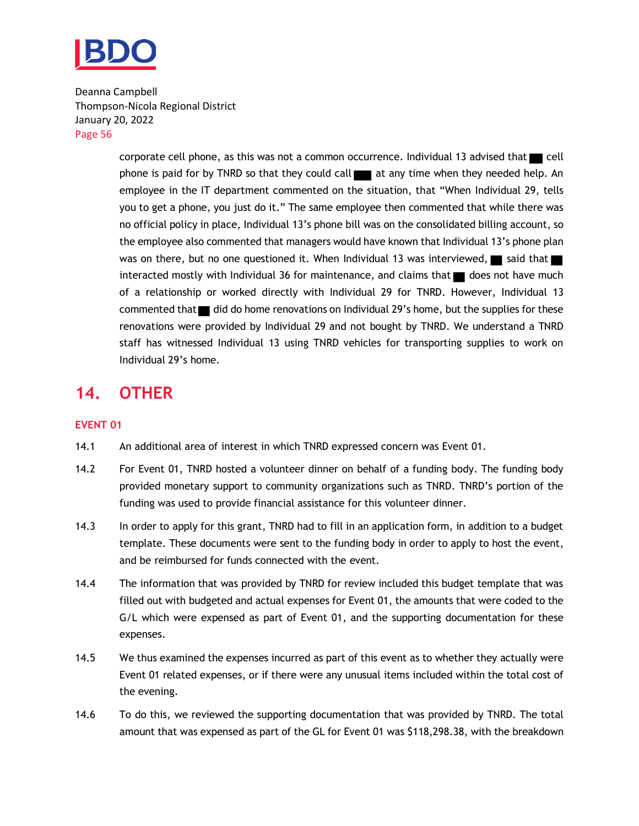

> corporate cell phone, as this was not a common occurrence. Individual 13 advised that  $\blacksquare$  cell phone is paid for by TNRD so that they could call  $\Box$  at any time when they needed help. An employee in the IT department commented on the situation, that "When Individual 29, tells you to get a phone, you just do it." The same employee then commented that while there was no official policy in place, Individual 13's phone bill was on the consolidated billing account, so the employee also commented that managers would have known that Individual 13's phone plan was on there, but no one questioned it. When Individual 13 was interviewed, said that interacted mostly with Individual 36 for maintenance, and claims that does not have much of a relationship or worked directly with Individual 29 for TNRD. However, Individual 13 commented that indid do home renovations on Individual 29's home, but the supplies for these renovations were provided by Individual 29 and not bought by TNRD. We understand a TNRD staff has witnessed Individual 13 using TNRD vehicles for transporting supplies to work on Individual 29's home.

## <span id="page-57-0"></span>**14. OTHER**

#### **EVENT 01**

- 14.1 An additional area of interest in which TNRD expressed concern was Event 01.
- 14.2 For Event 01, TNRD hosted a volunteer dinner on behalf of a funding body. The funding body provided monetary support to community organizations such as TNRD. TNRD's portion of the funding was used to provide financial assistance for this volunteer dinner.
- 14.3 In order to apply for this grant, TNRD had to fill in an application form, in addition to a budget template. These documents were sent to the funding body in order to apply to host the event, and be reimbursed for funds connected with the event.
- 14.4 The information that was provided by TNRD for review included this budget template that was filled out with budgeted and actual expenses for Event 01, the amounts that were coded to the G/L which were expensed as part of Event 01, and the supporting documentation for these expenses.
- 14.5 We thus examined the expenses incurred as part of this event as to whether they actually were Event 01 related expenses, or if there were any unusual items included within the total cost of the evening.
- 14.6 To do this, we reviewed the supporting documentation that was provided by TNRD. The total amount that was expensed as part of the GL for Event 01 was \$118,298.38, with the breakdown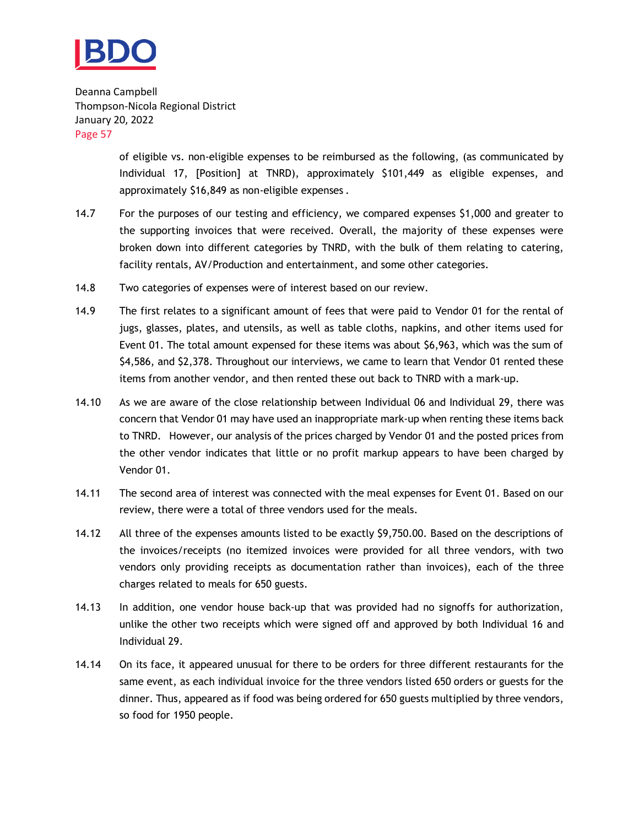

> of eligible vs. non-eligible expenses to be reimbursed as the following, (as communicated by Individual 17, [Position] at TNRD), approximately \$101,449 as eligible expenses, and approximately \$16,849 as non-eligible expenses .

- 14.7 For the purposes of our testing and efficiency, we compared expenses \$1,000 and greater to the supporting invoices that were received. Overall, the majority of these expenses were broken down into different categories by TNRD, with the bulk of them relating to catering, facility rentals, AV/Production and entertainment, and some other categories.
- 14.8 Two categories of expenses were of interest based on our review.
- 14.9 The first relates to a significant amount of fees that were paid to Vendor 01 for the rental of jugs, glasses, plates, and utensils, as well as table cloths, napkins, and other items used for Event 01. The total amount expensed for these items was about \$6,963, which was the sum of \$4,586, and \$2,378. Throughout our interviews, we came to learn that Vendor 01 rented these items from another vendor, and then rented these out back to TNRD with a mark-up.
- 14.10 As we are aware of the close relationship between Individual 06 and Individual 29, there was concern that Vendor 01 may have used an inappropriate mark-up when renting these items back to TNRD. However, our analysis of the prices charged by Vendor 01 and the posted prices from the other vendor indicates that little or no profit markup appears to have been charged by Vendor 01.
- 14.11 The second area of interest was connected with the meal expenses for Event 01. Based on our review, there were a total of three vendors used for the meals.
- 14.12 All three of the expenses amounts listed to be exactly \$9,750.00. Based on the descriptions of the invoices/receipts (no itemized invoices were provided for all three vendors, with two vendors only providing receipts as documentation rather than invoices), each of the three charges related to meals for 650 guests.
- 14.13 In addition, one vendor house back-up that was provided had no signoffs for authorization, unlike the other two receipts which were signed off and approved by both Individual 16 and Individual 29.
- 14.14 On its face, it appeared unusual for there to be orders for three different restaurants for the same event, as each individual invoice for the three vendors listed 650 orders or guests for the dinner. Thus, appeared as if food was being ordered for 650 guests multiplied by three vendors, so food for 1950 people.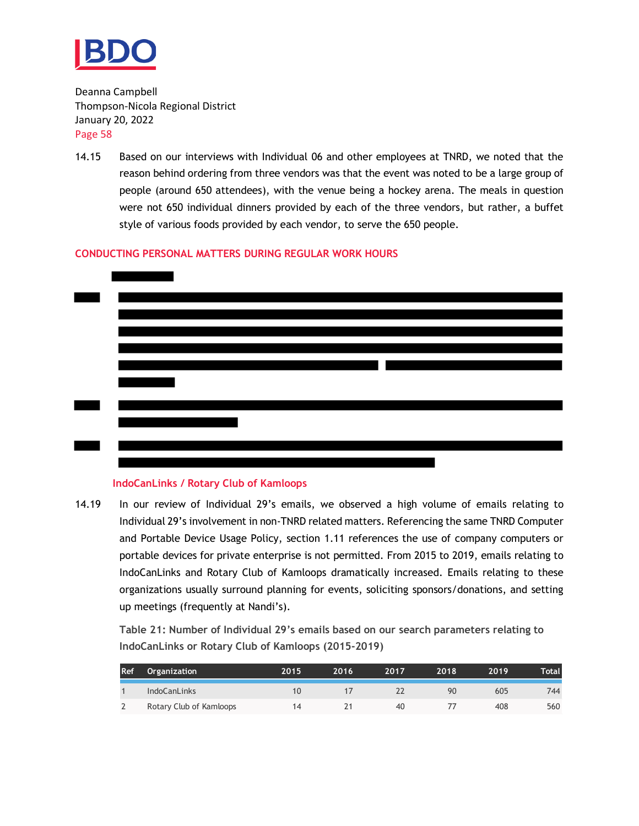

14.15 Based on our interviews with Individual 06 and other employees at TNRD, we noted that the reason behind ordering from three vendors was that the event was noted to be a large group of people (around 650 attendees), with the venue being a hockey arena. The meals in question were not 650 individual dinners provided by each of the three vendors, but rather, a buffet style of various foods provided by each vendor, to serve the 650 people.

#### **CONDUCTING PERSONAL MATTERS DURING REGULAR WORK HOURS**



#### **IndoCanLinks / Rotary Club of Kamloops**

14.19 In our review of Individual 29's emails, we observed a high volume of emails relating to Individual 29's involvement in non-TNRD related matters. Referencing the same TNRD Computer and Portable Device Usage Policy, section 1.11 references the use of company computers or portable devices for private enterprise is not permitted. From 2015 to 2019, emails relating to IndoCanLinks and Rotary Club of Kamloops dramatically increased. Emails relating to these organizations usually surround planning for events, soliciting sponsors/donations, and setting up meetings (frequently at Nandi's).

**Table 21: Number of Individual 29's emails based on our search parameters relating to IndoCanLinks or Rotary Club of Kamloops (2015-2019)**

| <b>Ref</b> | Organization            | 2015 | 2016 | 2017 | 2018 | 2019 | Total |
|------------|-------------------------|------|------|------|------|------|-------|
|            | <b>IndoCanLinks</b>     | 10   |      |      | 90   | 605  | 744   |
|            | Rotary Club of Kamloops | 14   |      | 40   |      | 408  | 560   |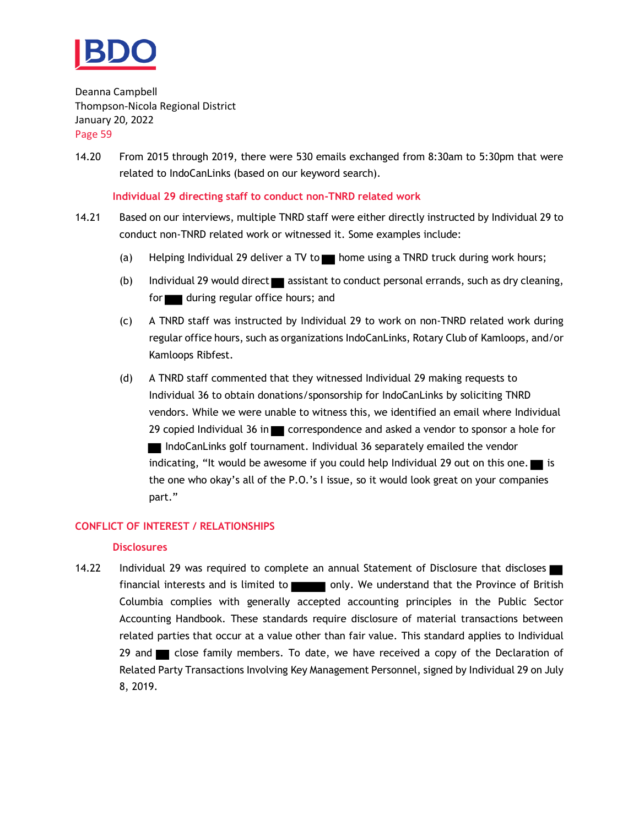

14.20 From 2015 through 2019, there were 530 emails exchanged from 8:30am to 5:30pm that were related to IndoCanLinks (based on our keyword search).

**Individual 29 directing staff to conduct non-TNRD related work**

- 14.21 Based on our interviews, multiple TNRD staff were either directly instructed by Individual 29 to conduct non-TNRD related work or witnessed it. Some examples include:
	- (a) Helping Individual 29 deliver a TV to home using a TNRD truck during work hours;
	- (b) Individual 29 would direct assistant to conduct personal errands, such as dry cleaning, for during regular office hours; and
	- (c) A TNRD staff was instructed by Individual 29 to work on non-TNRD related work during regular office hours, such as organizations IndoCanLinks, Rotary Club of Kamloops, and/or Kamloops Ribfest.
	- (d) A TNRD staff commented that they witnessed Individual 29 making requests to Individual 36 to obtain donations/sponsorship for IndoCanLinks by soliciting TNRD vendors. While we were unable to witness this, we identified an email where Individual 29 copied Individual 36 in  $\blacksquare$  correspondence and asked a vendor to sponsor a hole for IndoCanLinks golf tournament. Individual 36 separately emailed the vendor indicating, "It would be awesome if you could help Individual 29 out on this one.  $\blacksquare$  is the one who okay's all of the P.O.'s I issue, so it would look great on your companies part."

#### **CONFLICT OF INTEREST / RELATIONSHIPS**

#### **Disclosures**

14.22 Individual 29 was required to complete an annual Statement of Disclosure that discloses financial interests and is limited to only. We understand that the Province of British Columbia complies with generally accepted accounting principles in the Public Sector Accounting Handbook. These standards require disclosure of material transactions between related parties that occur at a value other than fair value. This standard applies to Individual 29 and close family members. To date, we have received a copy of the Declaration of Related Party Transactions Involving Key Management Personnel, signed by Individual 29 on July 8, 2019.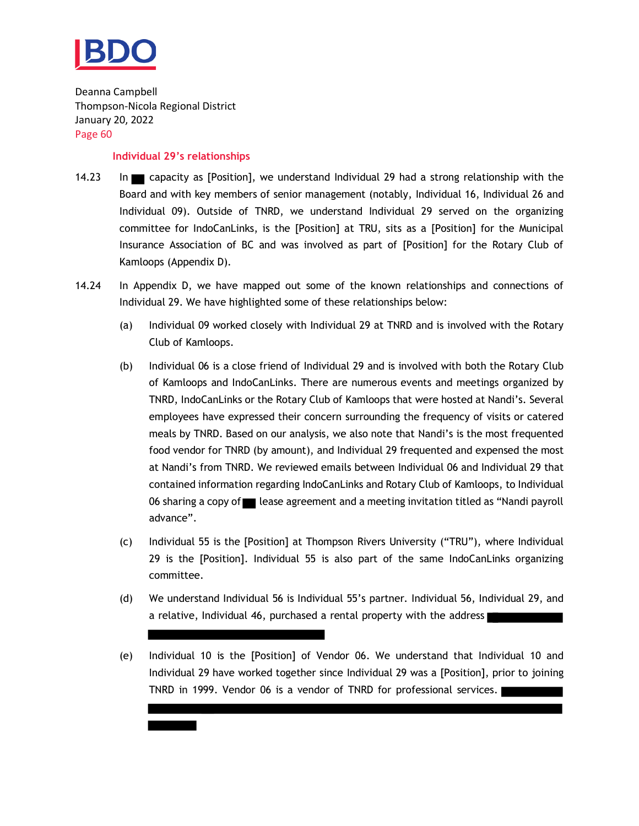

#### **Individual 29's relationships**

- 14.23 In capacity as [Position], we understand Individual 29 had a strong relationship with the Board and with key members of senior management (notably, Individual 16, Individual 26 and Individual 09). Outside of TNRD, we understand Individual 29 served on the organizing committee for IndoCanLinks, is the [Position] at TRU, sits as a [Position] for the Municipal Insurance Association of BC and was involved as part of [Position] for the Rotary Club of Kamloops (Appendix D).
- 14.24 In Appendix D, we have mapped out some of the known relationships and connections of Individual 29. We have highlighted some of these relationships below:
	- (a) Individual 09 worked closely with Individual 29 at TNRD and is involved with the Rotary Club of Kamloops.
	- (b) Individual 06 is a close friend of Individual 29 and is involved with both the Rotary Club of Kamloops and IndoCanLinks. There are numerous events and meetings organized by TNRD, IndoCanLinks or the Rotary Club of Kamloops that were hosted at Nandi's. Several employees have expressed their concern surrounding the frequency of visits or catered meals by TNRD. Based on our analysis, we also note that Nandi's is the most frequented food vendor for TNRD (by amount), and Individual 29 frequented and expensed the most at Nandi's from TNRD. We reviewed emails between Individual 06 and Individual 29 that contained information regarding IndoCanLinks and Rotary Club of Kamloops, to Individual 06 sharing a copy of state agreement and a meeting invitation titled as "Nandi payroll advance".
	- (c) Individual 55 is the [Position] at Thompson Rivers University ("TRU"), where Individual 29 is the [Position]. Individual 55 is also part of the same IndoCanLinks organizing committee.
	- (d) We understand Individual 56 is Individual 55's partner. Individual 56, Individual 29, and a relative, Individual 46, purchased a rental property with the address
	- (e) Individual 10 is the [Position] of Vendor 06. We understand that Individual 10 and Individual 29 have worked together since Individual 29 was a [Position], prior to joining TNRD in 1999. Vendor 06 is a vendor of TNRD for professional services.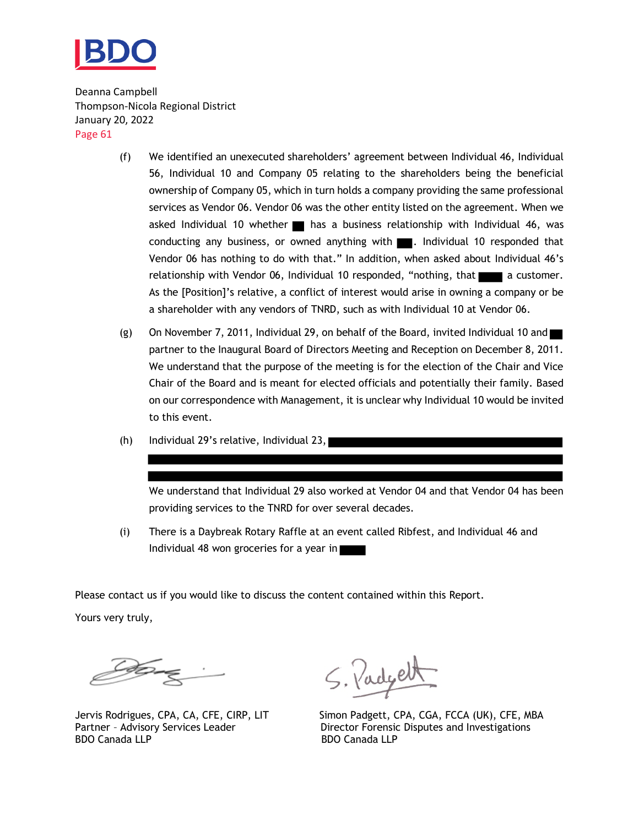

- (f) We identified an unexecuted shareholders' agreement between Individual 46, Individual 56, Individual 10 and Company 05 relating to the shareholders being the beneficial ownership of Company 05, which in turn holds a company providing the same professional services as Vendor 06. Vendor 06 was the other entity listed on the agreement. When we asked Individual 10 whether  $\blacksquare$  has a business relationship with Individual 46, was conducting any business, or owned anything with **. Individual 10 responded that** Vendor 06 has nothing to do with that." In addition, when asked about Individual 46's relationship with Vendor 06, Individual 10 responded, "nothing, that a customer. As the [Position]'s relative, a conflict of interest would arise in owning a company or be a shareholder with any vendors of TNRD, such as with Individual 10 at Vendor 06.
- (g) On November 7, 2011, Individual 29, on behalf of the Board, invited Individual 10 and partner to the Inaugural Board of Directors Meeting and Reception on December 8, 2011. We understand that the purpose of the meeting is for the election of the Chair and Vice Chair of the Board and is meant for elected officials and potentially their family. Based on our correspondence with Management, it is unclear why Individual 10 would be invited to this event.
- (h) Individual 29's relative, Individual 23,

We understand that Individual 29 also worked at Vendor 04 and that Vendor 04 has been providing services to the TNRD for over several decades.

(i) There is a Daybreak Rotary Raffle at an event called Ribfest, and Individual 46 and Individual 48 won groceries for a year in

Please contact us if you would like to discuss the content contained within this Report.

Yours very truly,

S. Padgett

Jervis Rodrigues, CPA, CA, CFE, CIRP, LIT Simon Padgett, CPA, CGA, FCCA (UK), CFE, MBA Partner - Advisory Services Leader Director Forensic Disputes and Investigations<br>BDO Canada LLP BDO Canada LLP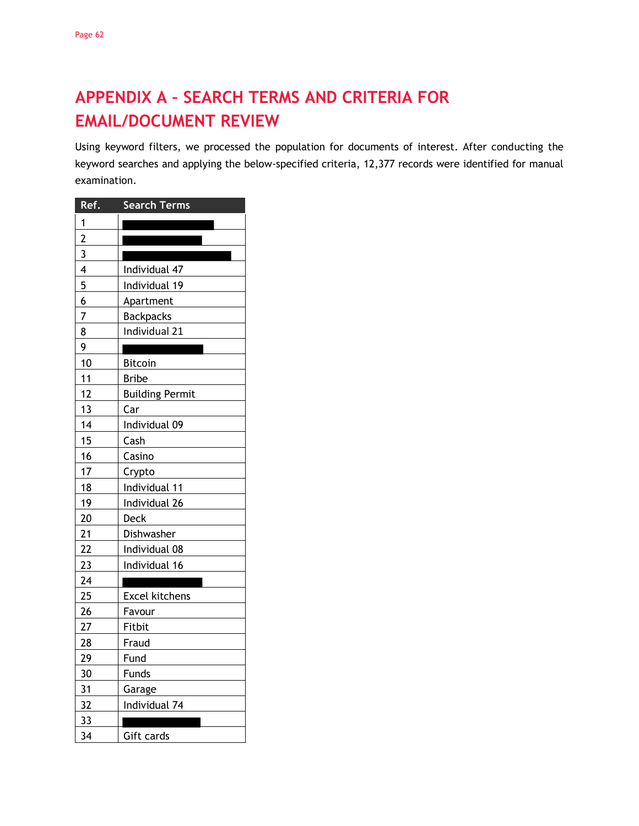# <span id="page-63-0"></span>**APPENDIX A – SEARCH TERMS AND CRITERIA FOR EMAIL/DOCUMENT REVIEW**

Using keyword filters, we processed the population for documents of interest. After conducting the keyword searches and applying the below-specified criteria, 12,377 records were identified for manual examination.

| Ref.                    | <b>Search Terms</b>    |
|-------------------------|------------------------|
| 1                       |                        |
| $\overline{c}$          |                        |
| $\overline{3}$          |                        |
| $\overline{\mathbf{4}}$ | Individual 47          |
| 5                       | Individual 19          |
| 6                       | Apartment              |
| 7                       | <b>Backpacks</b>       |
| 8                       | Individual 21          |
| 9                       |                        |
| 10                      | <b>Bitcoin</b>         |
| 11                      | <b>Bribe</b>           |
| 12                      | <b>Building Permit</b> |
| 13                      | Car                    |
| 14                      | Individual 09          |
| 15                      | Cash                   |
| 16                      | Casino                 |
| 17                      | Crypto                 |
| 18                      | Individual 11          |
| 19                      | Individual 26          |
| 20                      | Deck                   |
| 21                      | Dishwasher             |
| 22                      | Individual 08          |
| 23                      | Individual 16          |
| 24                      |                        |
| 25                      | <b>Excel kitchens</b>  |
| 26                      | Favour                 |
| 27                      | Fitbit                 |
| 28                      | Fraud                  |
| 29                      | Fund                   |
| 30                      | Funds                  |
| 31                      | Garage                 |
| 32                      | Individual 74          |
| 33                      |                        |
| 34                      | Gift cards             |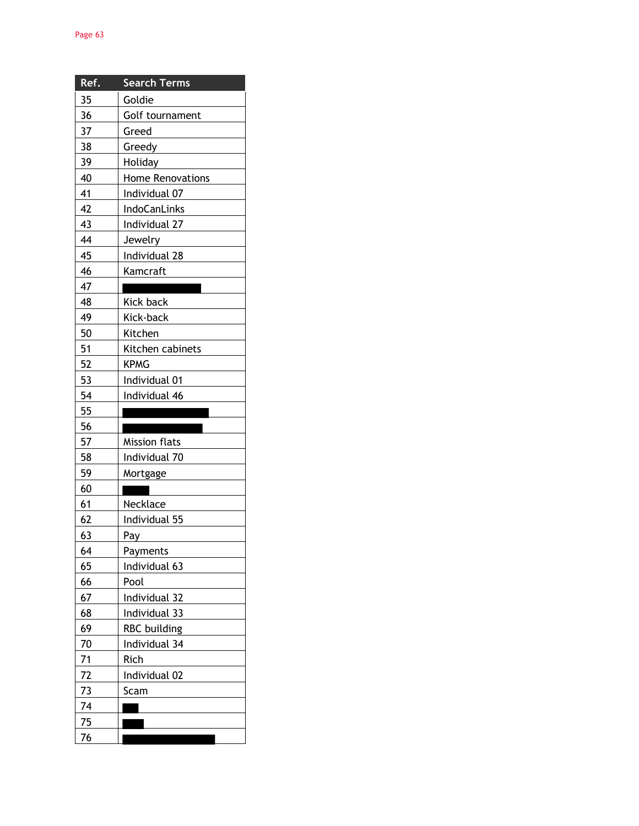| Ref. | <b>Search Terms</b>  |
|------|----------------------|
| 35   | Goldie               |
| 36   | Golf tournament      |
| 37   | Greed                |
| 38   | Greedy               |
| 39   | Holiday              |
| 40   | Home Renovations     |
| 41   | Individual 07        |
| 42   | IndoCanLinks         |
| 43   | Individual 27        |
| 44   | Jewelry              |
| 45   | Individual 28        |
| 46   | Kamcraft             |
| 47   |                      |
| 48   | <b>Kick back</b>     |
| 49   | Kick-back            |
| 50   | Kitchen              |
| 51   | Kitchen cabinets     |
| 52   | <b>KPMG</b>          |
| 53   | Individual 01        |
| 54   | Individual 46        |
| 55   |                      |
| 56   |                      |
| 57   | <b>Mission flats</b> |
| 58   | Individual 70        |
| 59   | Mortgage             |
| 60   |                      |
| 61   | Necklace             |
| 62   | Individual 55        |
| 63   | Pay                  |
| 64   | Payments             |
| 65   | Individual 63        |
| 66   | Pool                 |
| 67   | Individual 32        |
| 68   | Individual 33        |
| 69   | <b>RBC</b> building  |
| 70   | Individual 34        |
| 71   | Rich                 |
| 72   | Individual 02        |
| 73   | Scam                 |
| 74   |                      |
| 75   |                      |
| 76   |                      |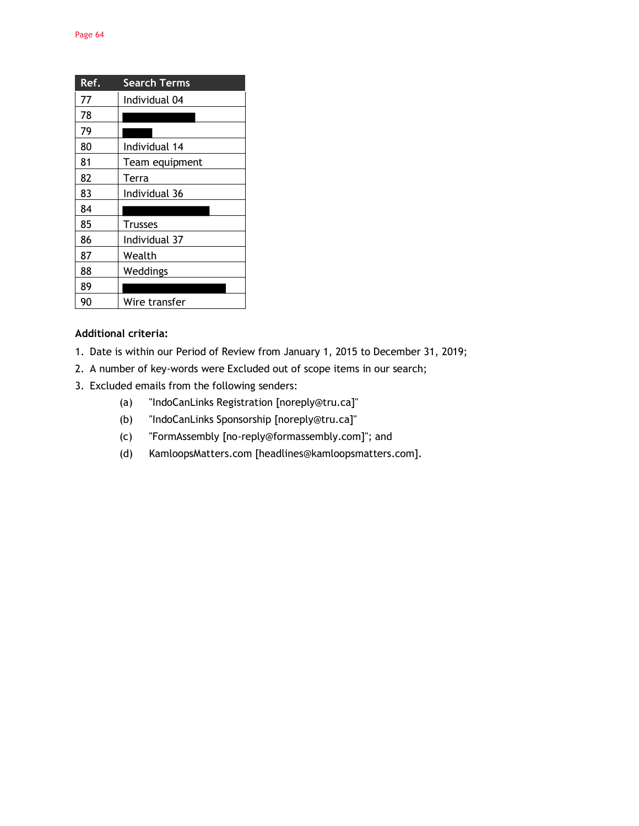| Ref. | <b>Search Terms</b> |
|------|---------------------|
| 77   | Individual 04       |
| 78   |                     |
| 79   |                     |
| 80   | Individual 14       |
| 81   | Team equipment      |
| 82   | Terra               |
| 83   | Individual 36       |
| 84   |                     |
| 85   | <b>Trusses</b>      |
| 86   | Individual 37       |
| 87   | Wealth              |
| 88   | Weddings            |
| 89   |                     |
| 90   | Wire transfer       |

#### **Additional criteria:**

- 1. Date is within our Period of Review from January 1, 2015 to December 31, 2019;
- 2. A number of key-words were Excluded out of scope items in our search;
- 3. Excluded emails from the following senders:
	- (a) "IndoCanLinks Registration [noreply@tru.ca]"
	- (b) "IndoCanLinks Sponsorship [noreply@tru.ca]"
	- (c) "FormAssembly [no-reply@formassembly.com]"; and
	- (d) KamloopsMatters.com [headlines@kamloopsmatters.com].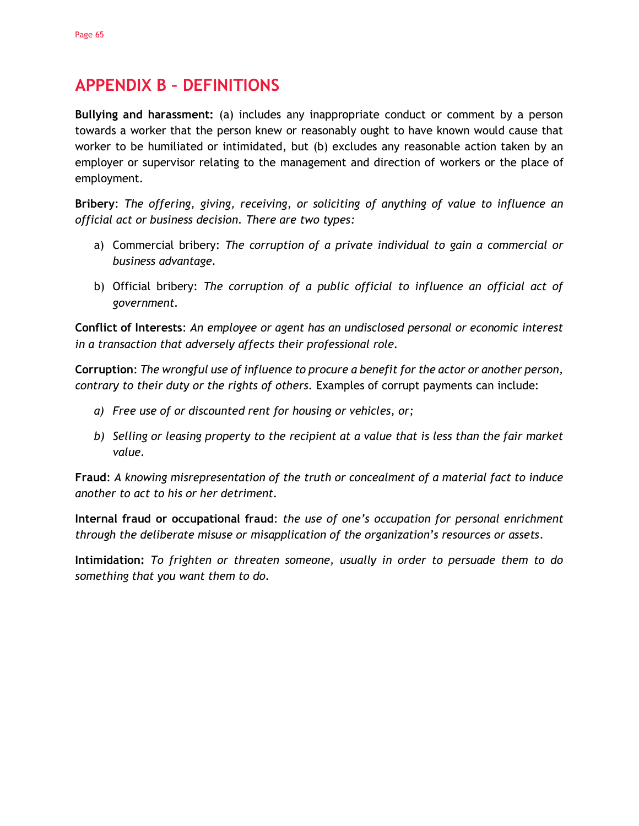## <span id="page-66-0"></span>**APPENDIX B – DEFINITIONS**

**Bullying and harassment:** (a) includes any inappropriate conduct or comment by a person towards a worker that the person knew or reasonably ought to have known would cause that worker to be humiliated or intimidated, but (b) excludes any reasonable action taken by an employer or supervisor relating to the management and direction of workers or the place of employment.

**Bribery**: *The offering, giving, receiving, or soliciting of anything of value to influence an official act or business decision. There are two types:*

- a) Commercial bribery: *The corruption of a private individual to gain a commercial or business advantage.*
- b) Official bribery: *The corruption of a public official to influence an official act of government.*

**Conflict of Interests**: *An employee or agent has an undisclosed personal or economic interest in a transaction that adversely affects their professional role.*

**Corruption**: *The wrongful use of influence to procure a benefit for the actor or another person, contrary to their duty or the rights of others.* Examples of corrupt payments can include:

- *a) Free use of or discounted rent for housing or vehicles, or;*
- *b) Selling or leasing property to the recipient at a value that is less than the fair market value.*

**Fraud**: *A knowing misrepresentation of the truth or concealment of a material fact to induce another to act to his or her detriment.*

**Internal fraud or occupational fraud**: *the use of one's occupation for personal enrichment through the deliberate misuse or misapplication of the organization's resources or assets.*

**Intimidation:** *To frighten or threaten someone, usually in order to persuade them to do something that you want them to do.*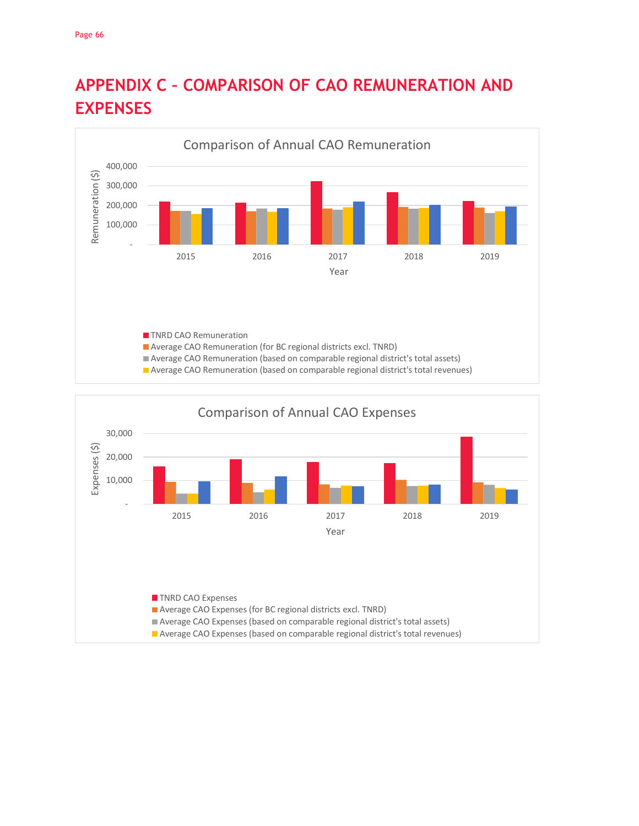

# <span id="page-67-0"></span>**APPENDIX C – COMPARISON OF CAO REMUNERATION AND EXPENSES**